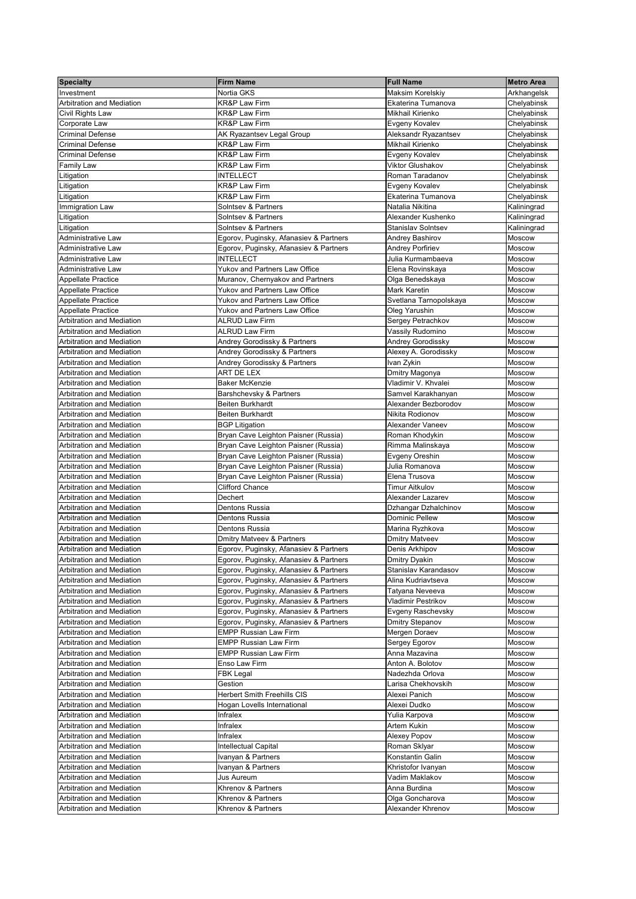| <b>Specialty</b>                                                     | <b>Firm Name</b>                                                             | <b>Full Name</b>                      | <b>Metro Area</b>          |
|----------------------------------------------------------------------|------------------------------------------------------------------------------|---------------------------------------|----------------------------|
| Investment                                                           | Nortia GKS                                                                   | Maksim Korelskiy                      | Arkhangelsk                |
| <b>Arbitration and Mediation</b>                                     | KR&P Law Firm                                                                | Ekaterina Tumanova                    | Chelyabinsk                |
| Civil Rights Law                                                     | <b>KR&amp;P Law Firm</b>                                                     | Mikhail Kirienko                      | Chelyabinsk                |
| Corporate Law                                                        | <b>KR&amp;P Law Firm</b>                                                     | Evgeny Kovalev                        | Chelyabinsk                |
| <b>Criminal Defense</b>                                              | AK Ryazantsev Legal Group                                                    | Aleksandr Ryazantsev                  | Chelyabinsk                |
| <b>Criminal Defense</b>                                              | <b>KR&amp;P Law Firm</b>                                                     | Mikhail Kirienko                      | Chelyabinsk                |
| <b>Criminal Defense</b>                                              | <b>KR&amp;P Law Firm</b>                                                     | Evgeny Kovalev                        | Chelyabinsk                |
| <b>Family Law</b>                                                    | <b>KR&amp;P Law Firm</b>                                                     | <b>Viktor Glushakov</b>               | Chelyabinsk                |
| Litigation                                                           | <b>INTELLECT</b><br><b>KR&amp;P Law Firm</b>                                 | Roman Taradanov                       | Chelyabinsk                |
| Litigation                                                           | <b>KR&amp;P Law Firm</b>                                                     | Evgeny Kovalev<br>Ekaterina Tumanova  | Chelyabinsk                |
| Litigation                                                           | <b>Solntsev &amp; Partners</b>                                               | Natalia Nikitina                      | Chelyabinsk<br>Kaliningrad |
| Immigration Law<br>Litigation                                        | <b>Solntsev &amp; Partners</b>                                               | Alexander Kushenko                    | Kaliningrad                |
| Litigation                                                           | <b>Solntsev &amp; Partners</b>                                               | <b>Stanislav Solntsev</b>             | Kaliningrad                |
| Administrative Law                                                   | Egorov, Puginsky, Afanasiev & Partners                                       | Andrey Bashirov                       | Moscow                     |
| Administrative Law                                                   | Egorov, Puginsky, Afanasiev & Partners                                       | <b>Andrey Porfiriev</b>               | Moscow                     |
| Administrative Law                                                   | <b>INTELLECT</b>                                                             | Julia Kurmambaeva                     | Moscow                     |
| Administrative Law                                                   | <b>Yukov and Partners Law Office</b>                                         | Elena Rovinskaya                      | Moscow                     |
| Appellate Practice                                                   | Muranov, Chernyakov and Partners                                             | Olga Benedskaya                       | <b>Moscow</b>              |
| Appellate Practice                                                   | <b>Yukov and Partners Law Office</b>                                         | <b>Mark Karetin</b>                   | Moscow                     |
| Appellate Practice                                                   | <b>Yukov and Partners Law Office</b>                                         | Svetlana Tarnopolskaya                | Moscow                     |
| Appellate Practice                                                   | Yukov and Partners Law Office                                                | Oleg Yarushin                         | Moscow                     |
| <b>Arbitration and Mediation</b>                                     | <b>ALRUD Law Firm</b>                                                        | Sergey Petrachkov                     | <b>Moscow</b>              |
| <b>Arbitration and Mediation</b>                                     | <b>ALRUD Law Firm</b>                                                        | Vassily Rudomino                      | Moscow                     |
| <b>Arbitration and Mediation</b>                                     | Andrey Gorodissky & Partners                                                 | Andrey Gorodissky                     | Moscow                     |
| <b>Arbitration and Mediation</b>                                     | Andrey Gorodissky & Partners                                                 | Alexey A. Gorodissky                  | Moscow                     |
| <b>Arbitration and Mediation</b>                                     | Andrey Gorodissky & Partners                                                 | Ivan Zykin                            | <b>Moscow</b>              |
| <b>Arbitration and Mediation</b>                                     | ART DE LEX                                                                   | Dmitry Magonya                        | Moscow                     |
| <b>Arbitration and Mediation</b>                                     | <b>Baker McKenzie</b>                                                        | Vladimir V. Khvalei                   | Moscow                     |
| <b>Arbitration and Mediation</b>                                     | Barshchevsky & Partners                                                      | Samvel Karakhanyan                    | Moscow                     |
| <b>Arbitration and Mediation</b>                                     | <b>Beiten Burkhardt</b>                                                      | Alexander Bezborodov                  | Moscow                     |
| <b>Arbitration and Mediation</b>                                     | <b>Beiten Burkhardt</b>                                                      | Nikita Rodionov                       | Moscow                     |
| <b>Arbitration and Mediation</b>                                     | <b>BGP Litigation</b>                                                        | Alexander Vaneev                      | <b>Moscow</b>              |
| <b>Arbitration and Mediation</b><br><b>Arbitration and Mediation</b> | Bryan Cave Leighton Paisner (Russia)                                         | Roman Khodykin                        | Moscow<br>Moscow           |
| <b>Arbitration and Mediation</b>                                     | Bryan Cave Leighton Paisner (Russia)<br>Bryan Cave Leighton Paisner (Russia) | Rimma Malinskaya<br>Evgeny Oreshin    | Moscow                     |
| <b>Arbitration and Mediation</b>                                     | Bryan Cave Leighton Paisner (Russia)                                         | Julia Romanova                        | Moscow                     |
| <b>Arbitration and Mediation</b>                                     | Bryan Cave Leighton Paisner (Russia)                                         | Elena Trusova                         | Moscow                     |
| <b>Arbitration and Mediation</b>                                     | <b>Clifford Chance</b>                                                       | <b>Timur Aitkulov</b>                 | Moscow                     |
| <b>Arbitration and Mediation</b>                                     | Dechert                                                                      | Alexander Lazarev                     | Moscow                     |
| <b>Arbitration and Mediation</b>                                     | Dentons Russia                                                               | Dzhangar Dzhalchinov                  | Moscow                     |
| <b>Arbitration and Mediation</b>                                     | <b>Dentons Russia</b>                                                        | <b>Dominic Pellew</b>                 | Moscow                     |
| <b>Arbitration and Mediation</b>                                     | Dentons Russia                                                               | Marina Ryzhkova                       | Moscow                     |
| <b>Arbitration and Mediation</b>                                     | <b>Dmitry Matveev &amp; Partners</b>                                         | <b>Dmitry Matveev</b>                 | Moscow                     |
| <b>Arbitration and Mediation</b>                                     | Egorov, Puginsky, Afanasiev & Partners                                       | Denis Arkhipov                        | Moscow                     |
| <b>Arbitration and Mediation</b>                                     | Egorov, Puginsky, Afanasiev & Partners                                       | <b>Dmitry Dyakin</b>                  | Moscow                     |
| <b>Arbitration and Mediation</b>                                     | Egorov, Puginsky, Afanasiev & Partners                                       | Stanislav Karandasov                  | Moscow                     |
| <b>Arbitration and Mediation</b>                                     | Egorov, Puginsky, Afanasiev & Partners                                       | Alina Kudriavtseva                    | Moscow                     |
| <b>Arbitration and Mediation</b>                                     | Egorov, Puginsky, Afanasiev & Partners                                       | Tatyana Neveeva                       | Moscow                     |
| <b>Arbitration and Mediation</b>                                     | Egorov, Puginsky, Afanasiev & Partners                                       | Vladimir Pestrikov                    | Moscow                     |
| <b>Arbitration and Mediation</b>                                     | Egorov, Puginsky, Afanasiev & Partners                                       | Evgeny Raschevsky                     | Moscow                     |
| <b>Arbitration and Mediation</b>                                     | Egorov, Puginsky, Afanasiev & Partners                                       | Dmitry Stepanov                       | Moscow                     |
| <b>Arbitration and Mediation</b>                                     | <b>EMPP Russian Law Firm</b>                                                 | Mergen Doraev                         | Moscow                     |
| <b>Arbitration and Mediation</b>                                     | <b>EMPP Russian Law Firm</b>                                                 | Sergey Egorov                         | Moscow                     |
| <b>Arbitration and Mediation</b>                                     | <b>EMPP Russian Law Firm</b>                                                 | Anna Mazavina                         | Moscow                     |
| Arbitration and Mediation                                            | Enso Law Firm                                                                | Anton A. Bolotov                      | Moscow                     |
| <b>Arbitration and Mediation</b><br><b>Arbitration and Mediation</b> | <b>FBK Legal</b><br>Gestion                                                  | Nadezhda Orlova<br>Larisa Chekhovskih | Moscow                     |
| <b>Arbitration and Mediation</b>                                     | <b>Herbert Smith Freehills CIS</b>                                           | Alexei Panich                         | Moscow<br>Moscow           |
| <b>Arbitration and Mediation</b>                                     | Hogan Lovells International                                                  | Alexei Dudko                          | Moscow                     |
| <b>Arbitration and Mediation</b>                                     | Infralex                                                                     | Yulia Karpova                         | <b>Moscow</b>              |
| Arbitration and Mediation                                            | Infralex                                                                     | Artem Kukin                           | Moscow                     |
| <b>Arbitration and Mediation</b>                                     | Infralex                                                                     | <b>Alexey Popov</b>                   | Moscow                     |
| <b>Arbitration and Mediation</b>                                     | Intellectual Capital                                                         | Roman Sklyar                          | <b>Moscow</b>              |
| Arbitration and Mediation                                            | Ivanyan & Partners                                                           | Konstantin Galin                      | <b>Moscow</b>              |
| Arbitration and Mediation                                            | Ivanyan & Partners                                                           | Khristofor Ivanyan                    | <b>Moscow</b>              |
| Arbitration and Mediation                                            | <b>Jus Aureum</b>                                                            | Vadim Maklakov                        | Moscow                     |
| Arbitration and Mediation                                            | Khrenov & Partners                                                           | Anna Burdina                          | Moscow                     |
| Arbitration and Mediation                                            | Khrenov & Partners                                                           | Olga Goncharova                       | Moscow                     |
| Arbitration and Mediation                                            | Khrenov & Partners                                                           | Alexander Khrenov                     | Moscow                     |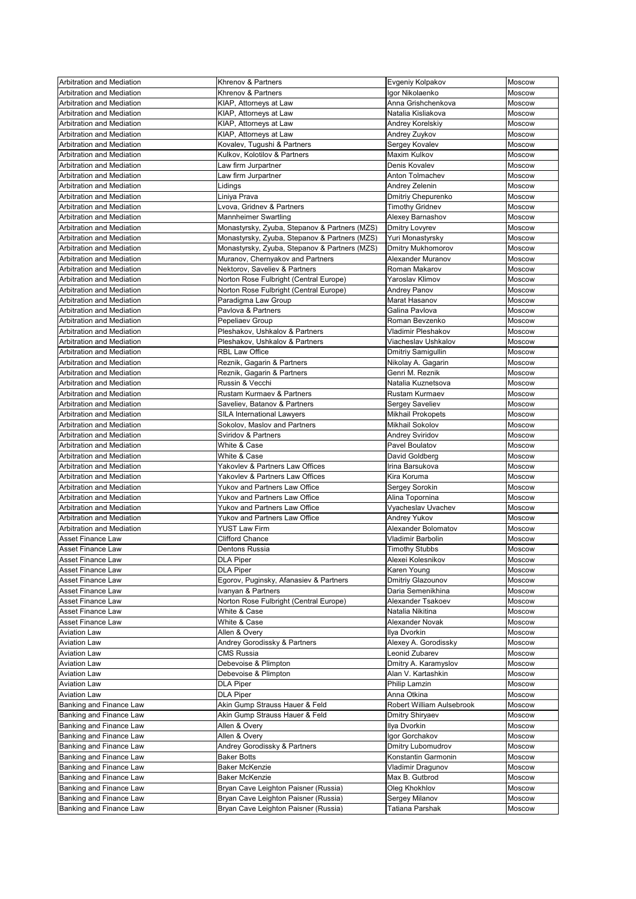| Arbitration and Mediation        | Khrenov & Partners                            | Evgeniy Kolpakov          | <b>Moscow</b> |
|----------------------------------|-----------------------------------------------|---------------------------|---------------|
| Arbitration and Mediation        | Khrenov & Partners                            | Igor Nikolaenko           | Moscow        |
| Arbitration and Mediation        | KIAP, Attorneys at Law                        | Anna Grishchenkova        | Moscow        |
| <b>Arbitration and Mediation</b> | KIAP, Attorneys at Law                        | Natalia Kisliakova        | Moscow        |
|                                  |                                               |                           |               |
| <b>Arbitration and Mediation</b> | KIAP, Attorneys at Law                        | Andrey Korelskiy          | <b>Moscow</b> |
| Arbitration and Mediation        | KIAP, Attorneys at Law                        | Andrey Zuykov             | Moscow        |
| <b>Arbitration and Mediation</b> | Kovalev, Tugushi & Partners                   | Sergey Kovalev            | Moscow        |
| Arbitration and Mediation        | Kulkov, Kolotilov & Partners                  | <b>Maxim Kulkov</b>       | Moscow        |
| <b>Arbitration and Mediation</b> | Law firm Jurpartner                           | Denis Kovalev             | <b>Moscow</b> |
| <b>Arbitration and Mediation</b> | Law firm Jurpartner                           | Anton Tolmachev           | <b>Moscow</b> |
| Arbitration and Mediation        | Lidings                                       | Andrey Zelenin            | Moscow        |
| Arbitration and Mediation        | Liniya Prava                                  | <b>Dmitriy Chepurenko</b> | Moscow        |
| Arbitration and Mediation        | Lvova, Gridnev & Partners                     | <b>Timothy Gridnev</b>    | <b>Moscow</b> |
| <b>Arbitration and Mediation</b> | <b>Mannheimer Swartling</b>                   | Alexey Barnashov          | <b>Moscow</b> |
| <b>Arbitration and Mediation</b> | Monastyrsky, Zyuba, Stepanov & Partners (MZS) | <b>Dmitry Lovyrev</b>     | <b>Moscow</b> |
| Arbitration and Mediation        | Monastyrsky, Zyuba, Stepanov & Partners (MZS) | Yuri Monastyrsky          | Moscow        |
| <b>Arbitration and Mediation</b> | Monastyrsky, Zyuba, Stepanov & Partners (MZS) | <b>Dmitry Mukhomorov</b>  | Moscow        |
| <b>Arbitration and Mediation</b> | Muranov, Chernyakov and Partners              | <b>Alexander Muranov</b>  | Moscow        |
| Arbitration and Mediation        | Nektorov, Saveliev & Partners                 | Roman Makarov             | Moscow        |
| <b>Arbitration and Mediation</b> | Norton Rose Fulbright (Central Europe)        | Yaroslav Klimov           | Moscow        |
|                                  |                                               |                           |               |
| Arbitration and Mediation        | Norton Rose Fulbright (Central Europe)        | <b>Andrey Panov</b>       | Moscow        |
| <b>Arbitration and Mediation</b> | Paradigma Law Group                           | Marat Hasanov             | Moscow        |
| <b>Arbitration and Mediation</b> | Pavlova & Partners                            | Galina Pavlova            | Moscow        |
| Arbitration and Mediation        | Pepeliaev Group                               | Roman Bevzenko            | Moscow        |
| Arbitration and Mediation        | Pleshakov, Ushkalov & Partners                | <b>Vladimir Pleshakov</b> | Moscow        |
| <b>Arbitration and Mediation</b> | Pleshakov, Ushkalov & Partners                | Viacheslav Ushkalov       | Moscow        |
| Arbitration and Mediation        | <b>RBL Law Office</b>                         | Dmitriy Samigullin        | Moscow        |
| Arbitration and Mediation        | Reznik, Gagarin & Partners                    | Nikolay A. Gagarin        | <b>Moscow</b> |
| Arbitration and Mediation        | Reznik, Gagarin & Partners                    | Genri M. Reznik           | Moscow        |
| <b>Arbitration and Mediation</b> | Russin & Vecchi                               | Natalia Kuznetsova        | Moscow        |
| <b>Arbitration and Mediation</b> | Rustam Kurmaev & Partners                     | <b>Rustam Kurmaev</b>     | Moscow        |
| <b>Arbitration and Mediation</b> | Saveliev, Batanov & Partners                  | <b>Sergey Saveliev</b>    | <b>Moscow</b> |
| <b>Arbitration and Mediation</b> | <b>SILA International Lawyers</b>             | <b>Mikhail Prokopets</b>  | Moscow        |
| <b>Arbitration and Mediation</b> | Sokolov, Maslov and Partners                  | <b>Mikhail Sokolov</b>    | Moscow        |
| <b>Arbitration and Mediation</b> | <b>Sviridov &amp; Partners</b>                | Andrey Sviridov           | Moscow        |
| <b>Arbitration and Mediation</b> |                                               | Pavel Boulatov            |               |
|                                  | White & Case                                  |                           | Moscow        |
| <b>Arbitration and Mediation</b> | White & Case                                  | David Goldberg            | Moscow        |
| Arbitration and Mediation        | Yakovlev & Partners Law Offices               | Irina Barsukova           | Moscow        |
| <b>Arbitration and Mediation</b> | Yakovlev & Partners Law Offices               | Kira Koruma               | Moscow        |
| <b>Arbitration and Mediation</b> | Yukov and Partners Law Office                 | Sergey Sorokin            | Moscow        |
| <b>Arbitration and Mediation</b> | Yukov and Partners Law Office                 | Alina Topornina           | Moscow        |
| Arbitration and Mediation        | Yukov and Partners Law Office                 | Vyacheslav Uvachev        | Moscow        |
| <b>Arbitration and Mediation</b> | <b>Yukov and Partners Law Office</b>          | <b>Andrey Yukov</b>       | <b>Moscow</b> |
| <b>Arbitration and Mediation</b> | <b>YUST Law Firm</b>                          | Alexander Bolomatov       | Moscow        |
| <b>Asset Finance Law</b>         | <b>Clifford Chance</b>                        | <b>Vladimir Barbolin</b>  | Moscow        |
| <b>Asset Finance Law</b>         | <b>Dentons Russia</b>                         | <b>Timothy Stubbs</b>     | Moscow        |
| <b>Asset Finance Law</b>         | <b>DLA Piper</b>                              | Alexei Kolesnikov         | Moscow        |
| <b>Asset Finance Law</b>         | <b>DLA Piper</b>                              | Karen Young               | Moscow        |
| <b>Asset Finance Law</b>         | Egorov, Puginsky, Afanasiev & Partners        | Dmitriy Glazounov         | <b>Moscow</b> |
| <b>Asset Finance Law</b>         | Ivanyan & Partners                            | Daria Semenikhina         | Moscow        |
| <b>Asset Finance Law</b>         | Norton Rose Fulbright (Central Europe)        | Alexander Tsakoev         | <b>Moscow</b> |
| <b>Asset Finance Law</b>         | White & Case                                  | Natalia Nikitina          | Moscow        |
| <b>Asset Finance Law</b>         | White & Case                                  | Alexander Novak           | Moscow        |
|                                  |                                               |                           |               |
| <b>Aviation Law</b>              | Allen & Overy                                 | Ilya Dvorkin              | Moscow        |
| <b>Aviation Law</b>              | Andrey Gorodissky & Partners                  | Alexey A. Gorodissky      | Moscow        |
| <b>Aviation Law</b>              | <b>CMS Russia</b>                             | Leonid Zubarev            | <b>Moscow</b> |
| <b>Aviation Law</b>              | Debevoise & Plimpton                          | Dmitry A. Karamyslov      | Moscow        |
| <b>Aviation Law</b>              | Debevoise & Plimpton                          | Alan V. Kartashkin        | Moscow        |
| <b>Aviation Law</b>              | <b>DLA Piper</b>                              | Philip Lamzin             | Moscow        |
| <b>Aviation Law</b>              | <b>DLA Piper</b>                              | Anna Otkina               | Moscow        |
| Banking and Finance Law          | Akin Gump Strauss Hauer & Feld                | Robert William Aulsebrook | Moscow        |
| Banking and Finance Law          | Akin Gump Strauss Hauer & Feld                | Dmitry Shiryaev           | <b>Moscow</b> |
| Banking and Finance Law          | Allen & Overy                                 | Ilya Dvorkin              | Moscow        |
| Banking and Finance Law          | Allen & Overy                                 | Igor Gorchakov            | <b>Moscow</b> |
| Banking and Finance Law          | Andrey Gorodissky & Partners                  | <b>Dmitry Lubomudrov</b>  | Moscow        |
| Banking and Finance Law          | <b>Baker Botts</b>                            | Konstantin Garmonin       | Moscow        |
| Banking and Finance Law          | <b>Baker McKenzie</b>                         | Vladimir Dragunov         | Moscow        |
| Banking and Finance Law          | <b>Baker McKenzie</b>                         | Max B. Gutbrod            |               |
|                                  |                                               |                           | Moscow        |
| Banking and Finance Law          | Bryan Cave Leighton Paisner (Russia)          | Oleg Khokhlov             | <b>Moscow</b> |
| Banking and Finance Law          | Bryan Cave Leighton Paisner (Russia)          | Sergey Milanov            | <b>Moscow</b> |
| Banking and Finance Law          | Bryan Cave Leighton Paisner (Russia)          | Tatiana Parshak           | Moscow        |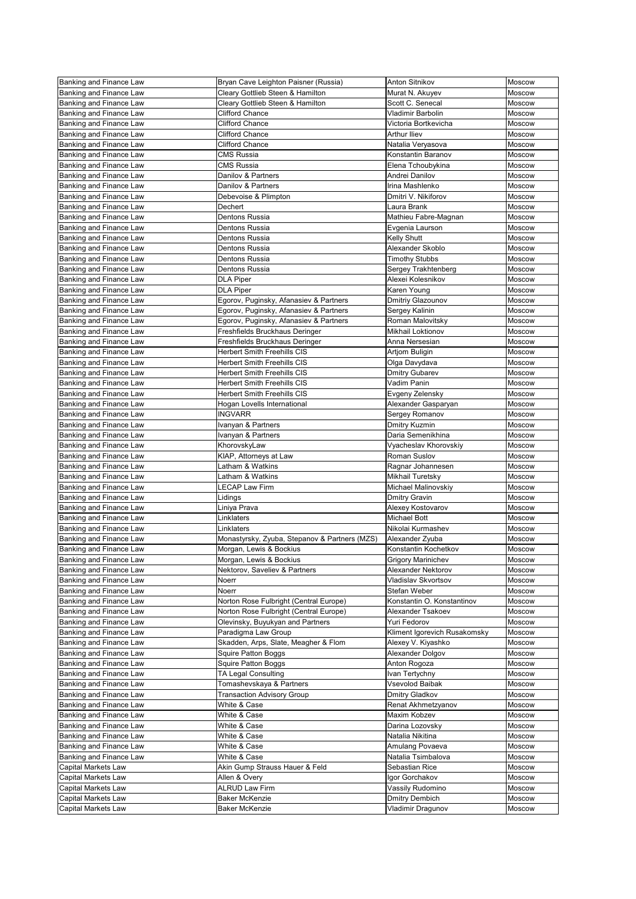| Banking and Finance Law        | Bryan Cave Leighton Paisner (Russia)          | <b>Anton Sitnikov</b>        | Moscow        |
|--------------------------------|-----------------------------------------------|------------------------------|---------------|
| Banking and Finance Law        | Cleary Gottlieb Steen & Hamilton              | Murat N. Akuyev              | Moscow        |
| Banking and Finance Law        | Cleary Gottlieb Steen & Hamilton              | Scott C. Senecal             | Moscow        |
| Banking and Finance Law        | <b>Clifford Chance</b>                        | <b>Vladimir Barbolin</b>     | Moscow        |
| Banking and Finance Law        | <b>Clifford Chance</b>                        | Victoria Bortkevicha         | Moscow        |
| Banking and Finance Law        | <b>Clifford Chance</b>                        | <b>Arthur Iliev</b>          | Moscow        |
| Banking and Finance Law        | <b>Clifford Chance</b>                        | Natalia Veryasova            | Moscow        |
| <b>Banking and Finance Law</b> | <b>CMS Russia</b>                             | Konstantin Baranov           | Moscow        |
|                                |                                               |                              |               |
| Banking and Finance Law        | <b>CMS Russia</b>                             | Elena Tchoubykina            | Moscow        |
| Banking and Finance Law        | Danilov & Partners                            | Andrei Danilov               | <b>Moscow</b> |
| Banking and Finance Law        | Danilov & Partners                            | Irina Mashlenko              | Moscow        |
| Banking and Finance Law        | Debevoise & Plimpton                          | Dmitri V. Nikiforov          | Moscow        |
| Banking and Finance Law        | Dechert                                       | Laura Brank                  | Moscow        |
| Banking and Finance Law        | <b>Dentons Russia</b>                         | Mathieu Fabre-Magnan         | Moscow        |
| Banking and Finance Law        | Dentons Russia                                | Evgenia Laurson              | Moscow        |
| Banking and Finance Law        | Dentons Russia                                | <b>Kelly Shutt</b>           | Moscow        |
| Banking and Finance Law        | Dentons Russia                                | Alexander Skoblo             | Moscow        |
| Banking and Finance Law        | Dentons Russia                                | <b>Timothy Stubbs</b>        | <b>Moscow</b> |
| Banking and Finance Law        | Dentons Russia                                | Sergey Trakhtenberg          | Moscow        |
| Banking and Finance Law        | <b>DLA Piper</b>                              | Alexei Kolesnikov            | Moscow        |
| Banking and Finance Law        | <b>DLA Piper</b>                              | Karen Young                  | Moscow        |
| Banking and Finance Law        | Egorov, Puginsky, Afanasiev & Partners        | Dmitriy Glazounov            | Moscow        |
| Banking and Finance Law        | Egorov, Puginsky, Afanasiev & Partners        | Sergey Kalinin               | <b>Moscow</b> |
| Banking and Finance Law        | Egorov, Puginsky, Afanasiev & Partners        | Roman Malovitsky             | Moscow        |
| Banking and Finance Law        | Freshfields Bruckhaus Deringer                | <b>Mikhail Loktionov</b>     | Moscow        |
| Banking and Finance Law        | Freshfields Bruckhaus Deringer                | Anna Nersesian               | Moscow        |
| Banking and Finance Law        | <b>Herbert Smith Freehills CIS</b>            | <b>Artjom Buligin</b>        | Moscow        |
| Banking and Finance Law        | <b>Herbert Smith Freehills CIS</b>            | Olga Davydava                | Moscow        |
| Banking and Finance Law        | <b>Herbert Smith Freehills CIS</b>            | <b>Dmitry Gubarev</b>        | Moscow        |
| Banking and Finance Law        | <b>Herbert Smith Freehills CIS</b>            | Vadim Panin                  | Moscow        |
| Banking and Finance Law        | <b>Herbert Smith Freehills CIS</b>            | Evgeny Zelensky              | Moscow        |
| Banking and Finance Law        | Hogan Lovells International                   | Alexander Gasparyan          | Moscow        |
|                                | <b>INGVARR</b>                                |                              |               |
| Banking and Finance Law        |                                               | Sergey Romanov               | Moscow        |
| Banking and Finance Law        | Ivanyan & Partners                            | Dmitry Kuzmin                | Moscow        |
| Banking and Finance Law        | Ivanyan & Partners                            | Daria Semenikhina            | Moscow        |
| Banking and Finance Law        | KhorovskyLaw                                  | Vyacheslav Khorovskiy        | <b>Moscow</b> |
| Banking and Finance Law        | KIAP, Attorneys at Law                        | Roman Suslov                 | Moscow        |
| Banking and Finance Law        | Latham & Watkins                              | Ragnar Johannesen            | Moscow        |
| Banking and Finance Law        | Latham & Watkins                              | Mikhail Turetsky             | Moscow        |
| Banking and Finance Law        | <b>LECAP Law Firm</b>                         | Michael Malinovskiy          | Moscow        |
| <b>Banking and Finance Law</b> | Lidings                                       | <b>Dmitry Gravin</b>         | Moscow        |
| Banking and Finance Law        | Liniya Prava                                  | Alexey Kostovarov            | Moscow        |
| Banking and Finance Law        | Linklaters                                    | <b>Michael Bott</b>          | Moscow        |
| Banking and Finance Law        | Linklaters                                    | Nikolai Kurmashev            | Moscow        |
| Banking and Finance Law        | Monastyrsky, Zyuba, Stepanov & Partners (MZS) | Alexander Zyuba              | Moscow        |
| Banking and Finance Law        | Morgan, Lewis & Bockius                       | Konstantin Kochetkov         | Moscow        |
| Banking and Finance Law        | Morgan, Lewis & Bockius                       | <b>Grigory Marinichev</b>    | Moscow        |
| Banking and Finance Law        | Nektorov, Saveliev & Partners                 | <b>Alexander Nektorov</b>    | Moscow        |
| Banking and Finance Law        | <b>Noerr</b>                                  | Vladislav Skvortsov          | Moscow        |
| Banking and Finance Law        | <b>Noerr</b>                                  | Stefan Weber                 | Moscow        |
| Banking and Finance Law        | Norton Rose Fulbright (Central Europe)        | Konstantin O. Konstantinov   | Moscow        |
| Banking and Finance Law        | Norton Rose Fulbright (Central Europe)        | Alexander Tsakoev            | Moscow        |
| Banking and Finance Law        | Olevinsky, Buyukyan and Partners              | Yuri Fedorov                 | Moscow        |
| Banking and Finance Law        | Paradigma Law Group                           | Kliment Igorevich Rusakomsky | Moscow        |
| Banking and Finance Law        | Skadden, Arps, Slate, Meagher & Flom          | Alexey V. Kiyashko           | Moscow        |
| Banking and Finance Law        | <b>Squire Patton Boggs</b>                    | Alexander Dolgov             | Moscow        |
| Banking and Finance Law        | <b>Squire Patton Boggs</b>                    | Anton Rogoza                 | <b>Moscow</b> |
| Banking and Finance Law        | TA Legal Consulting                           | Ivan Tertychny               | Moscow        |
| Banking and Finance Law        | Tomashevskaya & Partners                      | Vsevolod Baibak              | <b>Moscow</b> |
| Banking and Finance Law        | <b>Transaction Advisory Group</b>             | Dmitry Gladkov               | Moscow        |
| Banking and Finance Law        | White & Case                                  | Renat Akhmetzyanov           | Moscow        |
| Banking and Finance Law        | White & Case                                  | Maxim Kobzev                 | Moscow        |
| Banking and Finance Law        | White & Case                                  | Darina Lozovsky              | Moscow        |
| Banking and Finance Law        | White & Case                                  | Natalia Nikitina             | <b>Moscow</b> |
| Banking and Finance Law        | White & Case                                  | Amulang Povaeva              | <b>Moscow</b> |
| Banking and Finance Law        | White & Case                                  | Natalia Tsimbalova           | Moscow        |
|                                | Akin Gump Strauss Hauer & Feld                |                              |               |
| <b>Capital Markets Law</b>     |                                               | Sebastian Rice               | Moscow        |
| <b>Capital Markets Law</b>     | Allen & Overy                                 | Igor Gorchakov               | Moscow        |
| <b>Capital Markets Law</b>     | <b>ALRUD Law Firm</b>                         | Vassily Rudomino             | Moscow        |
| <b>Capital Markets Law</b>     | <b>Baker McKenzie</b>                         | <b>Dmitry Dembich</b>        | Moscow        |
| <b>Capital Markets Law</b>     | <b>Baker McKenzie</b>                         | Vladimir Dragunov            | Moscow        |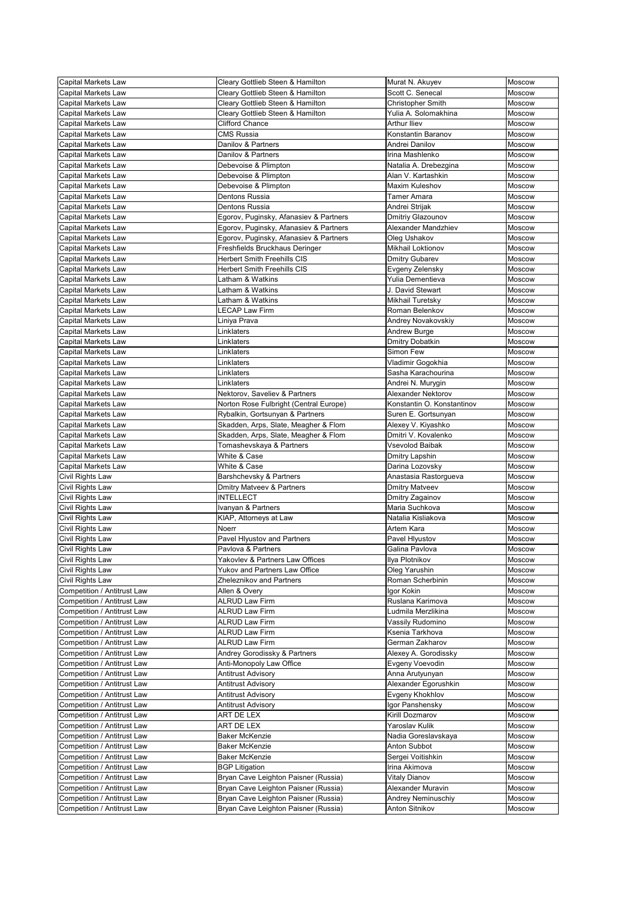| <b>Capital Markets Law</b>                                        | Cleary Gottlieb Steen & Hamilton                                             | Murat N. Akuyev                               | Moscow           |
|-------------------------------------------------------------------|------------------------------------------------------------------------------|-----------------------------------------------|------------------|
| <b>Capital Markets Law</b>                                        | Cleary Gottlieb Steen & Hamilton                                             | Scott C. Senecal                              | <b>Moscow</b>    |
| <b>Capital Markets Law</b>                                        | Cleary Gottlieb Steen & Hamilton                                             | <b>Christopher Smith</b>                      | Moscow           |
| <b>Capital Markets Law</b>                                        | Cleary Gottlieb Steen & Hamilton                                             | Yulia A. Solomakhina                          | Moscow           |
| <b>Capital Markets Law</b>                                        | <b>Clifford Chance</b>                                                       | <b>Arthur Iliev</b>                           | <b>Moscow</b>    |
| <b>Capital Markets Law</b>                                        | <b>CMS Russia</b>                                                            | Konstantin Baranov                            | Moscow           |
| Capital Markets Law                                               | Danilov & Partners                                                           | Andrei Danilov                                | Moscow           |
| <b>Capital Markets Law</b>                                        | Danilov & Partners                                                           | Irina Mashlenko                               | Moscow           |
| <b>Capital Markets Law</b>                                        | Debevoise & Plimpton                                                         | Natalia A. Drebezgina                         | <b>Moscow</b>    |
| <b>Capital Markets Law</b>                                        | Debevoise & Plimpton                                                         | Alan V. Kartashkin<br><b>Maxim Kuleshov</b>   | Moscow           |
| <b>Capital Markets Law</b>                                        | Debevoise & Plimpton<br>Dentons Russia                                       |                                               | Moscow           |
| <b>Capital Markets Law</b><br><b>Capital Markets Law</b>          | Dentons Russia                                                               | Tamer Amara<br>Andrei Strijak                 | Moscow<br>Moscow |
| <b>Capital Markets Law</b>                                        | Egorov, Puginsky, Afanasiev & Partners                                       | Dmitriy Glazounov                             | Moscow           |
| Capital Markets Law                                               | Egorov, Puginsky, Afanasiev & Partners                                       | Alexander Mandzhiev                           | <b>Moscow</b>    |
| <b>Capital Markets Law</b>                                        | Egorov, Puginsky, Afanasiev & Partners                                       | Oleg Ushakov                                  | Moscow           |
| <b>Capital Markets Law</b>                                        | Freshfields Bruckhaus Deringer                                               | <b>Mikhail Loktionov</b>                      | <b>Moscow</b>    |
| <b>Capital Markets Law</b>                                        | <b>Herbert Smith Freehills CIS</b>                                           | <b>Dmitry Gubarev</b>                         | Moscow           |
| <b>Capital Markets Law</b>                                        | <b>Herbert Smith Freehills CIS</b>                                           | Evgeny Zelensky                               | Moscow           |
| <b>Capital Markets Law</b>                                        | Latham & Watkins                                                             | Yulia Dementieva                              | <b>Moscow</b>    |
| <b>Capital Markets Law</b>                                        | Latham & Watkins                                                             | J. David Stewart                              | Moscow           |
| <b>Capital Markets Law</b>                                        | Latham & Watkins                                                             | Mikhail Turetsky                              | <b>Moscow</b>    |
| <b>Capital Markets Law</b>                                        | <b>LECAP Law Firm</b>                                                        | Roman Belenkov                                | <b>Moscow</b>    |
| <b>Capital Markets Law</b>                                        | Liniya Prava                                                                 | Andrey Novakovskiy                            | Moscow           |
| <b>Capital Markets Law</b>                                        | Linklaters                                                                   | Andrew Burge                                  | Moscow           |
| <b>Capital Markets Law</b>                                        | Linklaters                                                                   | <b>Dmitry Dobatkin</b>                        | Moscow           |
| <b>Capital Markets Law</b>                                        | Linklaters                                                                   | Simon Few                                     | Moscow           |
| <b>Capital Markets Law</b>                                        | Linklaters                                                                   | Vladimir Gogokhia                             | <b>Moscow</b>    |
| <b>Capital Markets Law</b>                                        | Linklaters                                                                   | Sasha Karachourina                            | Moscow           |
| <b>Capital Markets Law</b>                                        | Linklaters                                                                   | Andrei N. Murygin                             | Moscow           |
| <b>Capital Markets Law</b>                                        | Nektorov, Saveliev & Partners                                                | <b>Alexander Nektorov</b>                     | Moscow           |
| Capital Markets Law                                               | Norton Rose Fulbright (Central Europe)                                       | Konstantin O. Konstantinov                    | Moscow           |
| <b>Capital Markets Law</b>                                        | Rybalkin, Gortsunyan & Partners                                              | Suren E. Gortsunyan                           | Moscow           |
| <b>Capital Markets Law</b>                                        | Skadden, Arps, Slate, Meagher & Flom<br>Skadden, Arps, Slate, Meagher & Flom | Alexey V. Kiyashko                            | Moscow           |
| <b>Capital Markets Law</b><br><b>Capital Markets Law</b>          | Tomashevskaya & Partners                                                     | Dmitri V. Kovalenko<br><b>Vsevolod Baibak</b> | Moscow<br>Moscow |
| Capital Markets Law                                               | White & Case                                                                 | Dmitry Lapshin                                | Moscow           |
| <b>Capital Markets Law</b>                                        | White & Case                                                                 | Darina Lozovsky                               | Moscow           |
| Civil Rights Law                                                  | Barshchevsky & Partners                                                      | Anastasia Rastorgueva                         | Moscow           |
| Civil Rights Law                                                  | <b>Dmitry Matveev &amp; Partners</b>                                         | <b>Dmitry Matveev</b>                         | Moscow           |
| Civil Rights Law                                                  | <b>INTELLECT</b>                                                             | Dmitry Zagainov                               | Moscow           |
| Civil Rights Law                                                  | Ivanyan & Partners                                                           | Maria Suchkova                                | Moscow           |
| Civil Rights Law                                                  | KIAP, Attorneys at Law                                                       | Natalia Kisliakova                            | Moscow           |
| Civil Rights Law                                                  | Noerr                                                                        | Artem Kara                                    | Moscow           |
| Civil Rights Law                                                  | Pavel Hlyustov and Partners                                                  | Pavel Hlyustov                                | Moscow           |
| Civil Rights Law                                                  | Pavlova & Partners                                                           | Galina Pavlova                                | Moscow           |
| Civil Rights Law                                                  | Yakovlev & Partners Law Offices                                              | Ilya Plotnikov                                | Moscow           |
| Civil Rights Law                                                  | Yukov and Partners Law Office                                                | Oleg Yarushin                                 | Moscow           |
| Civil Rights Law                                                  | <b>Zheleznikov and Partners</b>                                              | Roman Scherbinin                              | <b>Moscow</b>    |
| Competition / Antitrust Law                                       | Allen & Overy                                                                | Igor Kokin                                    | Moscow           |
| <b>Competition / Antitrust Law</b>                                | <b>ALRUD Law Firm</b>                                                        | Ruslana Karimova                              | Moscow           |
| Competition / Antitrust Law                                       | <b>ALRUD Law Firm</b>                                                        | Ludmila Merzlikina                            | Moscow           |
| Competition / Antitrust Law                                       | <b>ALRUD Law Firm</b>                                                        | Vassily Rudomino                              | Moscow           |
| <b>Competition / Antitrust Law</b>                                | <b>ALRUD Law Firm</b><br><b>ALRUD Law Firm</b>                               | Ksenia Tarkhova                               | Moscow           |
| Competition / Antitrust Law<br><b>Competition / Antitrust Law</b> | Andrey Gorodissky & Partners                                                 | German Zakharov                               | Moscow<br>Moscow |
| <b>Competition / Antitrust Law</b>                                | Anti-Monopoly Law Office                                                     | Alexey A. Gorodissky<br>Evgeny Voevodin       | Moscow           |
| Competition / Antitrust Law                                       | <b>Antitrust Advisory</b>                                                    | Anna Arutyunyan                               | Moscow           |
| <b>Competition / Antitrust Law</b>                                | <b>Antitrust Advisory</b>                                                    | Alexander Egorushkin                          | Moscow           |
| Competition / Antitrust Law                                       | <b>Antitrust Advisory</b>                                                    | Evgeny Khokhlov                               | Moscow           |
| Competition / Antitrust Law                                       | <b>Antitrust Advisory</b>                                                    | Igor Panshensky                               | Moscow           |
| Competition / Antitrust Law                                       | ART DE LEX                                                                   | Kirill Dozmarov                               | <b>Moscow</b>    |
| Competition / Antitrust Law                                       | ART DE LEX                                                                   | Yaroslav Kulik                                | Moscow           |
| <b>Competition / Antitrust Law</b>                                | <b>Baker McKenzie</b>                                                        | Nadia Goreslavskaya                           | Moscow           |
| Competition / Antitrust Law                                       | <b>Baker McKenzie</b>                                                        | Anton Subbot                                  | Moscow           |
| Competition / Antitrust Law                                       | <b>Baker McKenzie</b>                                                        | Sergei Voitishkin                             | Moscow           |
| <b>Competition / Antitrust Law</b>                                | <b>BGP Litigation</b>                                                        | Irina Akimova                                 | <b>Moscow</b>    |
| <b>Competition / Antitrust Law</b>                                | Bryan Cave Leighton Paisner (Russia)                                         | <b>Vitaly Dianov</b>                          | Moscow           |
| Competition / Antitrust Law                                       | Bryan Cave Leighton Paisner (Russia)                                         | Alexander Muravin                             | <b>Moscow</b>    |
| <b>Competition / Antitrust Law</b>                                | Bryan Cave Leighton Paisner (Russia)                                         | <b>Andrey Neminuschiy</b>                     | <b>Moscow</b>    |
| Competition / Antitrust Law                                       | Bryan Cave Leighton Paisner (Russia)                                         | Anton Sitnikov                                | Moscow           |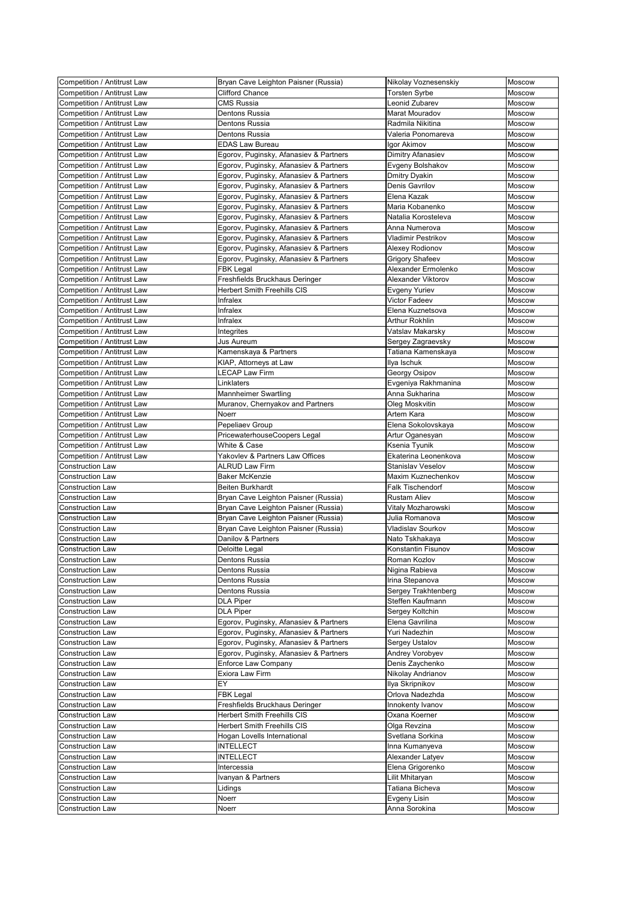| <b>Competition / Antitrust Law</b>                 | Bryan Cave Leighton Paisner (Russia)   | Nikolay Voznesenskiy          | Moscow           |
|----------------------------------------------------|----------------------------------------|-------------------------------|------------------|
| Competition / Antitrust Law                        | <b>Clifford Chance</b>                 | <b>Torsten Syrbe</b>          | Moscow           |
| Competition / Antitrust Law                        | <b>CMS Russia</b>                      | Leonid Zubarev                | <b>Moscow</b>    |
| <b>Competition / Antitrust Law</b>                 | <b>Dentons Russia</b>                  | Marat Mouradov                | Moscow           |
| Competition / Antitrust Law                        | Dentons Russia                         | Radmila Nikitina              | <b>Moscow</b>    |
| <b>Competition / Antitrust Law</b>                 | <b>Dentons Russia</b>                  | Valeria Ponomareva            | Moscow           |
| Competition / Antitrust Law                        | <b>EDAS Law Bureau</b>                 | Igor Akimov                   | Moscow           |
| Competition / Antitrust Law                        | Egorov, Puginsky, Afanasiev & Partners | Dimitry Afanasiev             | Moscow           |
| <b>Competition / Antitrust Law</b>                 | Egorov, Puginsky, Afanasiev & Partners | Evgeny Bolshakov              | Moscow           |
| <b>Competition / Antitrust Law</b>                 | Egorov, Puginsky, Afanasiev & Partners | <b>Dmitry Dyakin</b>          | Moscow           |
| <b>Competition / Antitrust Law</b>                 | Egorov, Puginsky, Afanasiev & Partners | <b>Denis Gavrilov</b>         | Moscow           |
| Competition / Antitrust Law                        | Egorov, Puginsky, Afanasiev & Partners | Elena Kazak                   | Moscow           |
| Competition / Antitrust Law                        | Egorov, Puginsky, Afanasiev & Partners | Maria Kobanenko               | Moscow           |
| <b>Competition / Antitrust Law</b>                 | Egorov, Puginsky, Afanasiev & Partners | Natalia Korosteleva           | Moscow           |
| <b>Competition / Antitrust Law</b>                 | Egorov, Puginsky, Afanasiev & Partners | Anna Numerova                 | Moscow           |
| Competition / Antitrust Law                        | Egorov, Puginsky, Afanasiev & Partners | <b>Vladimir Pestrikov</b>     | Moscow           |
| <b>Competition / Antitrust Law</b>                 | Egorov, Puginsky, Afanasiev & Partners | Alexey Rodionov               | Moscow           |
| <b>Competition / Antitrust Law</b>                 | Egorov, Puginsky, Afanasiev & Partners | <b>Grigory Shafeev</b>        | Moscow           |
| <b>Competition / Antitrust Law</b>                 | <b>FBK Legal</b>                       | Alexander Ermolenko           | Moscow           |
| <b>Competition / Antitrust Law</b>                 | Freshfields Bruckhaus Deringer         | Alexander Viktorov            | Moscow           |
| Competition / Antitrust Law                        | <b>Herbert Smith Freehills CIS</b>     | <b>Evgeny Yuriev</b>          | Moscow           |
| <b>Competition / Antitrust Law</b>                 | Infralex                               | <b>Victor Fadeev</b>          | Moscow           |
| <b>Competition / Antitrust Law</b>                 | Infralex                               | Elena Kuznetsova              | Moscow           |
| Competition / Antitrust Law                        | Infralex                               | <b>Arthur Rokhlin</b>         | Moscow           |
| Competition / Antitrust Law                        | Integrites                             | Vatslav Makarsky              | Moscow           |
| Competition / Antitrust Law                        | <b>Jus Aureum</b>                      | Sergey Zagraevsky             | <b>Moscow</b>    |
| <b>Competition / Antitrust Law</b>                 | Kamenskaya & Partners                  | Tatiana Kamenskaya            | Moscow           |
| <b>Competition / Antitrust Law</b>                 | KIAP, Attorneys at Law                 | Ilya Ischuk                   | Moscow           |
| Competition / Antitrust Law                        | <b>LECAP Law Firm</b>                  | Georgy Osipov                 | Moscow           |
| <b>Competition / Antitrust Law</b>                 | Linklaters                             | Evgeniya Rakhmanina           | Moscow           |
| <b>Competition / Antitrust Law</b>                 | <b>Mannheimer Swartling</b>            | Anna Sukharina                | Moscow           |
| Competition / Antitrust Law                        | Muranov, Chernyakov and Partners       | Oleg Moskvitin                | Moscow           |
| <b>Competition / Antitrust Law</b>                 | <b>Noerr</b>                           | Artem Kara                    | <b>Moscow</b>    |
| Competition / Antitrust Law                        | Pepeliaev Group                        | Elena Sokolovskaya            | Moscow           |
| <b>Competition / Antitrust Law</b>                 | PricewaterhouseCoopers Legal           | Artur Oganesyan               | Moscow           |
| <b>Competition / Antitrust Law</b>                 | White & Case                           | Ksenia Tyunik                 | Moscow           |
| Competition / Antitrust Law                        | Yakovlev & Partners Law Offices        | Ekaterina Leonenkova          | Moscow           |
| <b>Construction Law</b>                            | <b>ALRUD Law Firm</b>                  | <b>Stanislav Veselov</b>      | Moscow           |
| <b>Construction Law</b>                            | <b>Baker McKenzie</b>                  | Maxim Kuznechenkov            | Moscow           |
| <b>Construction Law</b>                            | <b>Beiten Burkhardt</b>                | <b>Falk Tischendorf</b>       | Moscow           |
| <b>Construction Law</b>                            | Bryan Cave Leighton Paisner (Russia)   | <b>Rustam Aliev</b>           | Moscow           |
| <b>Construction Law</b>                            | Bryan Cave Leighton Paisner (Russia)   | Vitaly Mozharowski            | Moscow           |
| <b>Construction Law</b>                            | Bryan Cave Leighton Paisner (Russia)   | Julia Romanova                | Moscow           |
| <b>Construction Law</b>                            | Bryan Cave Leighton Paisner (Russia)   | <b>Vladislav Sourkov</b>      | Moscow           |
| <b>Construction Law</b>                            | Danilov & Partners                     | Nato Tskhakaya                | Moscow           |
| <b>Construction Law</b>                            | Deloitte Legal                         | Konstantin Fisunov            | Moscow           |
| <b>Construction Law</b>                            | Dentons Russia                         | Roman Kozlov                  | Moscow           |
| <b>Construction Law</b>                            | <b>Dentons Russia</b>                  | Nigina Rabieva                | Moscow           |
| <b>Construction Law</b>                            | Dentons Russia                         | Irina Stepanova               | Moscow           |
| <b>Construction Law</b>                            | Dentons Russia                         | Sergey Trakhtenberg           | Moscow           |
| <b>Construction Law</b>                            |                                        |                               |                  |
| <b>Construction Law</b>                            |                                        |                               |                  |
|                                                    | <b>DLA Piper</b>                       | Steffen Kaufmann              | Moscow           |
|                                                    | <b>DLA Piper</b>                       | Sergey Koltchin               | Moscow           |
| <b>Construction Law</b>                            | Egorov, Puginsky, Afanasiev & Partners | Elena Gavrilina               | Moscow           |
| <b>Construction Law</b>                            | Egorov, Puginsky, Afanasiev & Partners | Yuri Nadezhin                 | Moscow           |
| <b>Construction Law</b>                            | Egorov, Puginsky, Afanasiev & Partners | Sergey Ustalov                | Moscow           |
| <b>Construction Law</b>                            | Egorov, Puginsky, Afanasiev & Partners | Andrey Vorobyev               | Moscow           |
| <b>Construction Law</b>                            | <b>Enforce Law Company</b>             | Denis Zaychenko               | Moscow           |
| <b>Construction Law</b>                            | Exiora Law Firm                        | Nikolay Andrianov             | Moscow           |
| <b>Construction Law</b>                            | EY                                     | Ilya Skripnikov               | Moscow           |
| <b>Construction Law</b>                            | <b>FBK Legal</b>                       | Orlova Nadezhda               | Moscow           |
| <b>Construction Law</b>                            | Freshfields Bruckhaus Deringer         | Innokenty Ivanov              | Moscow           |
| <b>Construction Law</b>                            | <b>Herbert Smith Freehills CIS</b>     | Oxana Koerner                 | Moscow           |
| <b>Construction Law</b>                            | <b>Herbert Smith Freehills CIS</b>     | Olga Revzina                  | Moscow           |
| <b>Construction Law</b>                            | Hogan Lovells International            | Svetlana Sorkina              | Moscow           |
| <b>Construction Law</b>                            | <b>INTELLECT</b>                       | Inna Kumanyeva                | Moscow           |
| <b>Construction Law</b>                            | <b>INTELLECT</b>                       | Alexander Latyev              | Moscow           |
| <b>Construction Law</b>                            | Intercessia                            | Elena Grigorenko              | Moscow           |
| <b>Construction Law</b>                            | Ivanyan & Partners                     | Lilit Mhitaryan               | Moscow           |
| <b>Construction Law</b>                            | Lidings                                | Tatiana Bicheva               | Moscow           |
| <b>Construction Law</b><br><b>Construction Law</b> | <b>Noerr</b><br>Noerr                  | Evgeny Lisin<br>Anna Sorokina | Moscow<br>Moscow |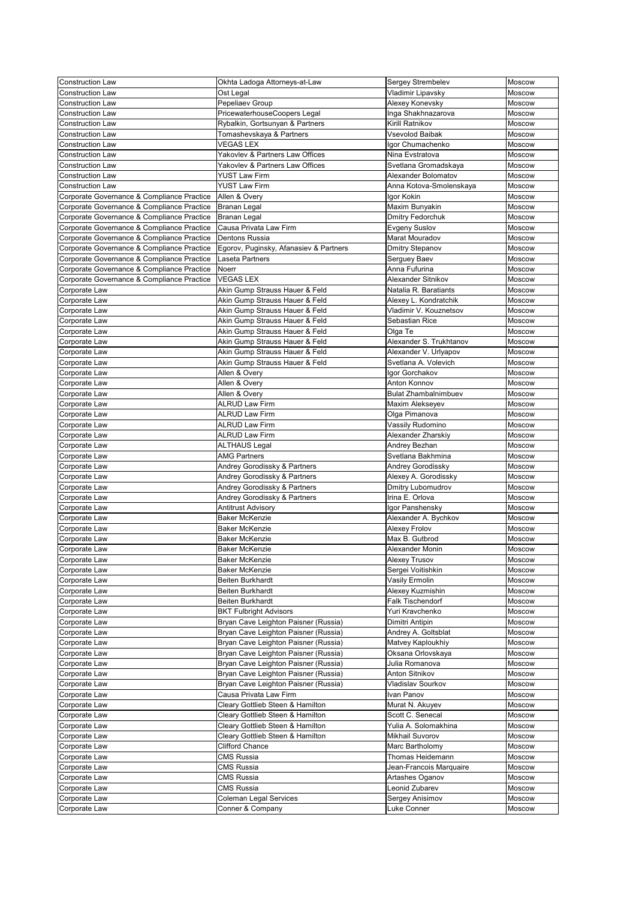| <b>Construction Law</b>                    | Okhta Ladoga Attorneys-at-Law          | <b>Sergey Strembelev</b>    | Moscow        |
|--------------------------------------------|----------------------------------------|-----------------------------|---------------|
| <b>Construction Law</b>                    | Ost Legal                              | Vladimir Lipavsky           | <b>Moscow</b> |
| <b>Construction Law</b>                    | Pepeliaev Group                        | Alexey Konevsky             | <b>Moscow</b> |
| <b>Construction Law</b>                    | PricewaterhouseCoopers Legal           | Inga Shakhnazarova          | Moscow        |
| <b>Construction Law</b>                    | Rybalkin, Gortsunyan & Partners        | Kirill Ratnikov             | Moscow        |
| <b>Construction Law</b>                    | Tomashevskaya & Partners               | <b>Vsevolod Baibak</b>      | Moscow        |
| <b>Construction Law</b>                    | <b>VEGAS LEX</b>                       | Igor Chumachenko            | Moscow        |
| <b>Construction Law</b>                    | Yakovlev & Partners Law Offices        | Nina Evstratova             | Moscow        |
| <b>Construction Law</b>                    | Yakovlev & Partners Law Offices        | Svetlana Gromadskaya        | <b>Moscow</b> |
| <b>Construction Law</b>                    | <b>YUST Law Firm</b>                   | Alexander Bolomatov         | Moscow        |
| <b>Construction Law</b>                    | <b>YUST Law Firm</b>                   | Anna Kotova-Smolenskaya     | Moscow        |
| Corporate Governance & Compliance Practice | Allen & Overy                          | Igor Kokin                  | Moscow        |
| Corporate Governance & Compliance Practice | Branan Legal                           | Maxim Bunyakin              | Moscow        |
| Corporate Governance & Compliance Practice | Branan Legal                           | <b>Dmitry Fedorchuk</b>     | Moscow        |
| Corporate Governance & Compliance Practice | Causa Privata Law Firm                 | <b>Evgeny Suslov</b>        | <b>Moscow</b> |
| Corporate Governance & Compliance Practice | Dentons Russia                         | Marat Mouradov              | Moscow        |
| Corporate Governance & Compliance Practice | Egorov, Puginsky, Afanasiev & Partners | <b>Dmitry Stepanov</b>      | Moscow        |
| Corporate Governance & Compliance Practice | Laseta Partners                        | Serguey Baev                | Moscow        |
| Corporate Governance & Compliance Practice | Noerr                                  | Anna Fufurina               | Moscow        |
| Corporate Governance & Compliance Practice | <b>VEGAS LEX</b>                       | Alexander Sitnikov          | Moscow        |
| Corporate Law                              | Akin Gump Strauss Hauer & Feld         | Natalia R. Baratiants       | Moscow        |
| Corporate Law                              | Akin Gump Strauss Hauer & Feld         | Alexey L. Kondratchik       | <b>Moscow</b> |
| Corporate Law                              | Akin Gump Strauss Hauer & Feld         | Vladimir V. Kouznetsov      | Moscow        |
| Corporate Law                              | Akin Gump Strauss Hauer & Feld         | Sebastian Rice              | Moscow        |
| Corporate Law                              | Akin Gump Strauss Hauer & Feld         | Olga Te                     | Moscow        |
| Corporate Law                              | Akin Gump Strauss Hauer & Feld         | Alexander S. Trukhtanov     | <b>Moscow</b> |
| Corporate Law                              | Akin Gump Strauss Hauer & Feld         | Alexander V. Urlyapov       | Moscow        |
| Corporate Law                              | Akin Gump Strauss Hauer & Feld         | Svetlana A. Volevich        | <b>Moscow</b> |
| Corporate Law                              | Allen & Overy                          | Igor Gorchakov              | Moscow        |
| Corporate Law                              | Allen & Overy                          | <b>Anton Konnov</b>         | Moscow        |
| Corporate Law                              | Allen & Overy                          | <b>Bulat Zhambalnimbuev</b> | Moscow        |
| Corporate Law                              | <b>ALRUD Law Firm</b>                  | Maxim Alekseyev             | Moscow        |
| Corporate Law                              | <b>ALRUD Law Firm</b>                  | Olga Pimanova               | Moscow        |
| Corporate Law                              | <b>ALRUD Law Firm</b>                  | Vassily Rudomino            | Moscow        |
| Corporate Law                              | <b>ALRUD Law Firm</b>                  | Alexander Zharskiy          | <b>Moscow</b> |
| Corporate Law                              | <b>ALTHAUS Legal</b>                   | Andrey Bezhan               | <b>Moscow</b> |
| Corporate Law                              | <b>AMG Partners</b>                    | Svetlana Bakhmina           | Moscow        |
| Corporate Law                              | Andrey Gorodissky & Partners           | Andrey Gorodissky           | <b>Moscow</b> |
| Corporate Law                              | Andrey Gorodissky & Partners           | Alexey A. Gorodissky        | Moscow        |
| Corporate Law                              | Andrey Gorodissky & Partners           | <b>Dmitry Lubomudrov</b>    | Moscow        |
| Corporate Law                              | Andrey Gorodissky & Partners           | Irina E. Orlova             | Moscow        |
| Corporate Law                              | <b>Antitrust Advisory</b>              | Igor Panshensky             | Moscow        |
| Corporate Law                              | <b>Baker McKenzie</b>                  | Alexander A. Bychkov        | Moscow        |
| Corporate Law                              | <b>Baker McKenzie</b>                  | <b>Alexey Frolov</b>        | Moscow        |
| Corporate Law                              | <b>Baker McKenzie</b>                  | Max B. Gutbrod              | Moscow        |
| Corporate Law                              | <b>Baker McKenzie</b>                  | Alexander Monin             | Moscow        |
| Corporate Law                              | <b>Baker McKenzie</b>                  | <b>Alexey Trusov</b>        | Moscow        |
| Corporate Law                              | <b>Baker McKenzie</b>                  | Sergei Voitishkin           | <b>Moscow</b> |
| Corporate Law                              | Beiten Burkhardt                       | Vasily Ermolin              | <b>Moscow</b> |
| Corporate Law                              | <b>Beiten Burkhardt</b>                | Alexey Kuzmishin            | Moscow        |
| Corporate Law                              | <b>Beiten Burkhardt</b>                | <b>Falk Tischendorf</b>     | Moscow        |
| Corporate Law                              | <b>BKT Fulbright Advisors</b>          | Yuri Kravchenko             | Moscow        |
| Corporate Law                              | Bryan Cave Leighton Paisner (Russia)   | Dimitri Antipin             | Moscow        |
| Corporate Law                              | Bryan Cave Leighton Paisner (Russia)   | Andrey A. Goltsblat         | Moscow        |
| Corporate Law                              | Bryan Cave Leighton Paisner (Russia)   | Matvey Kaploukhiy           | Moscow        |
| Corporate Law                              | Bryan Cave Leighton Paisner (Russia)   | Oksana Orlovskaya           | Moscow        |
| Corporate Law                              | Bryan Cave Leighton Paisner (Russia)   | Julia Romanova              | Moscow        |
| Corporate Law                              | Bryan Cave Leighton Paisner (Russia)   | <b>Anton Sitnikov</b>       | Moscow        |
| Corporate Law                              | Bryan Cave Leighton Paisner (Russia)   | <b>Vladislav Sourkov</b>    | Moscow        |
| Corporate Law                              | Causa Privata Law Firm                 | Ivan Panov                  | Moscow        |
| Corporate Law                              | Cleary Gottlieb Steen & Hamilton       | Murat N. Akuyev             | Moscow        |
| Corporate Law                              | Cleary Gottlieb Steen & Hamilton       | Scott C. Senecal            | Moscow        |
| Corporate Law                              | Cleary Gottlieb Steen & Hamilton       | Yulia A. Solomakhina        | Moscow        |
| Corporate Law                              | Cleary Gottlieb Steen & Hamilton       | <b>Mikhail Suvorov</b>      | <b>Moscow</b> |
| Corporate Law                              | <b>Clifford Chance</b>                 | Marc Bartholomy             | <b>Moscow</b> |
| Corporate Law                              | <b>CMS Russia</b>                      | Thomas Heidemann            | Moscow        |
| Corporate Law                              | <b>CMS Russia</b>                      | Jean-Francois Marquaire     | <b>Moscow</b> |
| Corporate Law                              | <b>CMS Russia</b>                      | Artashes Oganov             | Moscow        |
| Corporate Law                              | <b>CMS Russia</b>                      | Leonid Zubarev              | Moscow        |
| Corporate Law                              | <b>Coleman Legal Services</b>          | Sergey Anisimov             | Moscow        |
| Corporate Law                              | Conner & Company                       | Luke Conner                 | Moscow        |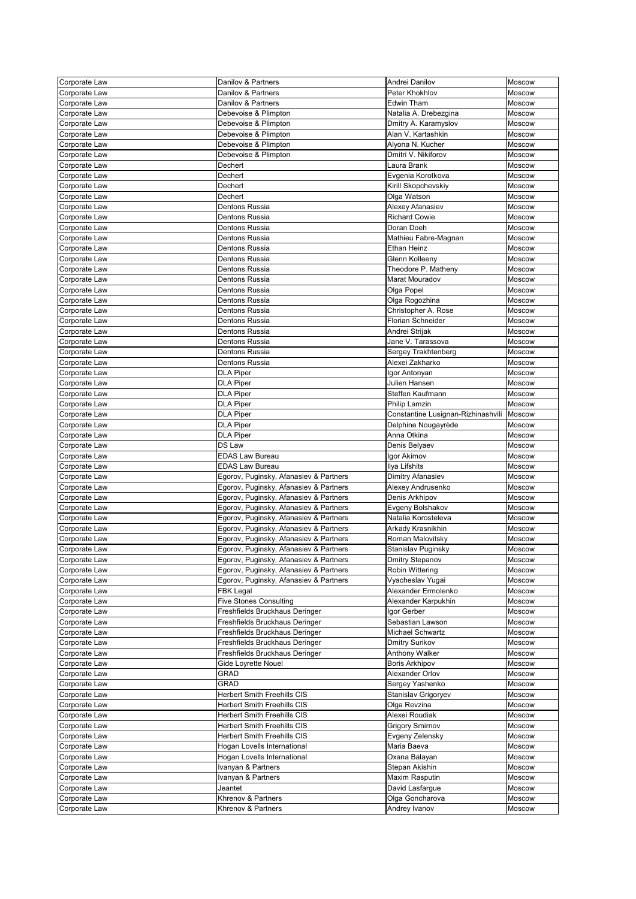| Corporate Law                  | Danilov & Partners                       | Andrei Danilov                          | <b>Moscow</b>    |
|--------------------------------|------------------------------------------|-----------------------------------------|------------------|
| Corporate Law                  | Danilov & Partners                       | Peter Khokhlov                          | Moscow           |
| Corporate Law                  | Danilov & Partners                       | <b>Edwin Tham</b>                       | Moscow           |
| Corporate Law                  | Debevoise & Plimpton                     | Natalia A. Drebezgina                   | Moscow           |
| Corporate Law                  | Debevoise & Plimpton                     | Dmitry A. Karamyslov                    | <b>Moscow</b>    |
|                                |                                          | Alan V. Kartashkin                      | Moscow           |
| Corporate Law                  | Debevoise & Plimpton                     |                                         |                  |
| Corporate Law                  | Debevoise & Plimpton                     | Alyona N. Kucher                        | Moscow           |
| Corporate Law                  | Debevoise & Plimpton                     | Dmitri V. Nikiforov                     | Moscow           |
| Corporate Law                  | <b>Dechert</b>                           | Laura Brank                             | Moscow           |
| Corporate Law                  | Dechert                                  | Evgenia Korotkova                       | Moscow           |
| Corporate Law                  | Dechert                                  | Kirill Skopchevskiy                     | Moscow           |
| Corporate Law                  | Dechert                                  | Olga Watson                             | Moscow           |
| Corporate Law                  | <b>Dentons Russia</b>                    | Alexey Afanasiev                        | Moscow           |
| Corporate Law                  | <b>Dentons Russia</b>                    | <b>Richard Cowie</b>                    | <b>Moscow</b>    |
| Corporate Law                  | <b>Dentons Russia</b>                    | Doran Doeh                              | Moscow           |
| Corporate Law                  | <b>Dentons Russia</b>                    | Mathieu Fabre-Magnan                    | Moscow           |
| Corporate Law                  | <b>Dentons Russia</b>                    | <b>Ethan Heinz</b>                      | Moscow           |
| Corporate Law                  | <b>Dentons Russia</b>                    | Glenn Kolleeny                          | Moscow           |
| Corporate Law                  | <b>Dentons Russia</b>                    | Theodore P. Matheny                     | Moscow           |
| Corporate Law                  | <b>Dentons Russia</b>                    | Marat Mouradov                          | Moscow           |
|                                | <b>Dentons Russia</b>                    |                                         |                  |
| Corporate Law                  |                                          | Olga Popel                              | Moscow           |
| Corporate Law                  | <b>Dentons Russia</b>                    | Olga Rogozhina                          | <b>Moscow</b>    |
| Corporate Law                  | Dentons Russia                           | Christopher A. Rose                     | Moscow           |
| Corporate Law                  | <b>Dentons Russia</b>                    | Florian Schneider                       | Moscow           |
| Corporate Law                  | Dentons Russia                           | Andrei Strijak                          | Moscow           |
| Corporate Law                  | Dentons Russia                           | Jane V. Tarassova                       | <b>Moscow</b>    |
| Corporate Law                  | <b>Dentons Russia</b>                    | Sergey Trakhtenberg                     | Moscow           |
| Corporate Law                  | Dentons Russia                           | Alexei Zakharko                         | Moscow           |
| Corporate Law                  | <b>DLA Piper</b>                         | Igor Antonyan                           | <b>Moscow</b>    |
| Corporate Law                  | <b>DLA Piper</b>                         | Julien Hansen                           | Moscow           |
| Corporate Law                  | <b>DLA Piper</b>                         | Steffen Kaufmann                        | Moscow           |
| Corporate Law                  | <b>DLA Piper</b>                         | Philip Lamzin                           | Moscow           |
| Corporate Law                  | <b>DLA Piper</b>                         | Constantine Lusignan-Rizhinashvili      | <b>Moscow</b>    |
| Corporate Law                  | <b>DLA Piper</b>                         | Delphine Nougayrède                     | Moscow           |
| Corporate Law                  | <b>DLA Piper</b>                         | Anna Otkina                             | <b>Moscow</b>    |
| Corporate Law                  | DS Law                                   | Denis Belyaev                           | Moscow           |
|                                | <b>EDAS Law Bureau</b>                   |                                         | <b>Moscow</b>    |
| Corporate Law                  |                                          | Igor Akimov                             |                  |
| Corporate Law                  | <b>EDAS Law Bureau</b>                   | Ilya Lifshits                           | Moscow           |
| Corporate Law                  | Egorov, Puginsky, Afanasiev & Partners   | Dimitry Afanasiev                       | <b>Moscow</b>    |
| Corporate Law                  | Egorov, Puginsky, Afanasiev & Partners   | Alexey Andrusenko                       | Moscow           |
| Corporate Law                  | Egorov, Puginsky, Afanasiev & Partners   | Denis Arkhipov                          | Moscow           |
| Corporate Law                  | Egorov, Puginsky, Afanasiev & Partners   | Evgeny Bolshakov                        | Moscow           |
|                                |                                          |                                         |                  |
| Corporate Law                  | Egorov, Puginsky, Afanasiev & Partners   | Natalia Korosteleva                     | <b>Moscow</b>    |
| Corporate Law                  | Egorov, Puginsky, Afanasiev & Partners   | Arkady Krasnikhin                       | Moscow           |
| Corporate Law                  | Egorov, Puginsky, Afanasiev & Partners   | Roman Malovitsky                        | Moscow           |
| Corporate Law                  | Egorov, Puginsky, Afanasiev & Partners   | Stanislav Puginsky                      | Moscow           |
| Corporate Law                  | Egorov, Puginsky, Afanasiev & Partners   | Dmitry Stepanov                         | Moscow           |
| Corporate Law                  |                                          | Robin Wittering                         | Moscow           |
|                                | Egorov, Puginsky, Afanasiev & Partners   |                                         |                  |
| Corporate Law                  | Egorov, Puginsky, Afanasiev & Partners   | Vyacheslav Yugai<br>Alexander Ermolenko | Moscow           |
| Corporate Law                  | <b>FBK Legal</b>                         |                                         | Moscow           |
| Corporate Law                  | <b>Five Stones Consulting</b>            | Alexander Karpukhin                     | Moscow           |
| Corporate Law                  | Freshfields Bruckhaus Deringer           | Igor Gerber                             | <b>Moscow</b>    |
| Corporate Law                  | Freshfields Bruckhaus Deringer           | Sebastian Lawson                        | Moscow           |
| Corporate Law                  | Freshfields Bruckhaus Deringer           | <b>Michael Schwartz</b>                 | Moscow           |
| Corporate Law                  | Freshfields Bruckhaus Deringer           | <b>Dmitry Surikov</b>                   | Moscow           |
| Corporate Law                  | Freshfields Bruckhaus Deringer           | <b>Anthony Walker</b>                   | Moscow           |
| Corporate Law                  | Gide Loyrette Nouel                      | <b>Boris Arkhipov</b>                   | Moscow           |
| Corporate Law                  | <b>GRAD</b>                              | Alexander Orlov                         | Moscow           |
| Corporate Law                  | <b>GRAD</b>                              | Sergey Yashenko                         | <b>Moscow</b>    |
| Corporate Law                  | <b>Herbert Smith Freehills CIS</b>       | Stanislav Grigoryev                     | Moscow           |
| Corporate Law                  | <b>Herbert Smith Freehills CIS</b>       | Olga Revzina                            | Moscow           |
| Corporate Law                  | <b>Herbert Smith Freehills CIS</b>       | Alexei Roudiak                          | Moscow           |
| Corporate Law                  | <b>Herbert Smith Freehills CIS</b>       | <b>Grigory Smirnov</b>                  | Moscow           |
| Corporate Law                  | <b>Herbert Smith Freehills CIS</b>       | Evgeny Zelensky                         | <b>Moscow</b>    |
| Corporate Law                  | Hogan Lovells International              | Maria Baeva                             | <b>Moscow</b>    |
|                                |                                          |                                         |                  |
| Corporate Law                  | Hogan Lovells International              | Oxana Balayan                           | Moscow           |
| Corporate Law                  | Ivanyan & Partners                       | Stepan Akishin                          | <b>Moscow</b>    |
| Corporate Law                  | Ivanyan & Partners                       | Maxim Rasputin                          | Moscow           |
| Corporate Law                  | Jeantet                                  | David Lasfargue                         | Moscow           |
| Corporate Law<br>Corporate Law | Khrenov & Partners<br>Khrenov & Partners | Olga Goncharova<br>Andrey Ivanov        | Moscow<br>Moscow |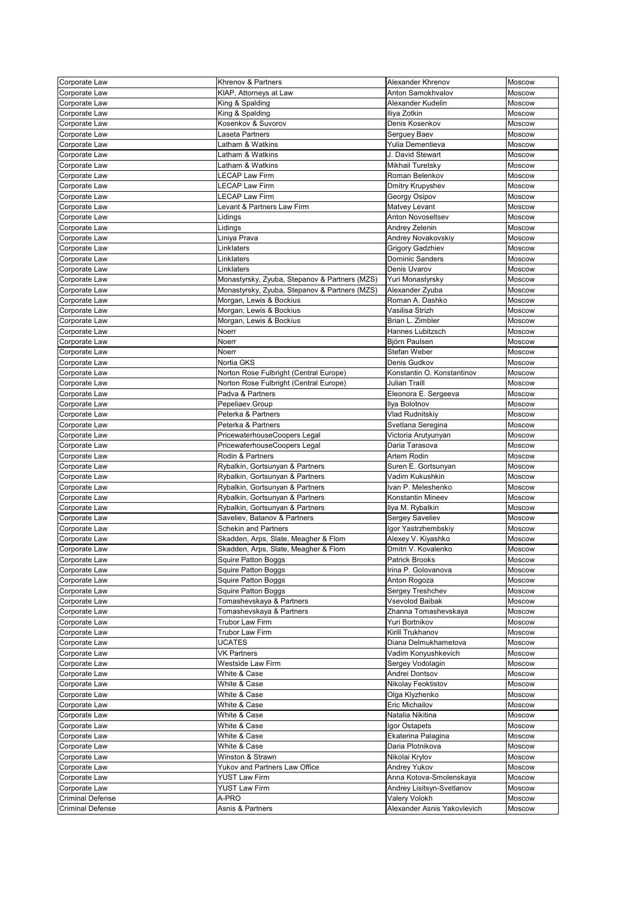| Corporate Law           | <b>Khrenov &amp; Partners</b>                 | Alexander Khrenov           | Moscow        |
|-------------------------|-----------------------------------------------|-----------------------------|---------------|
| Corporate Law           | KIAP, Attorneys at Law                        | Anton Samokhvalov           | Moscow        |
| Corporate Law           | King & Spalding                               | Alexander Kudelin           | Moscow        |
|                         | King & Spalding                               | Iliya Zotkin                | Moscow        |
| Corporate Law           | Kosenkov & Suvorov                            | Denis Kosenkov              |               |
| Corporate Law           |                                               |                             | Moscow        |
| Corporate Law           | Laseta Partners                               | Serguey Baev                | Moscow        |
| Corporate Law           | Latham & Watkins                              | Yulia Dementieva            | Moscow        |
| Corporate Law           | Latham & Watkins                              | J. David Stewart            | Moscow        |
| Corporate Law           | Latham & Watkins                              | <b>Mikhail Turetsky</b>     | Moscow        |
| Corporate Law           | <b>ECAP Law Firm</b>                          | Roman Belenkov              | Moscow        |
| Corporate Law           | <b>LECAP Law Firm</b>                         | Dmitry Krupyshev            | Moscow        |
| Corporate Law           | <b>ECAP Law Firm</b>                          | Georgy Osipov               | Moscow        |
| Corporate Law           | Levant & Partners Law Firm                    | Matvey Levant               | Moscow        |
| Corporate Law           | Lidings                                       | <b>Anton Novoseltsev</b>    | Moscow        |
| Corporate Law           | _idings                                       | Andrey Zelenin              | <b>Moscow</b> |
| Corporate Law           | Liniya Prava                                  | Andrey Novakovskiy          | Moscow        |
| Corporate Law           | Linklaters                                    | <b>Grigory Gadzhiev</b>     | Moscow        |
| Corporate Law           | Linklaters                                    | <b>Dominic Sanders</b>      | Moscow        |
| Corporate Law           | Linklaters                                    | Denis Uvarov                | Moscow        |
|                         |                                               |                             |               |
| Corporate Law           | Monastyrsky, Zyuba, Stepanov & Partners (MZS) | Yuri Monastyrsky            | Moscow        |
| Corporate Law           | Monastyrsky, Zyuba, Stepanov & Partners (MZS) | Alexander Zyuba             | Moscow        |
| Corporate Law           | Morgan, Lewis & Bockius                       | Roman A. Dashko             | Moscow        |
| Corporate Law           | Morgan, Lewis & Bockius                       | Vasilisa Strizh             | Moscow        |
| Corporate Law           | Morgan, Lewis & Bockius                       | Brian L. Zimbler            | Moscow        |
| Corporate Law           | Noerr                                         | Hannes Lubitzsch            | Moscow        |
| Corporate Law           | Noerr                                         | Björn Paulsen               | Moscow        |
| Corporate Law           | Noerr                                         | Stefan Weber                | Moscow        |
| Corporate Law           | Nortia GKS                                    | Denis Gudkov                | Moscow        |
| Corporate Law           | Norton Rose Fulbright (Central Europe)        | Konstantin O. Konstantinov  | Moscow        |
| Corporate Law           | Norton Rose Fulbright (Central Europe)        | <b>Julian Traill</b>        | Moscow        |
| Corporate Law           | Padva & Partners                              | Eleonora E. Sergeeva        | Moscow        |
| Corporate Law           | Pepeliaev Group                               | Ilya Bolotnov               | Moscow        |
| Corporate Law           | Peterka & Partners                            | Vlad Rudnitskiy             | Moscow        |
| Corporate Law           | Peterka & Partners                            | Svetlana Seregina           | Moscow        |
|                         | PricewaterhouseCoopers Legal                  |                             | Moscow        |
| Corporate Law           |                                               | Victoria Arutyunyan         |               |
| Corporate Law           | PricewaterhouseCoopers Legal                  | Daria Tarasova              | Moscow        |
| Corporate Law           | Rodin & Partners                              | Artem Rodin                 | Moscow        |
| Corporate Law           | Rybalkin, Gortsunyan & Partners               | Suren E. Gortsunyan         | Moscow        |
| Corporate Law           | Rybalkin, Gortsunyan & Partners               | Vadim Kukushkin             | Moscow        |
| Corporate Law           | Rybalkin, Gortsunyan & Partners               | Ivan P. Meleshenko          | Moscow        |
| Corporate Law           | Rybalkin, Gortsunyan & Partners               | Konstantin Mineev           | Moscow        |
| Corporate Law           | Rybalkin, Gortsunyan & Partners               | Ilya M. Rybalkin            | Moscow        |
| Corporate Law           | Saveliev, Batanov & Partners                  | Sergey Saveliev             | Moscow        |
| Corporate Law           | <b>Schekin and Partners</b>                   | Igor Yastrzhembskiy         | Moscow        |
| Corporate Law           | Skadden, Arps, Slate, Meagher & Flom          | Alexey V. Kiyashko          | Moscow        |
| Corporate Law           | Skadden, Arps, Slate, Meagher & Flom          | Dmitri V. Kovalenko         | Moscow        |
| Corporate Law           | <b>Squire Patton Boggs</b>                    | <b>Patrick Brooks</b>       | Moscow        |
| Corporate Law           | <b>Squire Patton Boggs</b>                    | Irina P. Golovanova         | Moscow        |
| Corporate Law           | <b>Squire Patton Boggs</b>                    | Anton Rogoza                | <b>Moscow</b> |
| Corporate Law           | <b>Squire Patton Boggs</b>                    | Sergey Treshchev            | Moscow        |
| Corporate Law           | Tomashevskaya & Partners                      | <b>Vsevolod Baibak</b>      | Moscow        |
| Corporate Law           | Tomashevskaya & Partners                      | Zhanna Tomashevskaya        | Moscow        |
|                         | <b>Trubor Law Firm</b>                        | Yuri Bortnikov              | Moscow        |
| Corporate Law           |                                               |                             |               |
| Corporate Law           | <b>Trubor Law Firm</b>                        | Kirill Trukhanov            | Moscow        |
| Corporate Law           | <b>UCATES</b>                                 | Diana Delmukhametova        | Moscow        |
| Corporate Law           | <b>VK Partners</b>                            | Vadim Konyushkevich         | Moscow        |
| Corporate Law           | <b>Westside Law Firm</b>                      | Sergey Vodolagin            | Moscow        |
| Corporate Law           | White & Case                                  | Andrei Dontsov              | Moscow        |
| Corporate Law           | White & Case                                  | Nikolay Feoktistov          | Moscow        |
| Corporate Law           | White & Case                                  | Olga Klyzhenko              | Moscow        |
| Corporate Law           | White & Case                                  | Eric Michailov              | Moscow        |
| Corporate Law           | White & Case                                  | Natalia Nikitina            | Moscow        |
| Corporate Law           | White & Case                                  | Igor Ostapets               | Moscow        |
| Corporate Law           | White & Case                                  | Ekaterina Palagina          | <b>Moscow</b> |
| Corporate Law           | White & Case                                  | Daria Plotnikova            | <b>Moscow</b> |
| Corporate Law           | Winston & Strawn                              | Nikolai Krylov              | <b>Moscow</b> |
| Corporate Law           | Yukov and Partners Law Office                 | Andrey Yukov                | <b>Moscow</b> |
| Corporate Law           | <b>YUST Law Firm</b>                          | Anna Kotova-Smolenskaya     | Moscow        |
| Corporate Law           | <b>YUST Law Firm</b>                          | Andrey Lisitsyn-Svetlanov   | Moscow        |
| <b>Criminal Defense</b> | A-PRO                                         | Valery Volokh               |               |
|                         |                                               |                             | Moscow        |
| <b>Criminal Defense</b> | Asnis & Partners                              | Alexander Asnis Yakovlevich | Moscow        |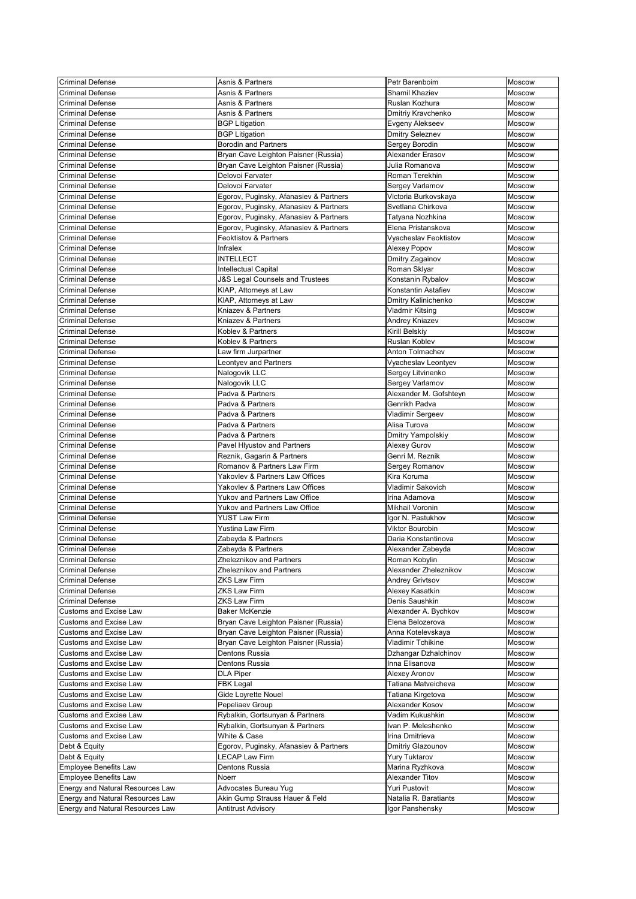| <b>Criminal Defense</b>                 | Asnis & Partners                           | Petr Barenboim           | Moscow        |
|-----------------------------------------|--------------------------------------------|--------------------------|---------------|
| <b>Criminal Defense</b>                 | Asnis & Partners                           | Shamil Khaziev           | <b>Moscow</b> |
| <b>Criminal Defense</b>                 | Asnis & Partners                           | Ruslan Kozhura           | Moscow        |
| <b>Criminal Defense</b>                 | Asnis & Partners                           | Dmitriy Kravchenko       | Moscow        |
| <b>Criminal Defense</b>                 |                                            |                          | Moscow        |
|                                         | <b>BGP Litigation</b>                      | Evgeny Alekseev          |               |
| <b>Criminal Defense</b>                 | <b>BGP Litigation</b>                      | <b>Dmitry Seleznev</b>   | Moscow        |
| <b>Criminal Defense</b>                 | <b>Borodin and Partners</b>                | Sergey Borodin           | Moscow        |
| <b>Criminal Defense</b>                 | Bryan Cave Leighton Paisner (Russia)       | <b>Alexander Erasov</b>  | <b>Moscow</b> |
| <b>Criminal Defense</b>                 | Bryan Cave Leighton Paisner (Russia)       | Julia Romanova           | Moscow        |
| <b>Criminal Defense</b>                 | Delovoi Farvater                           | Roman Terekhin           | Moscow        |
| <b>Criminal Defense</b>                 | Delovoi Farvater                           | Sergey Varlamov          | Moscow        |
| <b>Criminal Defense</b>                 | Egorov, Puginsky, Afanasiev & Partners     | Victoria Burkovskaya     | Moscow        |
| <b>Criminal Defense</b>                 | Egorov, Puginsky, Afanasiev & Partners     | Svetlana Chirkova        | Moscow        |
| <b>Criminal Defense</b>                 | Egorov, Puginsky, Afanasiev & Partners     | Tatyana Nozhkina         | Moscow        |
| <b>Criminal Defense</b>                 | Egorov, Puginsky, Afanasiev & Partners     | Elena Pristanskova       | Moscow        |
| <b>Criminal Defense</b>                 | <b>Feoktistov &amp; Partners</b>           | Vyacheslav Feoktistov    | <b>Moscow</b> |
| <b>Criminal Defense</b>                 | Infralex                                   | Alexey Popov             | Moscow        |
| <b>Criminal Defense</b>                 | <b>INTELLECT</b>                           | Dmitry Zagainov          | Moscow        |
| <b>Criminal Defense</b>                 | Intellectual Capital                       | Roman Sklyar             | Moscow        |
| <b>Criminal Defense</b>                 | <b>J&amp;S Legal Counsels and Trustees</b> | Konstanin Rybalov        | Moscow        |
| <b>Criminal Defense</b>                 | KIAP, Attorneys at Law                     | Konstantin Astafiev      | Moscow        |
| <b>Criminal Defense</b>                 |                                            |                          |               |
|                                         | KIAP, Attorneys at Law                     | Dmitry Kalinichenko      | Moscow        |
| <b>Criminal Defense</b>                 | Kniazev & Partners                         | <b>Vladmir Kitsing</b>   | Moscow        |
| <b>Criminal Defense</b>                 | Kniazev & Partners                         | Andrey Kniazev           | Moscow        |
| <b>Criminal Defense</b>                 | Koblev & Partners                          | Kirill Belskiy           | Moscow        |
| <b>Criminal Defense</b>                 | Koblev & Partners                          | Ruslan Koblev            | Moscow        |
| <b>Criminal Defense</b>                 | Law firm Jurpartner                        | Anton Tolmachev          | Moscow        |
| <b>Criminal Defense</b>                 | Leontyev and Partners                      | Vyacheslav Leontyev      | Moscow        |
| <b>Criminal Defense</b>                 | Nalogovik LLC                              | Sergey Litvinenko        | Moscow        |
| <b>Criminal Defense</b>                 | Nalogovik LLC                              | Sergey Varlamov          | Moscow        |
| <b>Criminal Defense</b>                 | Padva & Partners                           | Alexander M. Gofshteyn   | Moscow        |
| <b>Criminal Defense</b>                 | Padva & Partners                           | Genrikh Padva            | Moscow        |
| <b>Criminal Defense</b>                 | Padva & Partners                           | Vladimir Sergeev         | Moscow        |
| <b>Criminal Defense</b>                 | Padva & Partners                           | Alisa Turova             | Moscow        |
| <b>Criminal Defense</b>                 | Padva & Partners                           | <b>Dmitry Yampolskiy</b> | Moscow        |
| <b>Criminal Defense</b>                 | Pavel Hlyustov and Partners                | Alexey Gurov             | Moscow        |
| <b>Criminal Defense</b>                 | Reznik, Gagarin & Partners                 | Genri M. Reznik          | Moscow        |
| <b>Criminal Defense</b>                 | Romanov & Partners Law Firm                | Sergey Romanov           | <b>Moscow</b> |
|                                         | Yakovlev & Partners Law Offices            | Kira Koruma              |               |
| <b>Criminal Defense</b>                 |                                            |                          | Moscow        |
| <b>Criminal Defense</b>                 | Yakovlev & Partners Law Offices            | <b>Vladimir Sakovich</b> | Moscow        |
| <b>Criminal Defense</b>                 | <b>Yukov and Partners Law Office</b>       | Irina Adamova            | Moscow        |
| <b>Criminal Defense</b>                 | Yukov and Partners Law Office              | <b>Mikhail Voronin</b>   | Moscow        |
| <b>Criminal Defense</b>                 | <b>YUST Law Firm</b>                       | Igor N. Pastukhov        | Moscow        |
| <b>Criminal Defense</b>                 | Yustina Law Firm                           | Viktor Bourobin          | Moscow        |
| <b>Criminal Defense</b>                 | Zabeyda & Partners                         | Daria Konstantinova      | Moscow        |
| <b>Criminal Defense</b>                 | Zabeyda & Partners                         | Alexander Zabeyda        | Moscow        |
| <b>Criminal Defense</b>                 | Zheleznikov and Partners                   | Roman Kobylin            | <b>Moscow</b> |
| <b>Criminal Defense</b>                 | Zheleznikov and Partners                   | Alexander Zheleznikov    | Moscow        |
| <b>Criminal Defense</b>                 | <b>ZKS Law Firm</b>                        | Andrey Grivtsov          | <b>Moscow</b> |
| <b>Criminal Defense</b>                 | <b>ZKS Law Firm</b>                        | Alexey Kasatkin          | Moscow        |
| <b>Criminal Defense</b>                 | <b>ZKS Law Firm</b>                        | Denis Saushkin           | <b>Moscow</b> |
| <b>Customs and Excise Law</b>           | <b>Baker McKenzie</b>                      | Alexander A. Bychkov     | Moscow        |
| <b>Customs and Excise Law</b>           | Bryan Cave Leighton Paisner (Russia)       | Elena Belozerova         | Moscow        |
| <b>Customs and Excise Law</b>           | Bryan Cave Leighton Paisner (Russia)       | Anna Kotelevskaya        | Moscow        |
| <b>Customs and Excise Law</b>           | Bryan Cave Leighton Paisner (Russia)       | <b>Vladimir Tchikine</b> | Moscow        |
| <b>Customs and Excise Law</b>           |                                            |                          |               |
|                                         | Dentons Russia                             | Dzhangar Dzhalchinov     | Moscow        |
| <b>Customs and Excise Law</b>           | Dentons Russia                             | Inna Elisanova           | <b>Moscow</b> |
| <b>Customs and Excise Law</b>           | <b>DLA Piper</b>                           | Alexey Aronov            | Moscow        |
| <b>Customs and Excise Law</b>           | <b>FBK Legal</b>                           | Tatiana Matveicheva      | Moscow        |
| <b>Customs and Excise Law</b>           | Gide Loyrette Nouel                        | Tatiana Kirgetova        | Moscow        |
| <b>Customs and Excise Law</b>           | Pepeliaev Group                            | Alexander Kosov          | Moscow        |
| <b>Customs and Excise Law</b>           | Rybalkin, Gortsunyan & Partners            | Vadim Kukushkin          | <b>Moscow</b> |
| <b>Customs and Excise Law</b>           | Rybalkin, Gortsunyan & Partners            | Ivan P. Meleshenko       | Moscow        |
| <b>Customs and Excise Law</b>           | White & Case                               | Irina Dmitrieva          | <b>Moscow</b> |
| Debt & Equity                           | Egorov, Puginsky, Afanasiev & Partners     | Dmitriy Glazounov        | <b>Moscow</b> |
| Debt & Equity                           | <b>LECAP Law Firm</b>                      | <b>Yury Tuktarov</b>     | <b>Moscow</b> |
| Employee Benefits Law                   | Dentons Russia                             | Marina Ryzhkova          | Moscow        |
| Employee Benefits Law                   | Noerr                                      | Alexander Titov          | Moscow        |
| <b>Energy and Natural Resources Law</b> | Advocates Bureau Yug                       | <b>Yuri Pustovit</b>     | Moscow        |
| Energy and Natural Resources Law        | Akin Gump Strauss Hauer & Feld             | Natalia R. Baratiants    | <b>Moscow</b> |
| Energy and Natural Resources Law        | <b>Antitrust Advisory</b>                  | Igor Panshensky          | Moscow        |
|                                         |                                            |                          |               |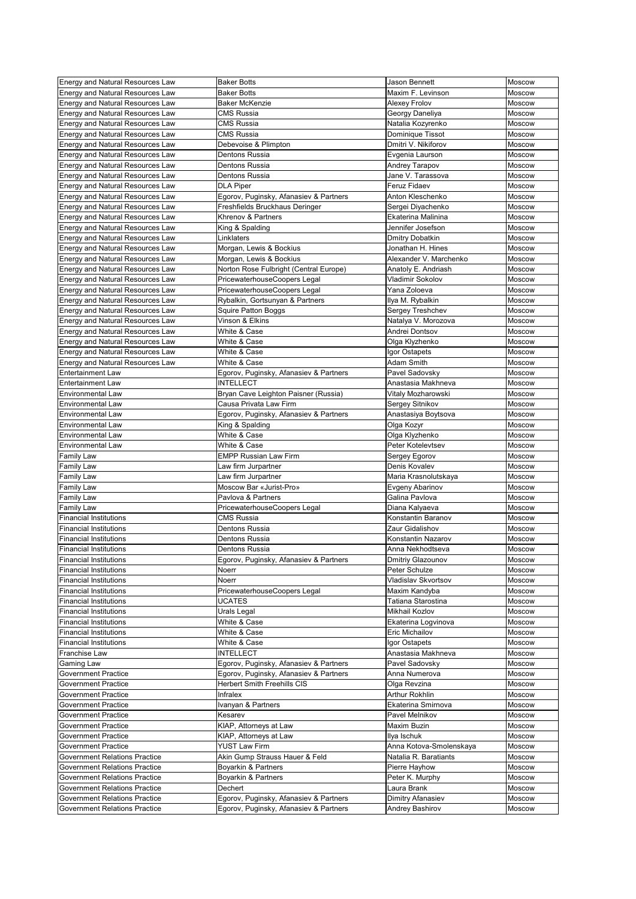| <b>Energy and Natural Resources Law</b> | <b>Baker Botts</b>                     | <b>Jason Bennett</b>       | Moscow        |
|-----------------------------------------|----------------------------------------|----------------------------|---------------|
| <b>Energy and Natural Resources Law</b> | <b>Baker Botts</b>                     | Maxim F. Levinson          | Moscow        |
| <b>Energy and Natural Resources Law</b> | <b>Baker McKenzie</b>                  | Alexey Frolov              | Moscow        |
| <b>Energy and Natural Resources Law</b> | <b>CMS Russia</b>                      | Georgy Daneliya            | Moscow        |
| <b>Energy and Natural Resources Law</b> | <b>CMS Russia</b>                      | Natalia Kozyrenko          | Moscow        |
| <b>Energy and Natural Resources Law</b> | <b>CMS Russia</b>                      | Dominique Tissot           | Moscow        |
| <b>Energy and Natural Resources Law</b> | Debevoise & Plimpton                   | Dmitri V. Nikiforov        | Moscow        |
|                                         |                                        |                            |               |
| <b>Energy and Natural Resources Law</b> | <b>Dentons Russia</b>                  | Evgenia Laurson            | Moscow        |
| <b>Energy and Natural Resources Law</b> | <b>Dentons Russia</b>                  | <b>Andrey Tarapov</b>      | <b>Moscow</b> |
| <b>Energy and Natural Resources Law</b> | <b>Dentons Russia</b>                  | Jane V. Tarassova          | <b>Moscow</b> |
| <b>Energy and Natural Resources Law</b> | <b>DLA Piper</b>                       | <b>Feruz Fidaev</b>        | Moscow        |
| <b>Energy and Natural Resources Law</b> | Egorov, Puginsky, Afanasiev & Partners | Anton Kleschenko           | Moscow        |
| <b>Energy and Natural Resources Law</b> | Freshfields Bruckhaus Deringer         | Sergei Diyachenko          | Moscow        |
| <b>Energy and Natural Resources Law</b> | <b>Khrenov &amp; Partners</b>          | Ekaterina Malinina         | Moscow        |
| <b>Energy and Natural Resources Law</b> | King & Spalding                        | Jennifer Josefson          | Moscow        |
| <b>Energy and Natural Resources Law</b> | Linklaters                             | <b>Dmitry Dobatkin</b>     | Moscow        |
| <b>Energy and Natural Resources Law</b> | Morgan, Lewis & Bockius                | Jonathan H. Hines          | Moscow        |
| <b>Energy and Natural Resources Law</b> | Morgan, Lewis & Bockius                | Alexander V. Marchenko     | Moscow        |
| <b>Energy and Natural Resources Law</b> | Norton Rose Fulbright (Central Europe) | Anatoly E. Andriash        | <b>Moscow</b> |
| <b>Energy and Natural Resources Law</b> | PricewaterhouseCoopers Legal           | Vladimir Sokolov           | Moscow        |
| <b>Energy and Natural Resources Law</b> | PricewaterhouseCoopers Legal           | Yana Zoloeva               | Moscow        |
| <b>Energy and Natural Resources Law</b> | Rybalkin, Gortsunyan & Partners        | Ilya M. Rybalkin           | Moscow        |
| <b>Energy and Natural Resources Law</b> | <b>Squire Patton Boggs</b>             | <b>Sergey Treshchev</b>    | Moscow        |
|                                         | Vinson & Elkins                        |                            | Moscow        |
| <b>Energy and Natural Resources Law</b> |                                        | Natalya V. Morozova        |               |
| <b>Energy and Natural Resources Law</b> | White & Case                           | Andrei Dontsov             | Moscow        |
| <b>Energy and Natural Resources Law</b> | White & Case                           | Olga Klyzhenko             | Moscow        |
| <b>Energy and Natural Resources Law</b> | White & Case                           | Igor Ostapets              | Moscow        |
| <b>Energy and Natural Resources Law</b> | White & Case                           | <b>Adam Smith</b>          | Moscow        |
| <b>Entertainment Law</b>                | Egorov, Puginsky, Afanasiev & Partners | Pavel Sadovsky             | Moscow        |
| <b>Entertainment Law</b>                | <b>INTELLECT</b>                       | Anastasia Makhneva         | Moscow        |
| <b>Environmental Law</b>                | Bryan Cave Leighton Paisner (Russia)   | Vitaly Mozharowski         | Moscow        |
| <b>Environmental Law</b>                | Causa Privata Law Firm                 | Sergey Sitnikov            | Moscow        |
| <b>Environmental Law</b>                | Egorov, Puginsky, Afanasiev & Partners | Anastasiya Boytsova        | Moscow        |
| <b>Environmental Law</b>                | King & Spalding                        | Olga Kozyr                 | Moscow        |
| <b>Environmental Law</b>                | White & Case                           | Olga Klyzhenko             | Moscow        |
| <b>Environmental Law</b>                | White & Case                           | Peter Kotelevtsev          | Moscow        |
| <b>Family Law</b>                       | <b>EMPP Russian Law Firm</b>           | Sergey Egorov              | Moscow        |
| <b>Family Law</b>                       | Law firm Jurpartner                    | Denis Kovalev              | Moscow        |
| <b>Family Law</b>                       | Law firm Jurpartner                    |                            | Moscow        |
|                                         | Moscow Bar «Jurist-Pro»                | Maria Krasnolutskaya       |               |
| Family Law                              |                                        | Evgeny Abarinov            | Moscow        |
| <b>Family Law</b>                       | Pavlova & Partners                     | Galina Pavlova             | Moscow        |
| Family Law                              | PricewaterhouseCoopers Legal           | Diana Kalyaeva             | Moscow        |
| <b>Financial Institutions</b>           | <b>CMS Russia</b>                      | Konstantin Baranov         | Moscow        |
| <b>Financial Institutions</b>           | Dentons Russia                         | Zaur Gidalishov            | Moscow        |
| <b>Financial Institutions</b>           | <b>Dentons Russia</b>                  | Konstantin Nazarov         | Moscow        |
| <b>Financial Institutions</b>           | Dentons Russia                         | Anna Nekhodtseva           | Moscow        |
| <b>Financial Institutions</b>           | Egorov, Puginsky, Afanasiev & Partners | Dmitriy Glazounov          | Moscow        |
| <b>Financial Institutions</b>           | Noerr                                  | Peter Schulze              | Moscow        |
| <b>Financial Institutions</b>           | <b>Noerr</b>                           | <b>Vladislav Skvortsov</b> | Moscow        |
| <b>Financial Institutions</b>           | PricewaterhouseCoopers Legal           | Maxim Kandyba              | Moscow        |
| <b>Financial Institutions</b>           | <b>UCATES</b>                          | Tatiana Starostina         | Moscow        |
| <b>Financial Institutions</b>           | Urals Legal                            | Mikhail Kozlov             | Moscow        |
| <b>Financial Institutions</b>           | White & Case                           | Ekaterina Logvinova        | Moscow        |
| <b>Financial Institutions</b>           | White & Case                           | <b>Eric Michailov</b>      | Moscow        |
| <b>Financial Institutions</b>           | White & Case                           | Igor Ostapets              | Moscow        |
|                                         | <b>INTELLECT</b>                       | Anastasia Makhneva         | <b>Moscow</b> |
| Franchise Law                           |                                        |                            |               |
| Gaming Law                              | Egorov, Puginsky, Afanasiev & Partners | Pavel Sadovsky             | Moscow        |
| <b>Government Practice</b>              | Egorov, Puginsky, Afanasiev & Partners | Anna Numerova              | Moscow        |
| <b>Government Practice</b>              | <b>Herbert Smith Freehills CIS</b>     | Olga Revzina               | Moscow        |
| <b>Government Practice</b>              | Infralex                               | <b>Arthur Rokhlin</b>      | Moscow        |
| <b>Government Practice</b>              | Ivanyan & Partners                     | Ekaterina Smirnova         | Moscow        |
| <b>Government Practice</b>              | Kesarev                                | Pavel Melnikov             | Moscow        |
| <b>Government Practice</b>              | KIAP, Attorneys at Law                 | Maxim Buzin                | Moscow        |
| <b>Government Practice</b>              | KIAP, Attorneys at Law                 | Ilya Ischuk                | Moscow        |
| <b>Government Practice</b>              | <b>YUST Law Firm</b>                   | Anna Kotova-Smolenskaya    | <b>Moscow</b> |
| <b>Government Relations Practice</b>    | Akin Gump Strauss Hauer & Feld         | Natalia R. Baratiants      | <b>Moscow</b> |
| <b>Government Relations Practice</b>    | <b>Boyarkin &amp; Partners</b>         | Pierre Hayhow              | <b>Moscow</b> |
| <b>Government Relations Practice</b>    | Boyarkin & Partners                    | Peter K. Murphy            | Moscow        |
| <b>Government Relations Practice</b>    | Dechert                                | Laura Brank                | Moscow        |
| <b>Government Relations Practice</b>    | Egorov, Puginsky, Afanasiev & Partners | Dimitry Afanasiev          | <b>Moscow</b> |
| <b>Government Relations Practice</b>    | Egorov, Puginsky, Afanasiev & Partners | <b>Andrey Bashirov</b>     | Moscow        |
|                                         |                                        |                            |               |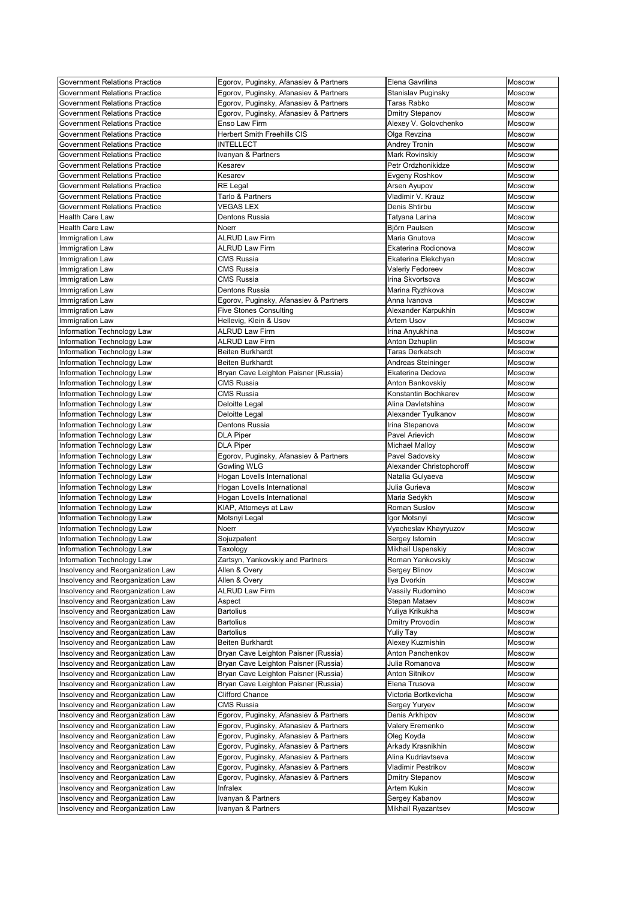| <b>Government Relations Practice</b> | Egorov, Puginsky, Afanasiev & Partners   | Elena Gavrilina                      | Moscow           |
|--------------------------------------|------------------------------------------|--------------------------------------|------------------|
| <b>Government Relations Practice</b> | Egorov, Puginsky, Afanasiev & Partners   | Stanislav Puginsky                   | Moscow           |
| <b>Government Relations Practice</b> | Egorov, Puginsky, Afanasiev & Partners   | Taras Rabko                          | <b>Moscow</b>    |
| <b>Government Relations Practice</b> | Egorov, Puginsky, Afanasiev & Partners   | <b>Dmitry Stepanov</b>               | Moscow           |
| <b>Government Relations Practice</b> | Enso Law Firm                            | Alexey V. Golovchenko                | Moscow           |
| <b>Government Relations Practice</b> | <b>Herbert Smith Freehills CIS</b>       | Olga Revzina                         | Moscow           |
| <b>Government Relations Practice</b> | <b>INTELLECT</b>                         |                                      | Moscow           |
|                                      |                                          | <b>Andrey Tronin</b>                 |                  |
| <b>Government Relations Practice</b> | Ivanyan & Partners                       | Mark Rovinskiy                       | Moscow           |
| <b>Government Relations Practice</b> | Kesarev                                  | Petr Ordzhonikidze                   | <b>Moscow</b>    |
| <b>Government Relations Practice</b> | Kesarev                                  | Evgeny Roshkov                       | Moscow           |
| <b>Government Relations Practice</b> | <b>RE Legal</b>                          | Arsen Ayupov                         | <b>Moscow</b>    |
| <b>Government Relations Practice</b> | Tarlo & Partners                         | Vladimir V. Krauz                    | Moscow           |
| <b>Government Relations Practice</b> | <b>VEGAS LEX</b>                         | Denis Shtirbu                        | Moscow           |
| <b>Health Care Law</b>               | Dentons Russia                           | Tatyana Larina                       | Moscow           |
| <b>Health Care Law</b>               | <b>Noerr</b>                             | <b>Björn Paulsen</b>                 | <b>Moscow</b>    |
| Immigration Law                      | <b>ALRUD Law Firm</b>                    | Maria Gnutova                        | Moscow           |
| Immigration Law                      | <b>ALRUD Law Firm</b>                    | Ekaterina Rodionova                  | Moscow           |
| Immigration Law                      | <b>CMS Russia</b>                        | Ekaterina Elekchyan                  | Moscow           |
| <b>Immigration Law</b>               | <b>CMS Russia</b>                        | Valeriy Fedoreev                     | Moscow           |
| Immigration Law                      | <b>CMS Russia</b>                        | Irina Skvortsova                     | Moscow           |
| Immigration Law                      | Dentons Russia                           | Marina Ryzhkova                      | Moscow           |
| Immigration Law                      | Egorov, Puginsky, Afanasiev & Partners   | Anna Ivanova                         | <b>Moscow</b>    |
|                                      |                                          |                                      |                  |
| Immigration Law                      | <b>Five Stones Consulting</b>            | Alexander Karpukhin                  | Moscow           |
| <b>Immigration Law</b>               | Hellevig, Klein & Usov                   | <b>Artem Usov</b>                    | <b>Moscow</b>    |
| Information Technology Law           | <b>ALRUD Law Firm</b>                    | Irina Anyukhina                      | Moscow           |
| Information Technology Law           | <b>ALRUD Law Firm</b>                    | Anton Dzhuplin                       | Moscow           |
| Information Technology Law           | <b>Beiten Burkhardt</b>                  | <b>Taras Derkatsch</b>               | Moscow           |
| Information Technology Law           | <b>Beiten Burkhardt</b>                  | Andreas Steininger                   | <b>Moscow</b>    |
| Information Technology Law           | Bryan Cave Leighton Paisner (Russia)     | Ekaterina Dedova                     | Moscow           |
| Information Technology Law           | <b>CMS Russia</b>                        | Anton Bankovskiy                     | <b>Moscow</b>    |
| Information Technology Law           | <b>CMS Russia</b>                        | Konstantin Bochkarev                 | Moscow           |
| Information Technology Law           | Deloitte Legal                           | Alina Davletshina                    | Moscow           |
| Information Technology Law           | Deloitte Legal                           | Alexander Tyulkanov                  | Moscow           |
| Information Technology Law           | Dentons Russia                           | Irina Stepanova                      | Moscow           |
| Information Technology Law           | <b>DLA Piper</b>                         | <b>Pavel Arievich</b>                | Moscow           |
| Information Technology Law           | <b>DLA Piper</b>                         | Michael Malloy                       | <b>Moscow</b>    |
| Information Technology Law           | Egorov, Puginsky, Afanasiev & Partners   | Pavel Sadovsky                       | Moscow           |
|                                      |                                          |                                      | Moscow           |
| Information Technology Law           | <b>Gowling WLG</b>                       | Alexander Christophoroff             |                  |
| Information Technology Law           | Hogan Lovells International              | Natalia Gulyaeva                     | Moscow           |
| Information Technology Law           | Hogan Lovells International              | Julia Gurieva                        | Moscow           |
| Information Technology Law           | Hogan Lovells International              | Maria Sedykh                         | Moscow           |
| Information Technology Law           | KIAP, Attorneys at Law                   | Roman Suslov                         | Moscow           |
| Information Technology Law           | Motsnyi Legal                            | Igor Motsnyi                         | Moscow           |
| Information Technology Law           | Noerr                                    | Vyacheslav Khayryuzov                | <b>Moscow</b>    |
| Information Technology Law           | Sojuzpatent                              | Sergey Istomin                       | Moscow           |
| Information Technology Law           | Taxology                                 | Mikhail Uspenskiy                    | Moscow           |
| Information Technology Law           | Zartsyn, Yankovskiy and Partners         | Roman Yankovskiy                     | Moscow           |
| Insolvency and Reorganization Law    | Allen & Overy                            | Sergey Blinov                        | <b>Moscow</b>    |
| Insolvency and Reorganization Law    | Allen & Overy                            | Ilya Dvorkin                         | <b>Moscow</b>    |
| Insolvency and Reorganization Law    | <b>ALRUD Law Firm</b>                    | Vassily Rudomino                     | Moscow           |
| Insolvency and Reorganization Law    | Aspect                                   | Stepan Mataev                        | Moscow           |
| Insolvency and Reorganization Law    | <b>Bartolius</b>                         | Yuliya Krikukha                      | Moscow           |
| Insolvency and Reorganization Law    | <b>Bartolius</b>                         | <b>Dmitry Provodin</b>               | Moscow           |
| Insolvency and Reorganization Law    | <b>Bartolius</b>                         | Yuliy Tay                            | Moscow           |
| Insolvency and Reorganization Law    | <b>Beiten Burkhardt</b>                  |                                      |                  |
|                                      |                                          | Alexey Kuzmishin                     | Moscow           |
| Insolvency and Reorganization Law    | Bryan Cave Leighton Paisner (Russia)     | Anton Panchenkov                     | Moscow           |
| Insolvency and Reorganization Law    | Bryan Cave Leighton Paisner (Russia)     | Julia Romanova                       | <b>Moscow</b>    |
| Insolvency and Reorganization Law    | Bryan Cave Leighton Paisner (Russia)     | <b>Anton Sitnikov</b>                | Moscow           |
| Insolvency and Reorganization Law    | Bryan Cave Leighton Paisner (Russia)     | Elena Trusova                        | <b>Moscow</b>    |
| Insolvency and Reorganization Law    | <b>Clifford Chance</b>                   | Victoria Bortkevicha                 | Moscow           |
| Insolvency and Reorganization Law    | <b>CMS Russia</b>                        | <b>Sergey Yuryev</b>                 | Moscow           |
| Insolvency and Reorganization Law    | Egorov, Puginsky, Afanasiev & Partners   | Denis Arkhipov                       | <b>Moscow</b>    |
| Insolvency and Reorganization Law    | Egorov, Puginsky, Afanasiev & Partners   | Valery Eremenko                      | Moscow           |
| Insolvency and Reorganization Law    | Egorov, Puginsky, Afanasiev & Partners   | Oleg Koyda                           | Moscow           |
| Insolvency and Reorganization Law    | Egorov, Puginsky, Afanasiev & Partners   | Arkady Krasnikhin                    | <b>Moscow</b>    |
| Insolvency and Reorganization Law    | Egorov, Puginsky, Afanasiev & Partners   | Alina Kudriavtseva                   | <b>Moscow</b>    |
| Insolvency and Reorganization Law    | Egorov, Puginsky, Afanasiev & Partners   | Vladimir Pestrikov                   | <b>Moscow</b>    |
| Insolvency and Reorganization Law    | Egorov, Puginsky, Afanasiev & Partners   | <b>Dmitry Stepanov</b>               | Moscow           |
| Insolvency and Reorganization Law    | Infralex                                 | Artem Kukin                          | <b>Moscow</b>    |
| Insolvency and Reorganization Law    |                                          |                                      |                  |
| Insolvency and Reorganization Law    | Ivanyan & Partners<br>Ivanyan & Partners | Sergey Kabanov<br>Mikhail Ryazantsev | Moscow<br>Moscow |
|                                      |                                          |                                      |                  |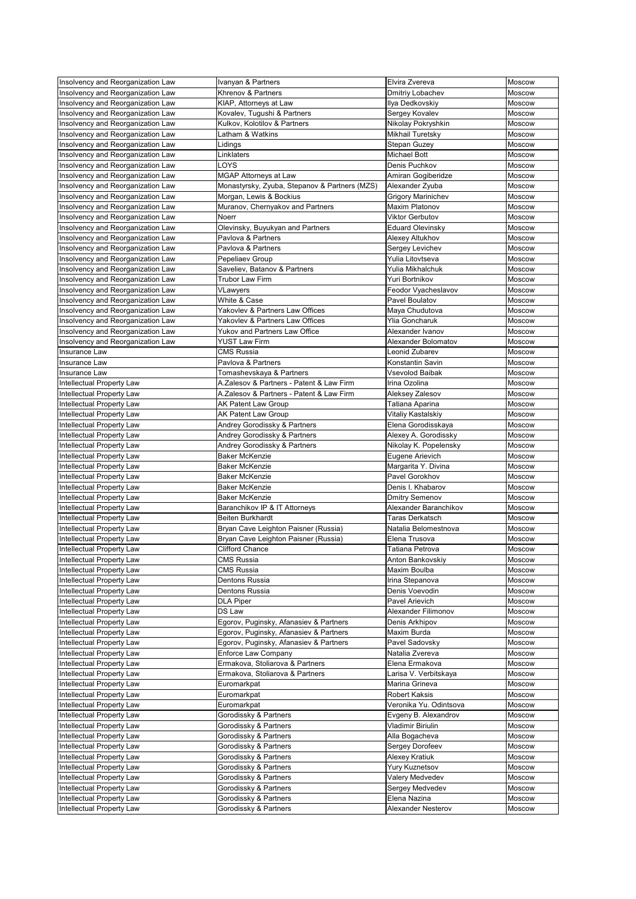| Insolvency and Reorganization Law | Ivanyan & Partners                              | Elvira Zvereva            | Moscow        |
|-----------------------------------|-------------------------------------------------|---------------------------|---------------|
| Insolvency and Reorganization Law | Khrenov & Partners                              | Dmitriy Lobachev          | Moscow        |
| Insolvency and Reorganization Law | KIAP, Attorneys at Law                          | Ilya Dedkovskiy           | Moscow        |
| Insolvency and Reorganization Law | Kovalev, Tugushi & Partners                     | Sergey Kovalev            | Moscow        |
| Insolvency and Reorganization Law | Kulkov, Kolotilov & Partners                    | Nikolay Pokryshkin        | Moscow        |
| Insolvency and Reorganization Law | atham & Watkins                                 | <b>Mikhail Turetsky</b>   | Moscow        |
| Insolvency and Reorganization Law | ∟idings                                         | <b>Stepan Guzey</b>       | Moscow        |
| Insolvency and Reorganization Law | Linklaters                                      | <b>Michael Bott</b>       | Moscow        |
| Insolvency and Reorganization Law | LOYS                                            | Denis Puchkov             | Moscow        |
| Insolvency and Reorganization Law | <b>MGAP Attorneys at Law</b>                    | Amiran Gogiberidze        | <b>Moscow</b> |
| Insolvency and Reorganization Law | Monastyrsky, Zyuba, Stepanov & Partners (MZS)   | Alexander Zyuba           | Moscow        |
| Insolvency and Reorganization Law | Morgan, Lewis & Bockius                         | <b>Grigory Marinichev</b> | Moscow        |
| Insolvency and Reorganization Law | Muranov, Chernyakov and Partners                | <b>Maxim Platonov</b>     | Moscow        |
| Insolvency and Reorganization Law | <b>Noerr</b>                                    | <b>Viktor Gerbutov</b>    | Moscow        |
| Insolvency and Reorganization Law | Olevinsky, Buyukyan and Partners                | <b>Eduard Olevinsky</b>   | <b>Moscow</b> |
| Insolvency and Reorganization Law | Pavlova & Partners                              | Alexey Altukhov           | Moscow        |
| Insolvency and Reorganization Law | Pavlova & Partners                              | Sergey Levichev           | Moscow        |
| Insolvency and Reorganization Law | Pepeliaev Group                                 | Yulia Litovtseva          | <b>Moscow</b> |
| Insolvency and Reorganization Law | Saveliev, Batanov & Partners                    | Yulia Mikhalchuk          | Moscow        |
| Insolvency and Reorganization Law | <b>Trubor Law Firm</b>                          | Yuri Bortnikov            | Moscow        |
| Insolvency and Reorganization Law |                                                 | Feodor Vyacheslavov       | Moscow        |
|                                   | VLawyers                                        |                           |               |
| Insolvency and Reorganization Law | White & Case<br>Yakovlev & Partners Law Offices | Pavel Boulatov            | Moscow        |
| Insolvency and Reorganization Law |                                                 | Maya Chudutova            | <b>Moscow</b> |
| Insolvency and Reorganization Law | Yakovlev & Partners Law Offices                 | <b>Ylia Goncharuk</b>     | Moscow        |
| Insolvency and Reorganization Law | <b>Yukov and Partners Law Office</b>            | Alexander Ivanov          | <b>Moscow</b> |
| Insolvency and Reorganization Law | <b>YUST Law Firm</b>                            | Alexander Bolomatov       | Moscow        |
| Insurance Law                     | <b>CMS Russia</b>                               | Leonid Zubarev            | Moscow        |
| Insurance Law                     | Pavlova & Partners                              | Konstantin Savin          | Moscow        |
| Insurance Law                     | Tomashevskaya & Partners                        | <b>Vsevolod Baibak</b>    | Moscow        |
| Intellectual Property Law         | A.Zalesov & Partners - Patent & Law Firm        | Irina Ozolina             | Moscow        |
| Intellectual Property Law         | A.Zalesov & Partners - Patent & Law Firm        | Aleksey Zalesov           | Moscow        |
| Intellectual Property Law         | <b>AK Patent Law Group</b>                      | Tatiana Aparina           | Moscow        |
| Intellectual Property Law         | <b>AK Patent Law Group</b>                      | <b>Vitaliy Kastalskiy</b> | Moscow        |
| Intellectual Property Law         | Andrey Gorodissky & Partners                    | Elena Gorodisskaya        | Moscow        |
| Intellectual Property Law         | Andrey Gorodissky & Partners                    | Alexey A. Gorodissky      | Moscow        |
| Intellectual Property Law         | Andrey Gorodissky & Partners                    | Nikolay K. Popelensky     | <b>Moscow</b> |
| Intellectual Property Law         | <b>Baker McKenzie</b>                           | Eugene Arievich           | Moscow        |
| Intellectual Property Law         | <b>Baker McKenzie</b>                           | Margarita Y. Divina       | Moscow        |
| Intellectual Property Law         | <b>Baker McKenzie</b>                           | Pavel Gorokhov            | Moscow        |
| Intellectual Property Law         | <b>Baker McKenzie</b>                           | Denis I. Khabarov         | Moscow        |
| Intellectual Property Law         | <b>Baker McKenzie</b>                           | <b>Dmitry Semenov</b>     | Moscow        |
| Intellectual Property Law         | Baranchikov IP & IT Attorneys                   | Alexander Baranchikov     | Moscow        |
| Intellectual Property Law         | <b>Beiten Burkhardt</b>                         | <b>Taras Derkatsch</b>    | Moscow        |
| Intellectual Property Law         | Bryan Cave Leighton Paisner (Russia)            | Natalia Belomestnova      | Moscow        |
| Intellectual Property Law         | Bryan Cave Leighton Paisner (Russia)            | Elena Trusova             | Moscow        |
| Intellectual Property Law         | <b>Clifford Chance</b>                          | Tatiana Petrova           | Moscow        |
| Intellectual Property Law         | <b>CMS Russia</b>                               | Anton Bankovskiy          | Moscow        |
| Intellectual Property Law         | <b>CMS Russia</b>                               | Maxim Boulba              | Moscow        |
| Intellectual Property Law         | Dentons Russia                                  | Irina Stepanova           | Moscow        |
| Intellectual Property Law         | <b>Dentons Russia</b>                           | Denis Voevodin            | Moscow        |
| Intellectual Property Law         | <b>DLA Piper</b>                                | Pavel Arievich            | Moscow        |
| Intellectual Property Law         | <b>DS Law</b>                                   | Alexander Filimonov       | Moscow        |
| Intellectual Property Law         | Egorov, Puginsky, Afanasiev & Partners          | Denis Arkhipov            | Moscow        |
| Intellectual Property Law         | Egorov, Puginsky, Afanasiev & Partners          | Maxim Burda               | Moscow        |
| Intellectual Property Law         | Egorov, Puginsky, Afanasiev & Partners          | Pavel Sadovsky            | Moscow        |
| Intellectual Property Law         | <b>Enforce Law Company</b>                      | Natalia Zvereva           | Moscow        |
| Intellectual Property Law         | Ermakova, Stoliarova & Partners                 | Elena Ermakova            | <b>Moscow</b> |
| Intellectual Property Law         | Ermakova, Stoliarova & Partners                 | Larisa V. Verbitskaya     | Moscow        |
| Intellectual Property Law         | Euromarkpat                                     | Marina Grineva            | Moscow        |
|                                   |                                                 | <b>Robert Kaksis</b>      |               |
| Intellectual Property Law         | Euromarkpat                                     | Veronika Yu. Odintsova    | Moscow        |
| Intellectual Property Law         | Euromarkpat                                     |                           | Moscow        |
| Intellectual Property Law         | Gorodissky & Partners                           | Evgeny B. Alexandrov      | Moscow        |
| Intellectual Property Law         | Gorodissky & Partners                           | Vladimir Biriulin         | Moscow        |
| Intellectual Property Law         | Gorodissky & Partners                           | Alla Bogacheva            | <b>Moscow</b> |
| Intellectual Property Law         | Gorodissky & Partners                           | Sergey Dorofeev           | Moscow        |
| Intellectual Property Law         | Gorodissky & Partners                           | <b>Alexey Kratiuk</b>     | Moscow        |
| Intellectual Property Law         | Gorodissky & Partners                           | Yury Kuznetsov            | Moscow        |
| Intellectual Property Law         | Gorodissky & Partners                           | Valery Medvedev           | Moscow        |
| Intellectual Property Law         | Gorodissky & Partners                           | Sergey Medvedev           | Moscow        |
| Intellectual Property Law         | Gorodissky & Partners                           | Elena Nazina              | Moscow        |
| Intellectual Property Law         | Gorodissky & Partners                           | Alexander Nesterov        | Moscow        |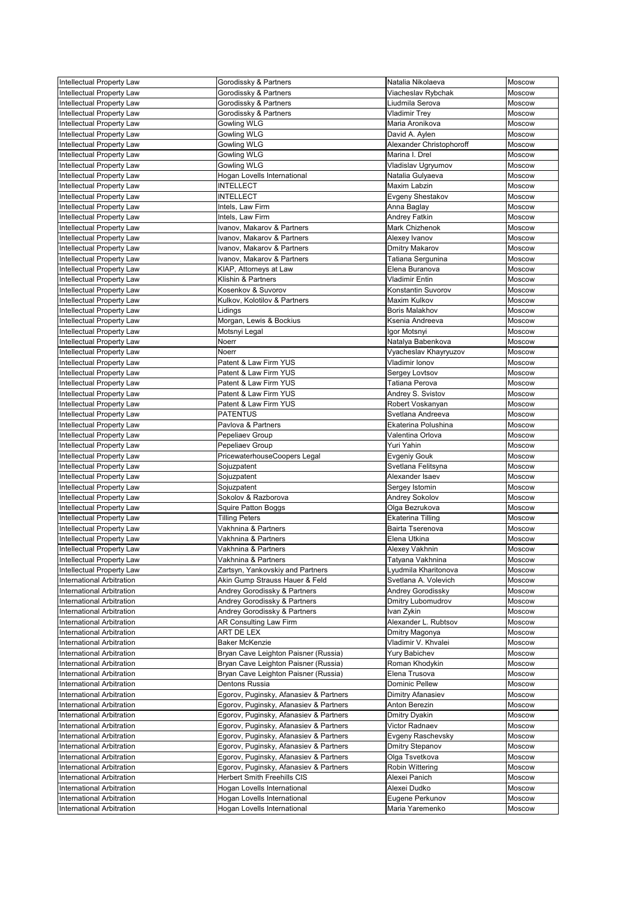| Intellectual Property Law        | Gorodissky & Partners                  | Natalia Nikolaeva        | Moscow        |
|----------------------------------|----------------------------------------|--------------------------|---------------|
| Intellectual Property Law        | Gorodissky & Partners                  | Viacheslav Rybchak       | <b>Moscow</b> |
| <b>Intellectual Property Law</b> | Gorodissky & Partners                  | Liudmila Serova          | Moscow        |
| Intellectual Property Law        | Gorodissky & Partners                  | <b>Vladimir Trey</b>     | <b>Moscow</b> |
| Intellectual Property Law        | <b>Gowling WLG</b>                     | Maria Aronikova          | Moscow        |
| Intellectual Property Law        | <b>Gowling WLG</b>                     | David A. Aylen           | <b>Moscow</b> |
| Intellectual Property Law        | Gowling WLG                            | Alexander Christophoroff | Moscow        |
| Intellectual Property Law        | <b>Gowling WLG</b>                     | Marina I. Drel           | Moscow        |
| Intellectual Property Law        | <b>Gowling WLG</b>                     | Vladislav Ugryumov       | Moscow        |
| Intellectual Property Law        | Hogan Lovells International            | Natalia Gulyaeva         | <b>Moscow</b> |
| Intellectual Property Law        | <b>INTELLECT</b>                       | <b>Maxim Labzin</b>      | Moscow        |
| Intellectual Property Law        | <b>INTELLECT</b>                       | Evgeny Shestakov         | <b>Moscow</b> |
| Intellectual Property Law        | Intels, Law Firm                       | Anna Baglay              | <b>Moscow</b> |
| Intellectual Property Law        | Intels, Law Firm                       | <b>Andrey Fatkin</b>     | Moscow        |
| Intellectual Property Law        | Ivanov, Makarov & Partners             | Mark Chizhenok           | Moscow        |
| Intellectual Property Law        | Ivanov, Makarov & Partners             | Alexey Ivanov            | Moscow        |
| Intellectual Property Law        | Ivanov, Makarov & Partners             | <b>Dmitry Makarov</b>    | Moscow        |
| Intellectual Property Law        | Ivanov, Makarov & Partners             | Tatiana Sergunina        | Moscow        |
| Intellectual Property Law        | KIAP, Attorneys at Law                 | Elena Buranova           | <b>Moscow</b> |
| Intellectual Property Law        | Klishin & Partners                     | <b>Vladimir Entin</b>    | Moscow        |
| Intellectual Property Law        | Kosenkov & Suvorov                     | Konstantin Suvorov       | Moscow        |
| Intellectual Property Law        | Kulkov, Kolotilov & Partners           | <b>Maxim Kulkov</b>      | <b>Moscow</b> |
| Intellectual Property Law        | Lidings                                | <b>Boris Malakhov</b>    | <b>Moscow</b> |
| Intellectual Property Law        | Morgan, Lewis & Bockius                | Ksenia Andreeva          | Moscow        |
| Intellectual Property Law        | Motsnyi Legal                          | Igor Motsnyi             | Moscow        |
| Intellectual Property Law        | Noerr                                  | Natalya Babenkova        | Moscow        |
| Intellectual Property Law        | <b>Noerr</b>                           | Vyacheslav Khayryuzov    | Moscow        |
| Intellectual Property Law        | Patent & Law Firm YUS                  | Vladimir Ionov           | Moscow        |
| Intellectual Property Law        | Patent & Law Firm YUS                  | Sergey Lovtsov           | Moscow        |
| Intellectual Property Law        | Patent & Law Firm YUS                  | Tatiana Perova           | Moscow        |
| Intellectual Property Law        | Patent & Law Firm YUS                  | Andrey S. Svistov        | <b>Moscow</b> |
| Intellectual Property Law        | Patent & Law Firm YUS                  | Robert Voskanyan         | Moscow        |
| Intellectual Property Law        | <b>PATENTUS</b>                        | Svetlana Andreeva        | Moscow        |
| Intellectual Property Law        | Pavlova & Partners                     | Ekaterina Polushina      | Moscow        |
| Intellectual Property Law        | Pepeliaev Group                        | Valentina Orlova         | <b>Moscow</b> |
| Intellectual Property Law        | Pepeliaev Group                        | Yuri Yahin               | <b>Moscow</b> |
| Intellectual Property Law        | PricewaterhouseCoopers Legal           | <b>Evgeniy Gouk</b>      | Moscow        |
| Intellectual Property Law        | Sojuzpatent                            | Svetlana Felitsyna       | Moscow        |
| Intellectual Property Law        | Sojuzpatent                            | Alexander Isaev          | Moscow        |
| Intellectual Property Law        | Sojuzpatent                            | Sergey Istomin           | Moscow        |
| Intellectual Property Law        | Sokolov & Razborova                    | Andrey Sokolov           | Moscow        |
| Intellectual Property Law        | <b>Squire Patton Boggs</b>             | Olga Bezrukova           | <b>Moscow</b> |
| Intellectual Property Law        | <b>Tilling Peters</b>                  | <b>Ekaterina Tilling</b> | Moscow        |
| Intellectual Property Law        | Vakhnina & Partners                    | <b>Bairta Tserenova</b>  | <b>Moscow</b> |
| Intellectual Property Law        | Vakhnina & Partners                    | Elena Utkina             | Moscow        |
| Intellectual Property Law        | Vakhnina & Partners                    | Alexey Vakhnin           | Moscow        |
| Intellectual Property Law        | Vakhnina & Partners                    | Tatyana Vakhnina         | Moscow        |
| Intellectual Property Law        | Zartsyn, Yankovskiy and Partners       | Lyudmila Kharitonova     | <b>Moscow</b> |
| International Arbitration        | Akin Gump Strauss Hauer & Feld         | Svetlana A. Volevich     | Moscow        |
| International Arbitration        | Andrey Gorodissky & Partners           | Andrey Gorodissky        | Moscow        |
| International Arbitration        | Andrey Gorodissky & Partners           | <b>Dmitry Lubomudrov</b> | Moscow        |
| International Arbitration        | Andrey Gorodissky & Partners           | Ivan Zykin               | Moscow        |
| International Arbitration        | <b>AR Consulting Law Firm</b>          | Alexander L. Rubtsov     | <b>Moscow</b> |
| International Arbitration        | ART DE LEX                             | Dmitry Magonya           | <b>Moscow</b> |
| International Arbitration        | <b>Baker McKenzie</b>                  | Vladimir V. Khvalei      | Moscow        |
| International Arbitration        | Bryan Cave Leighton Paisner (Russia)   | <b>Yury Babichev</b>     | Moscow        |
| International Arbitration        | Bryan Cave Leighton Paisner (Russia)   | Roman Khodykin           | <b>Moscow</b> |
| International Arbitration        | Bryan Cave Leighton Paisner (Russia)   | Elena Trusova            | Moscow        |
| International Arbitration        | Dentons Russia                         | <b>Dominic Pellew</b>    | Moscow        |
| International Arbitration        | Egorov, Puginsky, Afanasiev & Partners | Dimitry Afanasiev        | Moscow        |
| International Arbitration        | Egorov, Puginsky, Afanasiev & Partners | <b>Anton Berezin</b>     | Moscow        |
| International Arbitration        | Egorov, Puginsky, Afanasiev & Partners | <b>Dmitry Dyakin</b>     | <b>Moscow</b> |
| International Arbitration        | Egorov, Puginsky, Afanasiev & Partners | Victor Radnaev           | Moscow        |
| International Arbitration        | Egorov, Puginsky, Afanasiev & Partners | Evgeny Raschevsky        | <b>Moscow</b> |
| International Arbitration        | Egorov, Puginsky, Afanasiev & Partners | <b>Dmitry Stepanov</b>   | <b>Moscow</b> |
| International Arbitration        | Egorov, Puginsky, Afanasiev & Partners | Olga Tsvetkova           | <b>Moscow</b> |
| International Arbitration        | Egorov, Puginsky, Afanasiev & Partners | Robin Wittering          | Moscow        |
| International Arbitration        | <b>Herbert Smith Freehills CIS</b>     | Alexei Panich            | <b>Moscow</b> |
| International Arbitration        | Hogan Lovells International            | Alexei Dudko             | <b>Moscow</b> |
| International Arbitration        | Hogan Lovells International            | Eugene Perkunov          | <b>Moscow</b> |
| International Arbitration        | Hogan Lovells International            | Maria Yaremenko          | Moscow        |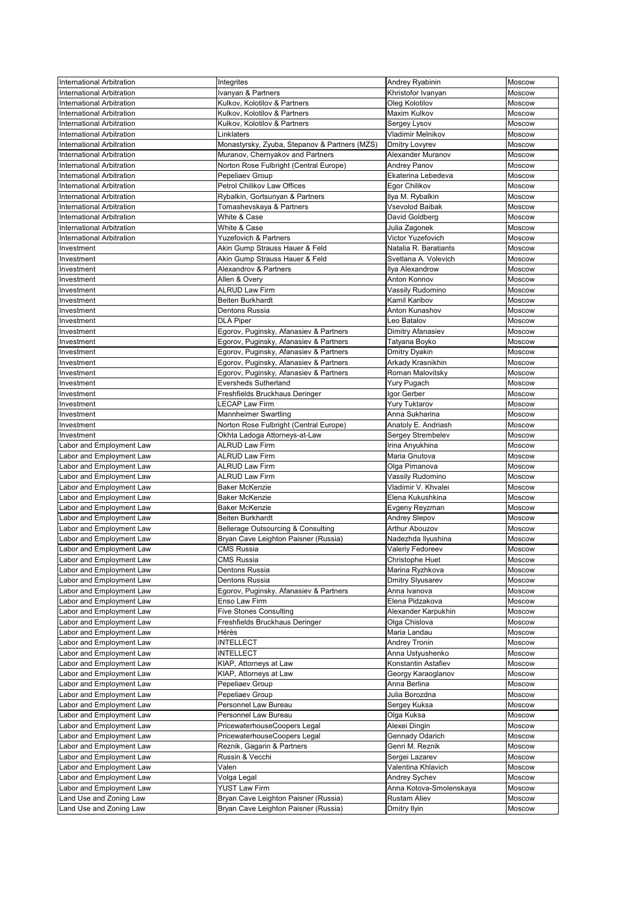| International Arbitration        | Integrites                                    | Andrey Ryabinin         | Moscow        |
|----------------------------------|-----------------------------------------------|-------------------------|---------------|
| <b>International Arbitration</b> | Ivanyan & Partners                            | Khristofor Ivanyan      | Moscow        |
| International Arbitration        | Kulkov, Kolotilov & Partners                  | Oleg Kolotilov          | Moscow        |
| International Arbitration        | Kulkov, Kolotilov & Partners                  | Maxim Kulkov            | Moscow        |
| International Arbitration        | Kulkov, Kolotilov & Partners                  | Sergey Lysov            | Moscow        |
| International Arbitration        | Linklaters                                    | Vladimir Melnikov       | Moscow        |
| International Arbitration        | Monastyrsky, Zyuba, Stepanov & Partners (MZS) | <b>Dmitry Lovyrev</b>   | <b>Moscow</b> |
| International Arbitration        | Muranov, Chernyakov and Partners              | Alexander Muranov       | Moscow        |
| International Arbitration        | Norton Rose Fulbright (Central Europe)        | <b>Andrey Panov</b>     | Moscow        |
| International Arbitration        | Pepeliaev Group                               | Ekaterina Lebedeva      | Moscow        |
| International Arbitration        | <b>Petrol Chilikov Law Offices</b>            | Egor Chilikov           | Moscow        |
| International Arbitration        | Rybalkin, Gortsunyan & Partners               | Ilya M. Rybalkin        | Moscow        |
| International Arbitration        | Tomashevskaya & Partners                      | <b>Vsevolod Baibak</b>  | Moscow        |
| International Arbitration        | White & Case                                  | David Goldberg          | Moscow        |
| <b>International Arbitration</b> | White & Case                                  | Julia Zagonek           | Moscow        |
| International Arbitration        | <b>Yuzefovich &amp; Partners</b>              | Victor Yuzefovich       | Moscow        |
| Investment                       | Akin Gump Strauss Hauer & Feld                | Natalia R. Baratiants   | Moscow        |
| Investment                       | Akin Gump Strauss Hauer & Feld                | Svetlana A. Volevich    | <b>Moscow</b> |
| Investment                       | Alexandrov & Partners                         | Ilya Alexandrow         | Moscow        |
| Investment                       | Allen & Overy                                 | <b>Anton Konnov</b>     | <b>Moscow</b> |
| Investment                       | <b>ALRUD Law Firm</b>                         | Vassily Rudomino        | Moscow        |
| Investment                       | <b>Beiten Burkhardt</b>                       | Kamil Karibov           | Moscow        |
| Investment                       | Dentons Russia                                | Anton Kunashov          | Moscow        |
| Investment                       | <b>DLA Piper</b>                              | Leo Batalov             | Moscow        |
| Investment                       | Egorov, Puginsky, Afanasiev & Partners        | Dimitry Afanasiev       | Moscow        |
| Investment                       | Egorov, Puginsky, Afanasiev & Partners        | Tatyana Boyko           | Moscow        |
| Investment                       | Egorov, Puginsky, Afanasiev & Partners        | <b>Dmitry Dyakin</b>    | Moscow        |
| Investment                       | Egorov, Puginsky, Afanasiev & Partners        | Arkady Krasnikhin       | <b>Moscow</b> |
| Investment                       | Egorov, Puginsky, Afanasiev & Partners        | Roman Malovitsky        | Moscow        |
| Investment                       | <b>Eversheds Sutherland</b>                   | Yury Pugach             | Moscow        |
| Investment                       | Freshfields Bruckhaus Deringer                | Igor Gerber             | Moscow        |
| Investment                       | <b>LECAP Law Firm</b>                         | <b>Yury Tuktarov</b>    | Moscow        |
| Investment                       | <b>Mannheimer Swartling</b>                   | Anna Sukharina          | <b>Moscow</b> |
| Investment                       | Norton Rose Fulbright (Central Europe)        | Anatoly E. Andriash     | Moscow        |
| Investment                       | Okhta Ladoga Attorneys-at-Law                 | Sergey Strembelev       | Moscow        |
| abor and Employment Law          | <b>ALRUD Law Firm</b>                         | Irina Anyukhina         | Moscow        |
| Labor and Employment Law         | <b>ALRUD Law Firm</b>                         | Maria Gnutova           | Moscow        |
| Labor and Employment Law         | <b>ALRUD Law Firm</b>                         | Olga Pimanova           | Moscow        |
| Labor and Employment Law         | <b>ALRUD Law Firm</b>                         | Vassily Rudomino        | Moscow        |
| abor and Employment Law          | <b>Baker McKenzie</b>                         | Vladimir V. Khvalei     | <b>Moscow</b> |
| Labor and Employment Law         | <b>Baker McKenzie</b>                         | Elena Kukushkina        | Moscow        |
| Labor and Employment Law         | <b>Baker McKenzie</b>                         | Evgeny Reyzman          | Moscow        |
| Labor and Employment Law         | <b>Beiten Burkhardt</b>                       | <b>Andrey Slepov</b>    | Moscow        |
| abor and Employment Law          | Bellerage Outsourcing & Consulting            | Arthur Abouzov          | Moscow        |
| Labor and Employment Law         | Bryan Cave Leighton Paisner (Russia)          | Nadezhda Ilyushina      | Moscow        |
| Labor and Employment Law         | <b>CMS Russia</b>                             | Valeriy Fedoreev        | <b>Moscow</b> |
| Labor and Employment Law         | <b>CMS Russia</b>                             | Christophe Huet         | Moscow        |
| Labor and Employment Law         | Dentons Russia                                | Marina Ryzhkova         | Moscow        |
| Labor and Employment Law         | Dentons Russia                                | Dmitry Slyusarev        | Moscow        |
| Labor and Employment Law         | Egorov, Puginsky, Afanasiev & Partners        | Anna Ivanova            | Moscow        |
| Labor and Employment Law         | Enso Law Firm                                 | Elena Pidzakova         | Moscow        |
| abor and Employment Law          | <b>Five Stones Consulting</b>                 | Alexander Karpukhin     | Moscow        |
| abor and Employment Law          | Freshfields Bruckhaus Deringer                | Olga Chislova           | Moscow        |
| Labor and Employment Law         | Hérès                                         | Maria Landau            | Moscow        |
| Labor and Employment Law         | <b>INTELLECT</b>                              | <b>Andrey Tronin</b>    | Moscow        |
| abor and Employment Law          | <b>INTELLECT</b>                              | Anna Ustyushenko        | Moscow        |
| abor and Employment Law          | KIAP, Attorneys at Law                        | Konstantin Astafiev     | Moscow        |
| Labor and Employment Law         | KIAP, Attorneys at Law                        | Georgy Karaoglanov      | <b>Moscow</b> |
| Labor and Employment Law         | Pepeliaev Group                               | Anna Berlina            | <b>Moscow</b> |
| Labor and Employment Law         | Pepeliaev Group                               | Julia Borozdna          | Moscow        |
| Labor and Employment Law         | Personnel Law Bureau                          | Sergey Kuksa            | Moscow        |
| Labor and Employment Law         | Personnel Law Bureau                          | Olga Kuksa              | Moscow        |
| Labor and Employment Law         | PricewaterhouseCoopers Legal                  | Alexei Dingin           | Moscow        |
| Labor and Employment Law         | PricewaterhouseCoopers Legal                  | Gennady Odarich         | Moscow        |
| Labor and Employment Law         | Reznik, Gagarin & Partners                    | Genri M. Reznik         | Moscow        |
| Labor and Employment Law         | Russin & Vecchi                               | Sergei Lazarev          | <b>Moscow</b> |
| Labor and Employment Law         | Valen                                         | Valentina Khlavich      | <b>Moscow</b> |
| Labor and Employment Law         | Volga Legal                                   | Andrey Sychev           | <b>Moscow</b> |
| Labor and Employment Law         | <b>YUST Law Firm</b>                          | Anna Kotova-Smolenskaya | Moscow        |
| Land Use and Zoning Law          | Bryan Cave Leighton Paisner (Russia)          | <b>Rustam Aliev</b>     | Moscow        |
| Land Use and Zoning Law          | Bryan Cave Leighton Paisner (Russia)          | Dmitry Ilyin            | Moscow        |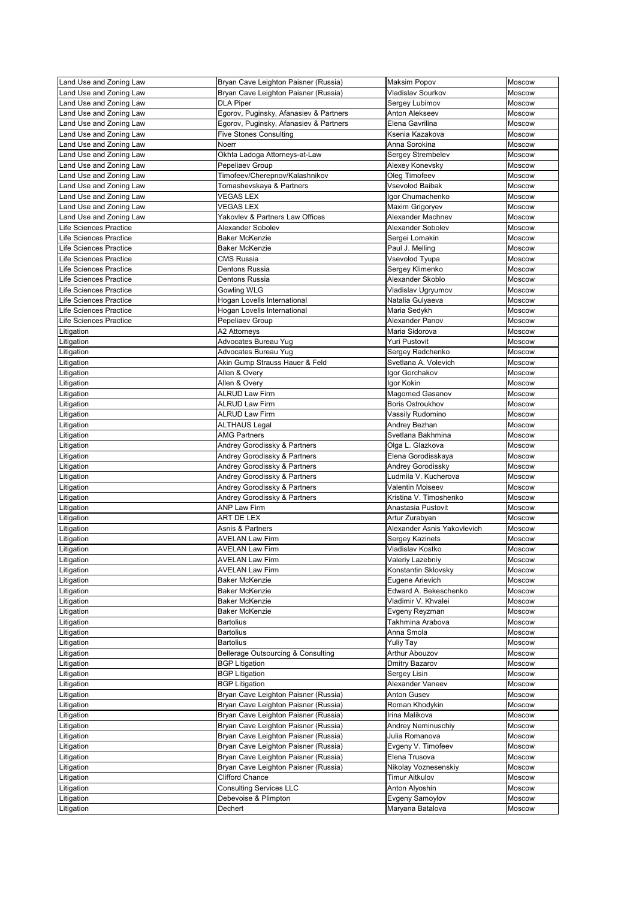| and Use and Zoning Law        | Bryan Cave Leighton Paisner (Russia)          | <b>Maksim Popov</b>         | Moscow        |
|-------------------------------|-----------------------------------------------|-----------------------------|---------------|
| and Use and Zoning Law        | Bryan Cave Leighton Paisner (Russia)          | Vladislav Sourkov           | <b>Moscow</b> |
| and Use and Zoning Law        | <b>DLA Piper</b>                              | Sergey Lubimov              | Moscow        |
| and Use and Zoning Law        | Egorov, Puginsky, Afanasiev & Partners        | Anton Alekseev              | <b>Moscow</b> |
| and Use and Zoning Law        |                                               | Elena Gavrilina             | Moscow        |
|                               | Egorov, Puginsky, Afanasiev & Partners        |                             |               |
| Land Use and Zoning Law       | <b>Five Stones Consulting</b>                 | Ksenia Kazakova             | Moscow        |
| and Use and Zoning Law        | Noerr                                         | Anna Sorokina               | Moscow        |
| and Use and Zoning Law        | Okhta Ladoga Attorneys-at-Law                 | Sergey Strembelev           | <b>Moscow</b> |
| and Use and Zoning Law        | Pepeliaev Group                               | Alexey Konevsky             | Moscow        |
| and Use and Zoning Law        | Timofeev/Cherepnov/Kalashnikov                | Oleg Timofeev               | Moscow        |
| Land Use and Zoning Law       | Tomashevskaya & Partners                      | <b>Vsevolod Baibak</b>      | Moscow        |
| and Use and Zoning Law        | <b>VEGAS LEX</b>                              | Igor Chumachenko            | <b>Moscow</b> |
| and Use and Zoning Law        | <b>VEGAS LEX</b>                              | Maxim Grigoryev             | <b>Moscow</b> |
| and Use and Zoning Law        | Yakovlev & Partners Law Offices               | Alexander Machnev           | Moscow        |
| Life Sciences Practice        | Alexander Sobolev                             | Alexander Sobolev           | <b>Moscow</b> |
| Life Sciences Practice        | <b>Baker McKenzie</b>                         | Sergei Lomakin              | Moscow        |
| <b>Life Sciences Practice</b> | <b>Baker McKenzie</b>                         | Paul J. Melling             | Moscow        |
| life Sciences Practice        | <b>CMS Russia</b>                             | Vsevolod Tyupa              | Moscow        |
| Life Sciences Practice        | <b>Dentons Russia</b>                         | Sergey Klimenko             | Moscow        |
|                               |                                               | Alexander Skoblo            |               |
| Life Sciences Practice        | <b>Dentons Russia</b>                         |                             | Moscow        |
| Life Sciences Practice        | Gowling WLG                                   | Vladislav Ugryumov          | <b>Moscow</b> |
| Life Sciences Practice        | Hogan Lovells International                   | Natalia Gulyaeva            | Moscow        |
| life Sciences Practice        | Hogan Lovells International                   | Maria Sedykh                | Moscow        |
| Life Sciences Practice        | Pepeliaev Group                               | Alexander Panov             | Moscow        |
| Litigation                    | A2 Attorneys                                  | Maria Sidorova              | <b>Moscow</b> |
| _itigation                    | Advocates Bureau Yug                          | <b>Yuri Pustovit</b>        | Moscow        |
| Litigation                    | Advocates Bureau Yug                          | Sergey Radchenko            | Moscow        |
| Litigation                    | Akin Gump Strauss Hauer & Feld                | Svetlana A. Volevich        | Moscow        |
| Litigation                    | Allen & Overy                                 | Igor Gorchakov              | Moscow        |
| Litigation                    | Allen & Overy                                 | Igor Kokin                  | <b>Moscow</b> |
| Litigation                    | <b>ALRUD Law Firm</b>                         | <b>Magomed Gasanov</b>      | Moscow        |
| Litigation                    | <b>ALRUD Law Firm</b>                         | <b>Boris Ostroukhov</b>     | Moscow        |
|                               | <b>ALRUD Law Firm</b>                         |                             | Moscow        |
| Litigation                    |                                               | Vassily Rudomino            |               |
| Litigation                    | <b>ALTHAUS Legal</b>                          | Andrey Bezhan               | Moscow        |
| _itigation                    | <b>AMG Partners</b>                           | Svetlana Bakhmina           | Moscow        |
| itigation.                    | Andrey Gorodissky & Partners                  | Olga L. Glazkova            | Moscow        |
| Litigation                    | Andrey Gorodissky & Partners                  | Elena Gorodisskaya          | Moscow        |
| Litigation                    | Andrey Gorodissky & Partners                  | Andrey Gorodissky           | Moscow        |
| itigation_                    | Andrey Gorodissky & Partners                  | Ludmila V. Kucherova        | Moscow        |
| _itigation                    | Andrey Gorodissky & Partners                  | Valentin Moiseev            | Moscow        |
| itigation_                    | Andrey Gorodissky & Partners                  | Kristina V. Timoshenko      | Moscow        |
| Litigation                    | <b>ANP Law Firm</b>                           | Anastasia Pustovit          | Moscow        |
| _itigation                    | <b>ART DE LEX</b>                             | Artur Zurabyan              | Moscow        |
| itigation.                    | Asnis & Partners                              | Alexander Asnis Yakovlevich | <b>Moscow</b> |
| Litigation                    | <b>AVELAN Law Firm</b>                        | Sergey Kazinets             | Moscow        |
| _itigation                    | <b>AVELAN Law Firm</b>                        | Vladislav Kostko            | Moscow        |
| _itigation                    | <b>AVELAN Law Firm</b>                        | Valeriy Lazebniy            | Moscow        |
|                               | <b>AVELAN Law Firm</b>                        | Konstantin Sklovsky         | Moscow        |
| _itigation                    | <b>Baker McKenzie</b>                         |                             |               |
| Litigation                    |                                               | Eugene Arievich             | Moscow        |
| Litigation                    | <b>Baker McKenzie</b>                         | Edward A. Bekeschenko       | Moscow        |
| _itigation                    | <b>Baker McKenzie</b>                         | Vladimir V. Khvalei         | Moscow        |
| itigation.                    | <b>Baker McKenzie</b>                         | Evgeny Reyzman              | Moscow        |
| ∟itigation                    | <b>Bartolius</b>                              | Takhmina Arabova            | Moscow        |
| Litigation                    | <b>Bartolius</b>                              | Anna Smola                  | Moscow        |
| ∟itigation                    | <b>Bartolius</b>                              | <b>Yuliy Tay</b>            | Moscow        |
| itigation                     | <b>Bellerage Outsourcing &amp; Consulting</b> | Arthur Abouzov              | Moscow        |
| itigation.                    | <b>BGP Litigation</b>                         | Dmitry Bazarov              | <b>Moscow</b> |
| Litigation                    | <b>BGP Litigation</b>                         | Sergey Lisin                | Moscow        |
| Litigation                    | <b>BGP Litigation</b>                         | Alexander Vaneev            | Moscow        |
| ∟itigation                    | Bryan Cave Leighton Paisner (Russia)          | <b>Anton Gusev</b>          | Moscow        |
| Litigation                    | Bryan Cave Leighton Paisner (Russia)          | Roman Khodykin              | Moscow        |
| Litigation                    | Bryan Cave Leighton Paisner (Russia)          | Irina Malikova              | Moscow        |
|                               | Bryan Cave Leighton Paisner (Russia)          |                             | Moscow        |
| Litigation                    |                                               | Andrey Neminuschiy          |               |
| Litigation                    | Bryan Cave Leighton Paisner (Russia)          | Julia Romanova              | Moscow        |
| Litigation                    | Bryan Cave Leighton Paisner (Russia)          | Evgeny V. Timofeev          | Moscow        |
| Litigation                    | Bryan Cave Leighton Paisner (Russia)          | Elena Trusova               | Moscow        |
| Litigation                    | Bryan Cave Leighton Paisner (Russia)          | Nikolay Voznesenskiy        | Moscow        |
| Litigation                    | <b>Clifford Chance</b>                        | <b>Timur Aitkulov</b>       | Moscow        |
| _itigation                    | <b>Consulting Services LLC</b>                | Anton Alyoshin              | Moscow        |
| itigation.                    | Debevoise & Plimpton                          | Evgeny Samoylov             | Moscow        |
| Litigation                    | Dechert                                       | Maryana Batalova            | Moscow        |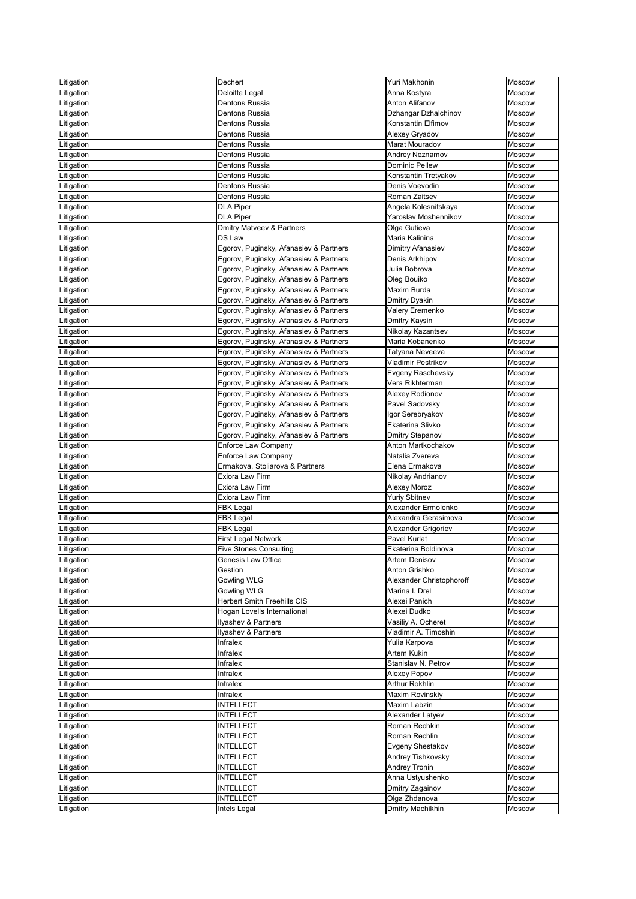| _itigation | Dechert                                | Yuri Makhonin            | Moscow        |
|------------|----------------------------------------|--------------------------|---------------|
| itigation. | Deloitte Legal                         | Anna Kostyra             | <b>Moscow</b> |
| Litigation | <b>Dentons Russia</b>                  | <b>Anton Alifanov</b>    | Moscow        |
|            | Dentons Russia                         | Dzhangar Dzhalchinov     | Moscow        |
| Litigation |                                        | Konstantin Elfimov       |               |
| _itigation | <b>Dentons Russia</b>                  |                          | Moscow        |
| _itigation | <b>Dentons Russia</b>                  | Alexey Gryadov           | Moscow        |
| _itigation | Dentons Russia                         | <b>Marat Mouradov</b>    | Moscow        |
| Litigation | <b>Dentons Russia</b>                  | Andrey Neznamov          | Moscow        |
| _itigation | Dentons Russia                         | <b>Dominic Pellew</b>    | Moscow        |
| itigation_ | Dentons Russia                         | Konstantin Tretyakov     | Moscow        |
| Litigation | <b>Dentons Russia</b>                  | Denis Voevodin           | Moscow        |
| _itigation | <b>Dentons Russia</b>                  | Roman Zaitsev            | Moscow        |
| Litigation | <b>DLA Piper</b>                       | Angela Kolesnitskaya     | <b>Moscow</b> |
| _itigation | <b>DLA Piper</b>                       | Yaroslav Moshennikov     | Moscow        |
| _itigation | <b>Dmitry Matveev &amp; Partners</b>   | Olga Gutieva             | Moscow        |
| Litigation | DS Law                                 | Maria Kalinina           | Moscow        |
| _itigation | Egorov, Puginsky, Afanasiev & Partners | Dimitry Afanasiev        | Moscow        |
| _itigation | Egorov, Puginsky, Afanasiev & Partners | Denis Arkhipov           | Moscow        |
|            | Egorov, Puginsky, Afanasiev & Partners | Julia Bobrova            | <b>Moscow</b> |
| Litigation |                                        |                          |               |
| Litigation | Egorov, Puginsky, Afanasiev & Partners | Oleg Bouiko              | Moscow        |
| _itigation | Egorov, Puginsky, Afanasiev & Partners | <b>Maxim Burda</b>       | Moscow        |
| _itigation | Egorov, Puginsky, Afanasiev & Partners | <b>Dmitry Dyakin</b>     | Moscow        |
| .itigation | Egorov, Puginsky, Afanasiev & Partners | Valery Eremenko          | Moscow        |
| Litigation | Egorov, Puginsky, Afanasiev & Partners | Dmitry Kaysin            | Moscow        |
| _itigation | Egorov, Puginsky, Afanasiev & Partners | Nikolay Kazantsev        | Moscow        |
| _itigation | Egorov, Puginsky, Afanasiev & Partners | Maria Kobanenko          | Moscow        |
| _itigation | Egorov, Puginsky, Afanasiev & Partners | Tatyana Neveeva          | Moscow        |
| Litigation | Egorov, Puginsky, Afanasiev & Partners | Vladimir Pestrikov       | Moscow        |
| Litigation | Egorov, Puginsky, Afanasiev & Partners | Evgeny Raschevsky        | Moscow        |
| _itigation | Egorov, Puginsky, Afanasiev & Partners | Vera Rikhterman          | Moscow        |
| _itigation | Egorov, Puginsky, Afanasiev & Partners | Alexey Rodionov          | Moscow        |
| Litigation | Egorov, Puginsky, Afanasiev & Partners | Pavel Sadovsky           | Moscow        |
|            | Egorov, Puginsky, Afanasiev & Partners | Igor Serebryakov         | Moscow        |
| Litigation |                                        |                          |               |
| Litigation | Egorov, Puginsky, Afanasiev & Partners | Ekaterina Slivko         | Moscow        |
| ∟itigation | Egorov, Puginsky, Afanasiev & Partners | <b>Dmitry Stepanov</b>   | Moscow        |
| itigation. | <b>Enforce Law Company</b>             | Anton Martkochakov       | Moscow        |
| Litigation | <b>Enforce Law Company</b>             | Natalia Zvereva          | <b>Moscow</b> |
| Litigation | Ermakova, Stoliarova & Partners        | Elena Ermakova           | Moscow        |
| ∟itigation | Exiora Law Firm                        | Nikolay Andrianov        | Moscow        |
| Litigation | Exiora Law Firm                        | Alexey Moroz             | Moscow        |
| Litigation | Exiora Law Firm                        | <b>Yuriy Sbitnev</b>     | <b>Moscow</b> |
| Litigation | <b>FBK Legal</b>                       | Alexander Ermolenko      | Moscow        |
| Litigation | <b>FBK Legal</b>                       | Alexandra Gerasimova     | Moscow        |
| _itigation | <b>FBK Legal</b>                       | Alexander Grigoriev      | Moscow        |
| Litigation | <b>First Legal Network</b>             | Pavel Kurlat             | <b>Moscow</b> |
| Litigation | <b>Five Stones Consulting</b>          | Ekaterina Boldinova      | Moscow        |
| Litigation | Genesis Law Office                     | <b>Artem Denisov</b>     | Moscow        |
| ∟itigation | Gestion                                | Anton Grishko            | Moscow        |
|            | <b>Gowling WLG</b>                     | Alexander Christophoroff | Moscow        |
| itigation_ |                                        |                          |               |
| Litigation | <b>Gowling WLG</b>                     | Marina I. Drel           | Moscow        |
| _itigation | <b>Herbert Smith Freehills CIS</b>     | Alexei Panich            | Moscow        |
| _itigation | Hogan Lovells International            | Alexei Dudko             | Moscow        |
| ∟itigation | Ilyashev & Partners                    | Vasiliy A. Ocheret       | Moscow        |
| Litigation | Ilyashev & Partners                    | Vladimir A. Timoshin     | Moscow        |
| Litigation | Infralex                               | Yulia Karpova            | Moscow        |
| Litigation | Infralex                               | Artem Kukin              | Moscow        |
| itigation. | Infralex                               | Stanislav N. Petrov      | Moscow        |
| Litigation | Infralex                               | Alexey Popov             | <b>Moscow</b> |
| Litigation | Infralex                               | <b>Arthur Rokhlin</b>    | Moscow        |
| Litigation | Infralex                               | Maxim Rovinskiy          | Moscow        |
| Litigation | <b>INTELLECT</b>                       | <b>Maxim Labzin</b>      | Moscow        |
| _itigation | <b>INTELLECT</b>                       | Alexander Latyev         | Moscow        |
| Litigation | <b>INTELLECT</b>                       | Roman Rechkin            | Moscow        |
| Litigation | <b>INTELLECT</b>                       | Roman Rechlin            | Moscow        |
|            | <b>INTELLECT</b>                       |                          | <b>Moscow</b> |
| Litigation | <b>INTELLECT</b>                       | Evgeny Shestakov         |               |
| Litigation |                                        | Andrey Tishkovsky        | <b>Moscow</b> |
| Litigation | <b>INTELLECT</b>                       | <b>Andrey Tronin</b>     | Moscow        |
| Litigation | <b>INTELLECT</b>                       | Anna Ustyushenko         | Moscow        |
| Litigation | <b>INTELLECT</b>                       | Dmitry Zagainov          | Moscow        |
| itigation. | <b>INTELLECT</b>                       | Olga Zhdanova            | Moscow        |
| Litigation | Intels Legal                           | Dmitry Machikhin         | Moscow        |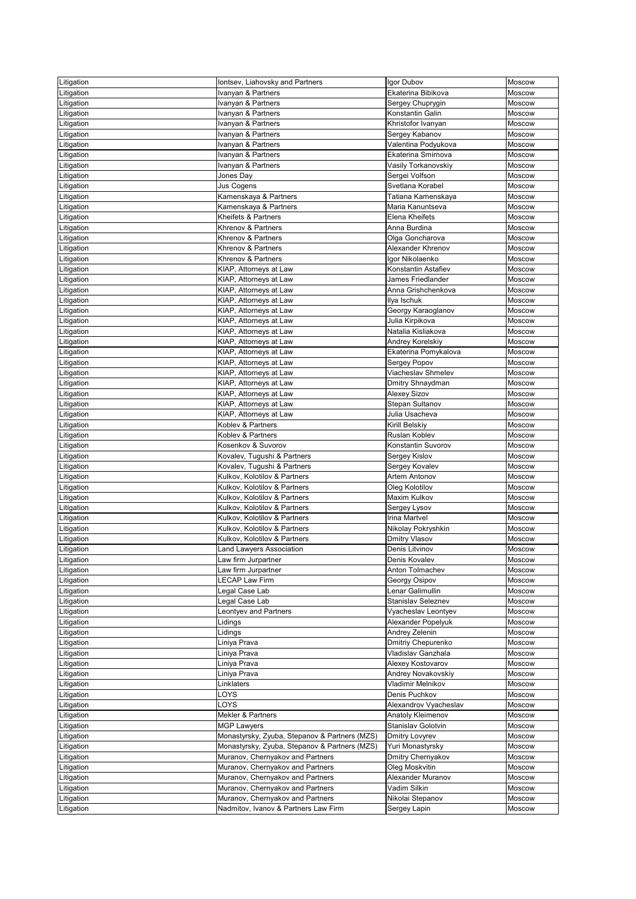| Litigation               | lontsev, Liahovsky and Partners               | Igor Dubov                             | Moscow           |
|--------------------------|-----------------------------------------------|----------------------------------------|------------------|
| _itigation               | Ivanyan & Partners                            | Ekaterina Bibikova                     | Moscow           |
| _itigation               | Ivanyan & Partners                            | Sergey Chuprygin                       | Moscow           |
| _itigation               | Ivanyan & Partners                            | Konstantin Galin                       | Moscow           |
| _itigation               | Ivanyan & Partners                            | Khristofor Ivanyan                     | <b>Moscow</b>    |
| Litigation               | Ivanyan & Partners                            | Sergey Kabanov                         | Moscow           |
| _itigation               | Ivanyan & Partners                            | Valentina Podyukova                    | Moscow           |
| _itigation               | Ivanyan & Partners                            | Ekaterina Smirnova                     | Moscow           |
| _itigation               | Ivanyan & Partners                            | Vasily Torkanovskiy                    | <b>Moscow</b>    |
| _itigation               | Jones Day                                     | Sergei Volfson                         | Moscow           |
| _itigation               | Jus Cogens                                    | Svetlana Korabel                       | Moscow           |
| _itigation               | Kamenskaya & Partners                         | Tatiana Kamenskaya                     | <b>Moscow</b>    |
| .itigation               | Kamenskaya & Partners                         | Maria Kanuntseva                       | Moscow           |
| Litigation               | Kheifets & Partners                           | Elena Kheifets                         | Moscow           |
| _itigation               | Khrenov & Partners                            | Anna Burdina                           | Moscow           |
| _itigation               | Khrenov & Partners                            | Olga Goncharova                        | Moscow           |
| _itigation               | Khrenov & Partners                            | Alexander Khrenov                      | Moscow           |
| _itigation               | Khrenov & Partners                            | Igor Nikolaenko                        | Moscow           |
| _itigation               | KIAP, Attorneys at Law                        | Konstantin Astafiev                    | Moscow           |
| _itigation               | KIAP, Attorneys at Law                        | James Friedlander                      | Moscow           |
| .itigation               | KIAP, Attorneys at Law                        | Anna Grishchenkova                     | <b>Moscow</b>    |
| _itigation               | KIAP, Attorneys at Law                        | Ilya Ischuk                            | Moscow           |
| _itigation               | KIAP, Attorneys at Law                        | Georgy Karaoglanov                     | Moscow           |
| _itigation               | KIAP, Attorneys at Law                        | Julia Kirpikova                        | Moscow           |
| _itigation               | KIAP, Attorneys at Law                        | Natalia Kisliakova                     | <b>Moscow</b>    |
| _itigation               | KIAP, Attorneys at Law                        | Andrey Korelskiy                       | Moscow           |
| Litigation               | KIAP, Attorneys at Law                        | Ekaterina Pomykalova                   | Moscow           |
| _itigation               | KIAP, Attorneys at Law                        | Sergey Popov                           | Moscow           |
| _itigation               | KIAP, Attorneys at Law                        | Viacheslav Shmelev                     | Moscow           |
| _itigation               | KIAP, Attorneys at Law                        | Dmitry Shnaydman                       | Moscow           |
| Litigation               | KIAP, Attorneys at Law                        | <b>Alexey Sizov</b>                    | Moscow           |
| Litigation               | KIAP, Attorneys at Law                        | Stepan Sultanov                        | Moscow           |
| Litigation               | KIAP, Attorneys at Law                        | Julia Usacheva                         | <b>Moscow</b>    |
| _itigation               | Koblev & Partners                             | <b>Kirill Belskiy</b>                  | Moscow           |
| Litigation               | Koblev & Partners                             | <b>Ruslan Koblev</b>                   | Moscow           |
| Litigation               | Kosenkov & Suvorov                            | Konstantin Suvorov                     | Moscow           |
|                          | Kovalev, Tugushi & Partners                   | Sergey Kislov                          | Moscow           |
| Litigation<br>_itigation | Kovalev, Tugushi & Partners                   | Sergey Kovalev                         | Moscow           |
| _itigation               | Kulkov, Kolotilov & Partners                  | <b>Artem Antonov</b>                   | <b>Moscow</b>    |
| Litigation               | Kulkov, Kolotilov & Partners                  | Oleg Kolotilov                         | Moscow           |
| _itigation               | Kulkov, Kolotilov & Partners                  | Maxim Kulkov                           | Moscow           |
| itigation_               | Kulkov, Kolotilov & Partners                  | Sergey Lysov                           | Moscow           |
| Litigation               | Kulkov, Kolotilov & Partners                  | <b>Irina Martvel</b>                   | <b>Moscow</b>    |
|                          | Kulkov, Kolotilov & Partners                  |                                        | Moscow           |
| ∟itigation               | Kulkov, Kolotilov & Partners                  | Nikolay Pokryshkin                     | Moscow           |
| Litigation               |                                               | <b>Dmitry Vlasov</b><br>Denis Litvinov |                  |
| _itigation               | Land Lawyers Association                      |                                        | Moscow<br>Moscow |
| itigation.               | aw firm Jurpartner                            | Denis Kovalev<br>Anton Tolmachev       |                  |
| Litigation               | Law firm Jurpartner<br><b>ECAP Law Firm</b>   |                                        | Moscow           |
| Litigation               |                                               | Georgy Osipov<br>Lenar Galimullin      | Moscow<br>Moscow |
| _itigation               | Legal Case Lab                                |                                        |                  |
| itigation_               | Legal Case Lab                                | <b>Stanislav Seleznev</b>              | Moscow           |
| itigation.               | eontyev and Partners                          | Vyacheslav Leontyev                    | <b>Moscow</b>    |
| Litigation               | Lidings                                       | Alexander Popelyuk                     | Moscow           |
| ∟itigation               | Lidings                                       | Andrey Zelenin                         | Moscow           |
| itigation_               | Liniya Prava                                  | Dmitriy Chepurenko                     | Moscow           |
| _itigation               | Liniya Prava                                  | Vladislav Ganzhala                     | Moscow           |
| Litigation               | ∟iniya Prava                                  | Alexey Kostovarov                      | Moscow           |
| Litigation               | Liniya Prava                                  | Andrey Novakovskiy                     | Moscow           |
| Litigation               | Linklaters                                    | Vladimir Melnikov                      | Moscow           |
| _itigation               | _OYS                                          | Denis Puchkov                          | Moscow           |
| Litigation               | LOYS                                          | Alexandrov Vyacheslav                  | Moscow           |
| Litigation               | Mekler & Partners                             | Anatoly Kleimenov                      | Moscow           |
| Litigation               | <b>MGP Lawyers</b>                            | Stanislav Golotvin                     | Moscow           |
| itigation <sub>-</sub>   | Monastyrsky, Zyuba, Stepanov & Partners (MZS) | <b>Dmitry Lovyrev</b>                  | Moscow           |
| Litigation               | Monastyrsky, Zyuba, Stepanov & Partners (MZS) | Yuri Monastyrsky                       | Moscow           |
| Litigation               | Muranov, Chernyakov and Partners              | Dmitry Chernyakov                      | Moscow           |
| Litigation               | Muranov, Chernyakov and Partners              | Oleg Moskvitin                         | Moscow           |
| itigation_               | Muranov, Chernyakov and Partners              | <b>Alexander Muranov</b>               | Moscow           |
| Litigation               | Muranov, Chernyakov and Partners              | Vadim Silkin                           | Moscow           |
| Litigation               | Muranov, Chernyakov and Partners              | Nikolai Stepanov                       | Moscow           |
| Litigation               | Nadmitov, Ivanov & Partners Law Firm          | Sergey Lapin                           | Moscow           |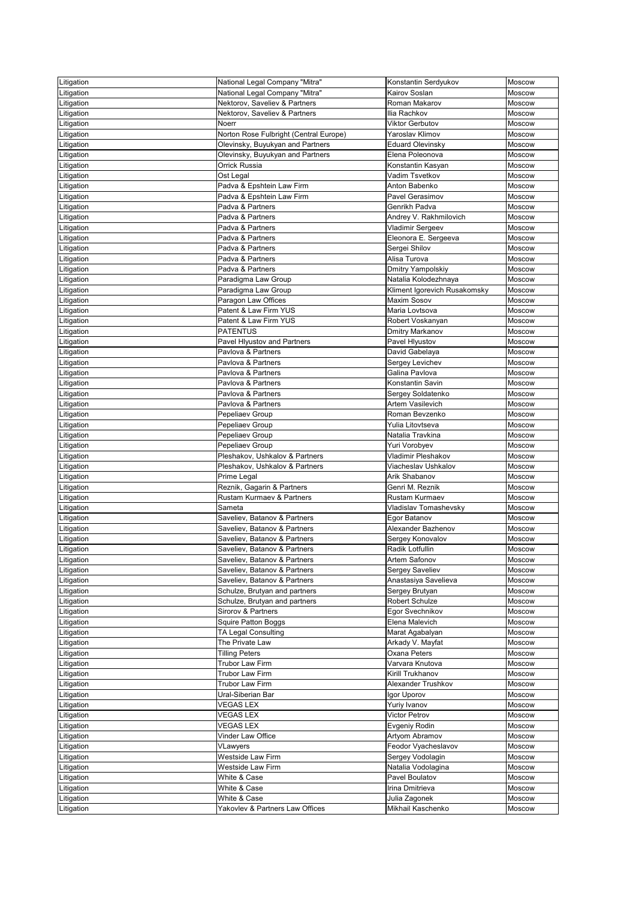| Litigation | National Legal Company "Mitra"         | Konstantin Serdyukov         | Moscow        |
|------------|----------------------------------------|------------------------------|---------------|
| _itigation | National Legal Company "Mitra"         | Kairov Soslan                | Moscow        |
| Litigation | Nektorov, Saveliev & Partners          | Roman Makarov                | Moscow        |
| _itigation | Nektorov, Saveliev & Partners          | Ilia Rachkov                 | Moscow        |
|            | <b>Noerr</b>                           | <b>Viktor Gerbutov</b>       | Moscow        |
| itigation. |                                        | Yaroslav Klimov              |               |
| Litigation | Norton Rose Fulbright (Central Europe) |                              | Moscow        |
| _itigation | Olevinsky, Buyukyan and Partners       | <b>Eduard Olevinsky</b>      | Moscow        |
| itigation. | Olevinsky, Buyukyan and Partners       | Elena Poleonova              | Moscow        |
| _itigation | <b>Orrick Russia</b>                   | Konstantin Kasyan            | Moscow        |
| _itigation | Ost Legal                              | Vadim Tsvetkov               | Moscow        |
| _itigation | Padva & Epshtein Law Firm              | Anton Babenko                | Moscow        |
| _itigation | Padva & Epshtein Law Firm              | Pavel Gerasimov              | Moscow        |
| itigation. | Padva & Partners                       | Genrikh Padva                | Moscow        |
| _itigation | Padva & Partners                       | Andrey V. Rakhmilovich       | Moscow        |
| Litigation | Padva & Partners                       | Vladimir Sergeev             | Moscow        |
| _itigation | Padva & Partners                       | Eleonora E. Sergeeva         | Moscow        |
| itigation. | Padva & Partners                       | Sergei Shilov                | Moscow        |
| itigation. | Padva & Partners                       | Alisa Turova                 | Moscow        |
| Litigation | Padva & Partners                       | <b>Dmitry Yampolskiy</b>     | Moscow        |
|            |                                        | Natalia Kolodezhnaya         | Moscow        |
| Litigation | Paradigma Law Group                    |                              |               |
| itigation. | Paradigma Law Group                    | Kliment Igorevich Rusakomsky | Moscow        |
| itigation. | Paragon Law Offices                    | <b>Maxim Sosov</b>           | Moscow        |
| _itigation | Patent & Law Firm YUS                  | Maria Lovtsova               | Moscow        |
| _itigation | Patent & Law Firm YUS                  | Robert Voskanyan             | Moscow        |
| _itigation | <b>PATENTUS</b>                        | Dmitry Markanov              | <b>Moscow</b> |
| itigation. | Pavel Hlyustov and Partners            | Pavel Hlyustov               | Moscow        |
| Litigation | Pavlova & Partners                     | David Gabelaya               | Moscow        |
| Litigation | Pavlova & Partners                     | Sergey Levichev              | Moscow        |
| Litigation | Pavlova & Partners                     | Galina Pavlova               | <b>Moscow</b> |
| _itigation | Pavlova & Partners                     | Konstantin Savin             | <b>Moscow</b> |
| Litigation | Pavlova & Partners                     | Sergey Soldatenko            | Moscow        |
| Litigation | Pavlova & Partners                     | <b>Artem Vasilevich</b>      | <b>Moscow</b> |
|            | Pepeliaev Group                        | Roman Bevzenko               | Moscow        |
| Litigation |                                        |                              |               |
| Litigation | Pepeliaev Group                        | Yulia Litovtseva             | Moscow        |
| Litigation | Pepeliaev Group                        | Natalia Travkina             | <b>Moscow</b> |
| Litigation | Pepeliaev Group                        | Yuri Vorobyev                | Moscow        |
| Litigation | Pleshakov, Ushkalov & Partners         | Vladimir Pleshakov           | Moscow        |
| Litigation | Pleshakov, Ushkalov & Partners         | Viacheslav Ushkalov          | Moscow        |
| itigation_ | Prime Legal                            | Arik Shabanov                | Moscow        |
| Litigation | Reznik, Gagarin & Partners             | Genri M. Reznik              | Moscow        |
| _itigation | <b>Rustam Kurmaev &amp; Partners</b>   | Rustam Kurmaev               | Moscow        |
| _itigation | Sameta                                 | Vladislav Tomashevsky        | Moscow        |
| _itigation | Saveliev, Batanov & Partners           | Egor Batanov                 | Moscow        |
| itigation_ | Saveliev, Batanov & Partners           | Alexander Bazhenov           | Moscow        |
| Litigation | Saveliev, Batanov & Partners           | Sergey Konovalov             | Moscow        |
| _itigation | Saveliev, Batanov & Partners           | Radik Lotfullin              | Moscow        |
| itigation. | Saveliev, Batanov & Partners           | Artem Safonov                | Moscow        |
|            | Saveliev, Batanov & Partners           | Sergey Saveliev              | Moscow        |
| Litigation | Saveliev, Batanov & Partners           |                              | Moscow        |
| Litigation |                                        | Anastasiya Savelieva         |               |
| Litigation | Schulze, Brutyan and partners          | Sergey Brutyan               | Moscow        |
| _itigation | Schulze, Brutyan and partners          | <b>Robert Schulze</b>        | Moscow        |
| itigation. | Sirorov & Partners                     | Egor Svechnikov              | Moscow        |
| Litigation | <b>Squire Patton Boggs</b>             | Elena Malevich               | Moscow        |
| ∟itigation | TA Legal Consulting                    | Marat Agabalyan              | Moscow        |
| _itigation | The Private Law                        | Arkady V. Mayfat             | Moscow        |
| itigation_ | <b>Tilling Peters</b>                  | <b>Oxana Peters</b>          | Moscow        |
| Litigation | <b>Trubor Law Firm</b>                 | Varvara Knutova              | Moscow        |
| Litigation | Trubor Law Firm                        | Kirill Trukhanov             | Moscow        |
| Litigation | <b>Trubor Law Firm</b>                 | Alexander Trushkov           | Moscow        |
| itigation_ | Ural-Siberian Bar                      | Igor Uporov                  | Moscow        |
| Litigation | <b>VEGAS LEX</b>                       | Yuriy Ivanov                 | Moscow        |
| Litigation | <b>VEGAS LEX</b>                       | <b>Victor Petrov</b>         | Moscow        |
|            | <b>VEGAS LEX</b>                       | Evgeniy Rodin                | Moscow        |
| Litigation |                                        |                              |               |
| Litigation | Vinder Law Office                      | Artyom Abramov               | <b>Moscow</b> |
| Litigation | VLawyers                               | Feodor Vyacheslavov          | <b>Moscow</b> |
| Litigation | Westside Law Firm                      | Sergey Vodolagin             | Moscow        |
| Litigation | Westside Law Firm                      | Natalia Vodolagina           | <b>Moscow</b> |
| Litigation | White & Case                           | Pavel Boulatov               | <b>Moscow</b> |
| Litigation | White & Case                           | Irina Dmitrieva              | Moscow        |
| Litigation | White & Case                           | Julia Zagonek                | Moscow        |
| Litigation | Yakovlev & Partners Law Offices        | Mikhail Kaschenko            | Moscow        |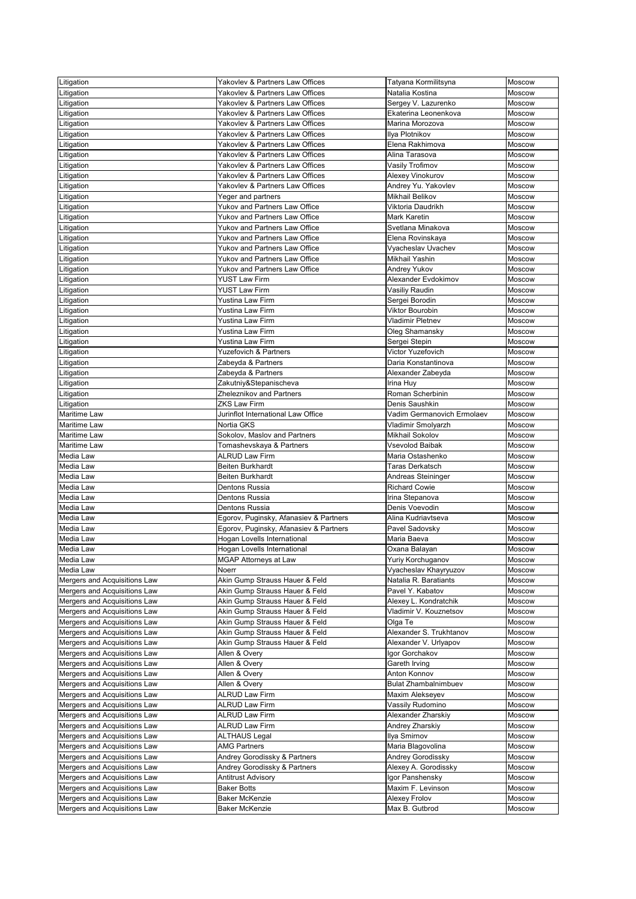| Litigation                                                   | Yakovlev & Partners Law Offices             | Tatyana Kormilitsyna                         | Moscow        |
|--------------------------------------------------------------|---------------------------------------------|----------------------------------------------|---------------|
| _itigation                                                   | Yakovlev & Partners Law Offices             | Natalia Kostina                              | Moscow        |
| Litigation                                                   | Yakovlev & Partners Law Offices             | Sergey V. Lazurenko                          | Moscow        |
| Litigation                                                   | Yakovlev & Partners Law Offices             | Ekaterina Leonenkova                         | Moscow        |
|                                                              | Yakovlev & Partners Law Offices             | Marina Morozova                              | Moscow        |
| _itigation                                                   |                                             |                                              |               |
| Litigation                                                   | Yakovlev & Partners Law Offices             | Ilya Plotnikov                               | Moscow        |
| _itigation                                                   | Yakovlev & Partners Law Offices             | Elena Rakhimova                              | Moscow        |
| _itigation                                                   | Yakovlev & Partners Law Offices             | Alina Tarasova                               | Moscow        |
| _itigation                                                   | Yakovlev & Partners Law Offices             | Vasily Trofimov                              | Moscow        |
| Litigation                                                   | Yakovlev & Partners Law Offices             | Alexey Vinokurov                             | Moscow        |
| _itigation                                                   | Yakovlev & Partners Law Offices             | Andrey Yu. Yakovlev                          | Moscow        |
| _itigation                                                   | Yeger and partners                          | <b>Mikhail Belikov</b>                       | Moscow        |
| _itigation                                                   | Yukov and Partners Law Office               | Viktoria Daudrikh                            | Moscow        |
| Litigation                                                   | Yukov and Partners Law Office               | <b>Mark Karetin</b>                          | Moscow        |
| Litigation                                                   | <b>Yukov and Partners Law Office</b>        | Svetlana Minakova                            | Moscow        |
| _itigation                                                   | <b>Yukov and Partners Law Office</b>        | Elena Rovinskaya                             | Moscow        |
| _itigation                                                   | Yukov and Partners Law Office               | Vyacheslav Uvachev                           | Moscow        |
| _itigation                                                   | <b>Yukov and Partners Law Office</b>        | <b>Mikhail Yashin</b>                        | <b>Moscow</b> |
| Litigation                                                   | Yukov and Partners Law Office               | <b>Andrey Yukov</b>                          | Moscow        |
|                                                              | <b>YUST Law Firm</b>                        | Alexander Evdokimov                          | Moscow        |
| Litigation                                                   |                                             |                                              |               |
| _itigation                                                   | <b>YUST Law Firm</b>                        | Vasiliy Raudin                               | Moscow        |
| _itigation                                                   | <b>Yustina Law Firm</b>                     | Sergei Borodin                               | Moscow        |
| _itigation                                                   | Yustina Law Firm                            | Viktor Bourobin                              | Moscow        |
| Litigation                                                   | Yustina Law Firm                            | <b>Vladimir Pletnev</b>                      | Moscow        |
| Litigation                                                   | <b>Yustina Law Firm</b>                     | Oleg Shamansky                               | Moscow        |
| _itigation                                                   | Yustina Law Firm                            | Sergei Stepin                                | Moscow        |
| Litigation                                                   | <b>Yuzefovich &amp; Partners</b>            | Victor Yuzefovich                            | Moscow        |
| _itigation                                                   | Zabeyda & Partners                          | Daria Konstantinova                          | Moscow        |
| _itigation                                                   | Zabeyda & Partners                          | Alexander Zabeyda                            | Moscow        |
| _itigation                                                   | Zakutniy&Stepanischeva                      | Irina Huy                                    | Moscow        |
| Litigation                                                   | Zheleznikov and Partners                    | Roman Scherbinin                             | Moscow        |
| Litigation                                                   | <b>ZKS Law Firm</b>                         | Denis Saushkin                               | Moscow        |
| <b>Maritime Law</b>                                          | Jurinflot International Law Office          | Vadim Germanovich Ermolaev                   | Moscow        |
| Maritime Law                                                 | Nortia GKS                                  |                                              | Moscow        |
|                                                              |                                             | Vladimir Smolyarzh<br><b>Mikhail Sokolov</b> |               |
| <b>Maritime Law</b>                                          | Sokolov, Maslov and Partners                |                                              | Moscow        |
| Maritime Law                                                 | Tomashevskaya & Partners                    | Vsevolod Baibak                              | Moscow        |
| Media Law                                                    | <b>ALRUD Law Firm</b>                       | Maria Ostashenko                             | Moscow        |
| Media Law                                                    | <b>Beiten Burkhardt</b>                     | <b>Taras Derkatsch</b>                       | Moscow        |
| Media Law                                                    | Beiten Burkhardt                            | Andreas Steininger                           | Moscow        |
| Media Law                                                    | Dentons Russia                              | <b>Richard Cowie</b>                         | Moscow        |
| Media Law                                                    | Dentons Russia                              | Irina Stepanova                              | Moscow        |
| Media Law                                                    | Dentons Russia                              | Denis Voevodin                               | Moscow        |
| Media Law                                                    | Egorov, Puginsky, Afanasiev & Partners      | Alina Kudriavtseva                           | Moscow        |
| Media Law                                                    | Egorov, Puginsky, Afanasiev & Partners      | Pavel Sadovsky                               | <b>Moscow</b> |
| Media Law                                                    | Hogan Lovells International                 | Maria Baeva                                  | Moscow        |
| Media Law                                                    | Hogan Lovells International                 | Oxana Balayan                                | Moscow        |
| Media Law                                                    | <b>MGAP Attorneys at Law</b>                | Yuriy Korchuganov                            | Moscow        |
| Media Law                                                    | Noerr                                       | Vyacheslav Khayryuzov                        | Moscow        |
|                                                              | Akin Gump Strauss Hauer & Feld              | Natalia R. Baratiants                        |               |
| Mergers and Acquisitions Law                                 |                                             |                                              | Moscow        |
| Mergers and Acquisitions Law                                 | Akin Gump Strauss Hauer & Feld              | Pavel Y. Kabatov                             | Moscow        |
| Mergers and Acquisitions Law                                 | Akin Gump Strauss Hauer & Feld              | Alexey L. Kondratchik                        | Moscow        |
| Mergers and Acquisitions Law                                 | Akin Gump Strauss Hauer & Feld              | Vladimir V. Kouznetsov                       | <b>Moscow</b> |
| Mergers and Acquisitions Law                                 | Akin Gump Strauss Hauer & Feld              | Olga Te                                      | Moscow        |
| Mergers and Acquisitions Law                                 | Akin Gump Strauss Hauer & Feld              | Alexander S. Trukhtanov                      | Moscow        |
| Mergers and Acquisitions Law                                 | Akin Gump Strauss Hauer & Feld              | Alexander V. Urlyapov                        | Moscow        |
| Mergers and Acquisitions Law                                 | Allen & Overy                               | Igor Gorchakov                               | Moscow        |
| Mergers and Acquisitions Law                                 | Allen & Overy                               | Gareth Irving                                | <b>Moscow</b> |
| Mergers and Acquisitions Law                                 | Allen & Overy                               | Anton Konnov                                 | Moscow        |
| Mergers and Acquisitions Law                                 | Allen & Overy                               | <b>Bulat Zhambalnimbuev</b>                  | Moscow        |
| Mergers and Acquisitions Law                                 | <b>ALRUD Law Firm</b>                       | Maxim Alekseyev                              | Moscow        |
| Mergers and Acquisitions Law                                 | <b>ALRUD Law Firm</b>                       | Vassily Rudomino                             | Moscow        |
| Mergers and Acquisitions Law                                 | <b>ALRUD Law Firm</b>                       | Alexander Zharskiy                           | Moscow        |
| Mergers and Acquisitions Law                                 | <b>ALRUD Law Firm</b>                       | Andrey Zharskiy                              | Moscow        |
|                                                              |                                             | Ilya Smirnov                                 |               |
| Mergers and Acquisitions Law                                 | <b>ALTHAUS Legal</b><br><b>AMG Partners</b> |                                              | <b>Moscow</b> |
| Mergers and Acquisitions Law<br>Mergers and Acquisitions Law |                                             | Maria Blagovolina                            | Moscow        |
|                                                              |                                             |                                              |               |
|                                                              | Andrey Gorodissky & Partners                | Andrey Gorodissky                            | Moscow        |
| Mergers and Acquisitions Law                                 | Andrey Gorodissky & Partners                | Alexey A. Gorodissky                         | Moscow        |
| Mergers and Acquisitions Law                                 | <b>Antitrust Advisory</b>                   | Igor Panshensky                              | <b>Moscow</b> |
| Mergers and Acquisitions Law                                 | <b>Baker Botts</b>                          | Maxim F. Levinson                            | Moscow        |
| Mergers and Acquisitions Law<br>Mergers and Acquisitions Law | <b>Baker McKenzie</b>                       | <b>Alexey Frolov</b><br>Max B. Gutbrod       | Moscow        |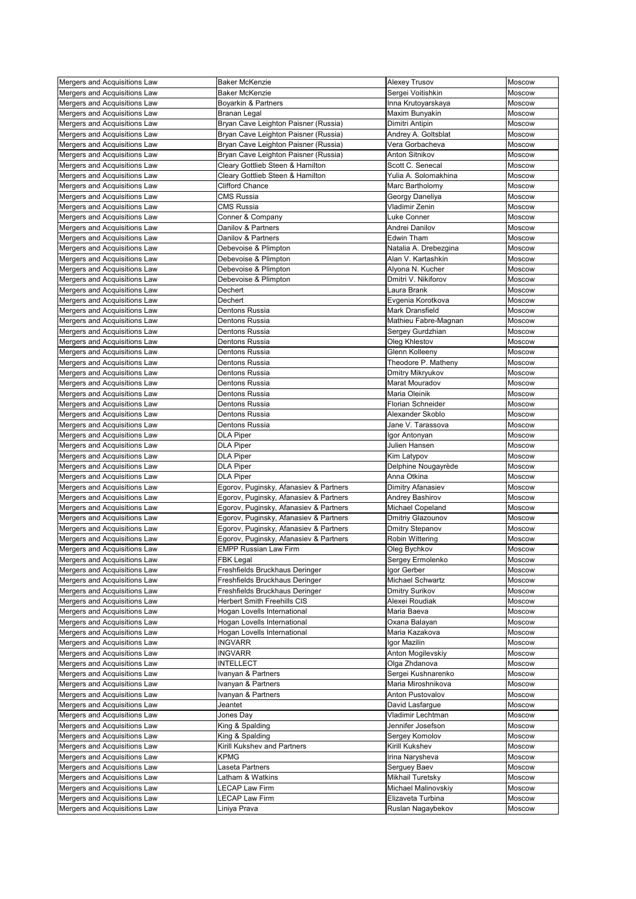| Mergers and Acquisitions Law | <b>Baker McKenzie</b>                  | <b>Alexey Trusov</b>     | Moscow        |
|------------------------------|----------------------------------------|--------------------------|---------------|
| Mergers and Acquisitions Law | <b>Baker McKenzie</b>                  | Sergei Voitishkin        | <b>Moscow</b> |
| Mergers and Acquisitions Law | Boyarkin & Partners                    | Inna Krutoyarskaya       | Moscow        |
| Mergers and Acquisitions Law | <b>Branan Legal</b>                    | Maxim Bunyakin           | <b>Moscow</b> |
| Mergers and Acquisitions Law | Bryan Cave Leighton Paisner (Russia)   | Dimitri Antipin          | Moscow        |
| Mergers and Acquisitions Law | Bryan Cave Leighton Paisner (Russia)   | Andrey A. Goltsblat      | Moscow        |
|                              |                                        |                          |               |
| Mergers and Acquisitions Law | Bryan Cave Leighton Paisner (Russia)   | Vera Gorbacheva          | Moscow        |
| Mergers and Acquisitions Law | Bryan Cave Leighton Paisner (Russia)   | <b>Anton Sitnikov</b>    | Moscow        |
| Mergers and Acquisitions Law | Cleary Gottlieb Steen & Hamilton       | Scott C. Senecal         | Moscow        |
| Mergers and Acquisitions Law | Cleary Gottlieb Steen & Hamilton       | Yulia A. Solomakhina     | Moscow        |
| Mergers and Acquisitions Law | <b>Clifford Chance</b>                 | Marc Bartholomy          | Moscow        |
| Mergers and Acquisitions Law | <b>CMS Russia</b>                      | Georgy Daneliya          | Moscow        |
| Mergers and Acquisitions Law | <b>CMS Russia</b>                      | Vladimir Zenin           | Moscow        |
| Mergers and Acquisitions Law | Conner & Company                       | <b>Luke Conner</b>       | Moscow        |
| Mergers and Acquisitions Law | Danilov & Partners                     | Andrei Danilov           | <b>Moscow</b> |
| Mergers and Acquisitions Law | Danilov & Partners                     | <b>Edwin Tham</b>        | Moscow        |
| Mergers and Acquisitions Law | Debevoise & Plimpton                   | Natalia A. Drebezgina    | Moscow        |
| Mergers and Acquisitions Law | Debevoise & Plimpton                   | Alan V. Kartashkin       | Moscow        |
| Mergers and Acquisitions Law | Debevoise & Plimpton                   | Alyona N. Kucher         | Moscow        |
| Mergers and Acquisitions Law | Debevoise & Plimpton                   | Dmitri V. Nikiforov      | Moscow        |
| Mergers and Acquisitions Law | Dechert                                | Laura Brank              | Moscow        |
| Mergers and Acquisitions Law | Dechert                                | Evgenia Korotkova        | Moscow        |
| Mergers and Acquisitions Law | Dentons Russia                         | <b>Mark Dransfield</b>   | Moscow        |
|                              |                                        |                          |               |
| Mergers and Acquisitions Law | Dentons Russia                         | Mathieu Fabre-Magnan     | Moscow        |
| Mergers and Acquisitions Law | Dentons Russia                         | Sergey Gurdzhian         | Moscow        |
| Mergers and Acquisitions Law | Dentons Russia                         | Oleg Khlestov            | Moscow        |
| Mergers and Acquisitions Law | Dentons Russia                         | Glenn Kolleeny           | Moscow        |
| Mergers and Acquisitions Law | Dentons Russia                         | Theodore P. Matheny      | Moscow        |
| Mergers and Acquisitions Law | Dentons Russia                         | Dmitry Mikryukov         | Moscow        |
| Mergers and Acquisitions Law | Dentons Russia                         | Marat Mouradov           | Moscow        |
| Mergers and Acquisitions Law | Dentons Russia                         | Maria Oleinik            | Moscow        |
| Mergers and Acquisitions Law | Dentons Russia                         | <b>Florian Schneider</b> | <b>Moscow</b> |
| Mergers and Acquisitions Law | Dentons Russia                         | Alexander Skoblo         | Moscow        |
| Mergers and Acquisitions Law | Dentons Russia                         | Jane V. Tarassova        | Moscow        |
| Mergers and Acquisitions Law | <b>DLA Piper</b>                       | Igor Antonyan            | Moscow        |
| Mergers and Acquisitions Law | <b>DLA Piper</b>                       | Julien Hansen            | Moscow        |
| Mergers and Acquisitions Law | <b>DLA Piper</b>                       | Kim Latypov              | Moscow        |
| Mergers and Acquisitions Law | <b>DLA Piper</b>                       | Delphine Nougayrède      | Moscow        |
| Mergers and Acquisitions Law | <b>DLA Piper</b>                       | Anna Otkina              | Moscow        |
| Mergers and Acquisitions Law |                                        |                          |               |
|                              | Egorov, Puginsky, Afanasiev & Partners | Dimitry Afanasiev        | Moscow        |
| Mergers and Acquisitions Law | Egorov, Puginsky, Afanasiev & Partners | Andrey Bashirov          | Moscow        |
| Mergers and Acquisitions Law | Egorov, Puginsky, Afanasiev & Partners | Michael Copeland         | Moscow        |
| Mergers and Acquisitions Law | Egorov, Puginsky, Afanasiev & Partners | Dmitriy Glazounov        | Moscow        |
| Mergers and Acquisitions Law | Egorov, Puginsky, Afanasiev & Partners | <b>Dmitry Stepanov</b>   | Moscow        |
| Mergers and Acquisitions Law | Egorov, Puginsky, Afanasiev & Partners | Robin Wittering          | Moscow        |
| Mergers and Acquisitions Law | <b>EMPP Russian Law Firm</b>           | Oleg Bychkov             | Moscow        |
| Mergers and Acquisitions Law | <b>FBK Legal</b>                       | Sergey Ermolenko         | Moscow        |
| Mergers and Acquisitions Law | Freshfields Bruckhaus Deringer         | Igor Gerber              | Moscow        |
| Mergers and Acquisitions Law | Freshfields Bruckhaus Deringer         | <b>Michael Schwartz</b>  | Moscow        |
| Mergers and Acquisitions Law | Freshfields Bruckhaus Deringer         | <b>Dmitry Surikov</b>    | Moscow        |
| Mergers and Acquisitions Law | <b>Herbert Smith Freehills CIS</b>     | Alexei Roudiak           | Moscow        |
| Mergers and Acquisitions Law | Hogan Lovells International            | Maria Baeva              | Moscow        |
| Mergers and Acquisitions Law | Hogan Lovells International            | Oxana Balayan            | Moscow        |
| Mergers and Acquisitions Law | Hogan Lovells International            | Maria Kazakova           | Moscow        |
| Mergers and Acquisitions Law | <b>INGVARR</b>                         | Igor Mazilin             | Moscow        |
| Mergers and Acquisitions Law | <b>INGVARR</b>                         | Anton Mogilevskiy        | Moscow        |
| Mergers and Acquisitions Law | <b>INTELLECT</b>                       |                          | Moscow        |
|                              |                                        | Olga Zhdanova            |               |
| Mergers and Acquisitions Law | Ivanyan & Partners                     | Sergei Kushnarenko       | Moscow        |
| Mergers and Acquisitions Law | Ivanyan & Partners                     | Maria Miroshnikova       | Moscow        |
| Mergers and Acquisitions Law | Ivanyan & Partners                     | Anton Pustovalov         | Moscow        |
| Mergers and Acquisitions Law | Jeantet                                | David Lasfargue          | Moscow        |
| Mergers and Acquisitions Law | Jones Day                              | Vladimir Lechtman        | Moscow        |
| Mergers and Acquisitions Law | King & Spalding                        | Jennifer Josefson        | Moscow        |
| Mergers and Acquisitions Law | King & Spalding                        | Sergey Komolov           | Moscow        |
| Mergers and Acquisitions Law | Kirill Kukshev and Partners            | Kirill Kukshev           | Moscow        |
| Mergers and Acquisitions Law | <b>KPMG</b>                            | Irina Narysheva          | Moscow        |
| Mergers and Acquisitions Law | Laseta Partners                        | Serguey Baev             | Moscow        |
| Mergers and Acquisitions Law | Latham & Watkins                       | Mikhail Turetsky         | Moscow        |
| Mergers and Acquisitions Law | <b>LECAP Law Firm</b>                  | Michael Malinovskiy      | Moscow        |
| Mergers and Acquisitions Law | <b>LECAP Law Firm</b>                  | Elizaveta Turbina        | Moscow        |
| Mergers and Acquisitions Law | Liniya Prava                           | Ruslan Nagaybekov        | Moscow        |
|                              |                                        |                          |               |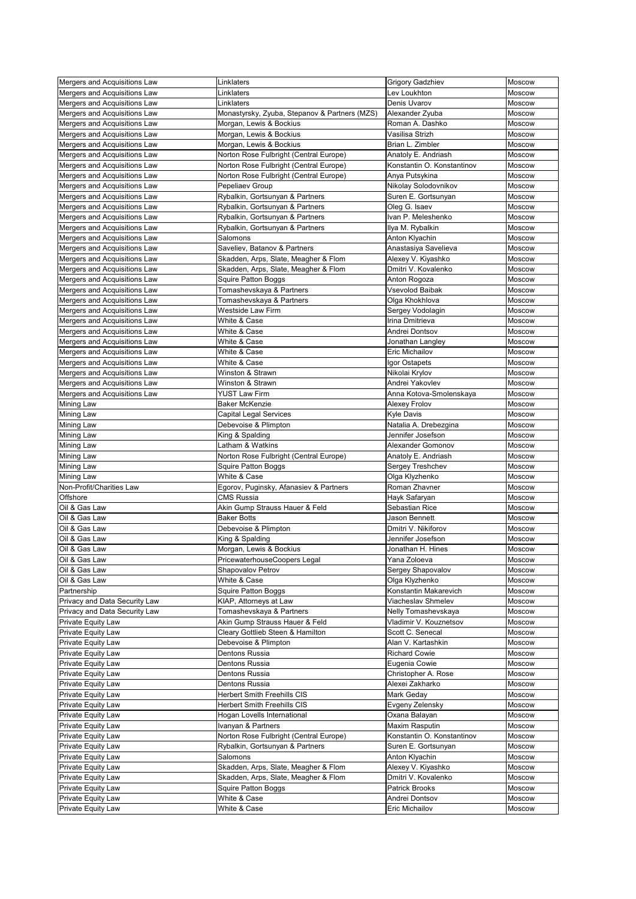| Mergers and Acquisitions Law  | Linklaters                                    | <b>Grigory Gadzhiev</b>    | Moscow        |
|-------------------------------|-----------------------------------------------|----------------------------|---------------|
| Mergers and Acquisitions Law  | Linklaters                                    | Lev Loukhton               | Moscow        |
|                               |                                               |                            |               |
| Mergers and Acquisitions Law  | Linklaters                                    | Denis Uvarov               | <b>Moscow</b> |
| Mergers and Acquisitions Law  | Monastyrsky, Zyuba, Stepanov & Partners (MZS) | Alexander Zyuba            | <b>Moscow</b> |
| Mergers and Acquisitions Law  | Morgan, Lewis & Bockius                       | Roman A. Dashko            | <b>Moscow</b> |
| Mergers and Acquisitions Law  | Morgan, Lewis & Bockius                       | Vasilisa Strizh            | Moscow        |
| Mergers and Acquisitions Law  | Morgan, Lewis & Bockius                       | Brian L. Zimbler           | Moscow        |
| Mergers and Acquisitions Law  | Norton Rose Fulbright (Central Europe)        | Anatoly E. Andriash        | Moscow        |
| Mergers and Acquisitions Law  | Norton Rose Fulbright (Central Europe)        | Konstantin O. Konstantinov | Moscow        |
| Mergers and Acquisitions Law  | Norton Rose Fulbright (Central Europe)        | Anya Putsykina             | Moscow        |
|                               |                                               |                            |               |
| Mergers and Acquisitions Law  | Pepeliaev Group                               | Nikolay Solodovnikov       | Moscow        |
| Mergers and Acquisitions Law  | Rybalkin, Gortsunyan & Partners               | Suren E. Gortsunyan        | <b>Moscow</b> |
| Mergers and Acquisitions Law  | Rybalkin, Gortsunyan & Partners               | Oleg G. Isaev              | Moscow        |
| Mergers and Acquisitions Law  | Rybalkin, Gortsunyan & Partners               | Ivan P. Meleshenko         | Moscow        |
| Mergers and Acquisitions Law  | Rybalkin, Gortsunyan & Partners               | Ilya M. Rybalkin           | Moscow        |
| Mergers and Acquisitions Law  | Salomons                                      | Anton Klyachin             | <b>Moscow</b> |
| Mergers and Acquisitions Law  | Saveliev, Batanov & Partners                  | Anastasiya Savelieva       | Moscow        |
| Mergers and Acquisitions Law  | Skadden, Arps, Slate, Meagher & Flom          | Alexey V. Kiyashko         | <b>Moscow</b> |
| Mergers and Acquisitions Law  | Skadden, Arps, Slate, Meagher & Flom          | Dmitri V. Kovalenko        | Moscow        |
|                               |                                               |                            | <b>Moscow</b> |
| Mergers and Acquisitions Law  | Squire Patton Boggs                           | Anton Rogoza               |               |
| Mergers and Acquisitions Law  | Tomashevskaya & Partners                      | <b>Vsevolod Baibak</b>     | Moscow        |
| Mergers and Acquisitions Law  | Tomashevskaya & Partners                      | Olga Khokhlova             | Moscow        |
| Mergers and Acquisitions Law  | <b>Westside Law Firm</b>                      | Sergey Vodolagin           | Moscow        |
| Mergers and Acquisitions Law  | White & Case                                  | Irina Dmitrieva            | Moscow        |
| Mergers and Acquisitions Law  | White & Case                                  | Andrei Dontsov             | Moscow        |
| Mergers and Acquisitions Law  | White & Case                                  | Jonathan Langley           | <b>Moscow</b> |
| Mergers and Acquisitions Law  | White & Case                                  | <b>Eric Michailov</b>      | Moscow        |
| Mergers and Acquisitions Law  | White & Case                                  | Igor Ostapets              | <b>Moscow</b> |
| Mergers and Acquisitions Law  | Winston & Strawn                              | Nikolai Krylov             | Moscow        |
| Mergers and Acquisitions Law  | Winston & Strawn                              | Andrei Yakovlev            | Moscow        |
|                               | <b>YUST Law Firm</b>                          |                            | <b>Moscow</b> |
| Mergers and Acquisitions Law  |                                               | Anna Kotova-Smolenskaya    |               |
| <b>Mining Law</b>             | <b>Baker McKenzie</b>                         | <b>Alexey Frolov</b>       | Moscow        |
| <b>Mining Law</b>             | <b>Capital Legal Services</b>                 | <b>Kyle Davis</b>          | Moscow        |
| <b>Mining Law</b>             | Debevoise & Plimpton                          | Natalia A. Drebezgina      | Moscow        |
| <b>Mining Law</b>             | King & Spalding                               | Jennifer Josefson          | Moscow        |
| <b>Mining Law</b>             | Latham & Watkins                              | <b>Alexander Gomonov</b>   | Moscow        |
| <b>Mining Law</b>             | Norton Rose Fulbright (Central Europe)        | Anatoly E. Andriash        | Moscow        |
| <b>Mining Law</b>             | <b>Squire Patton Boggs</b>                    | Sergey Treshchev           | Moscow        |
| <b>Mining Law</b>             | White & Case                                  | Olga Klyzhenko             | Moscow        |
| Non-Profit/Charities Law      | Egorov, Puginsky, Afanasiev & Partners        | Roman Zhavner              | Moscow        |
| Offshore                      | <b>CMS Russia</b>                             | Hayk Safaryan              | Moscow        |
| Oil & Gas Law                 | Akin Gump Strauss Hauer & Feld                | Sebastian Rice             | Moscow        |
| Oil & Gas Law                 | <b>Baker Botts</b>                            | Jason Bennett              | Moscow        |
| Oil & Gas Law                 | Debevoise & Plimpton                          | Dmitri V. Nikiforov        | Moscow        |
|                               |                                               |                            |               |
| Oil & Gas Law                 | King & Spalding                               | Jennifer Josefson          | Moscow        |
| Oil & Gas Law                 | Morgan, Lewis & Bockius                       | Jonathan H. Hines          | Moscow        |
| Oil & Gas Law                 | PricewaterhouseCoopers Legal                  | Yana Zoloeva               | Moscow        |
| Oil & Gas Law                 | Shapovalov Petrov                             | Sergey Shapovalov          | Moscow        |
| Oil & Gas Law                 | White & Case                                  | Olga Klyzhenko             | Moscow        |
| Partnership                   | <b>Squire Patton Boggs</b>                    | Konstantin Makarevich      | <b>Moscow</b> |
| Privacy and Data Security Law | KIAP, Attorneys at Law                        | Viacheslav Shmelev         | Moscow        |
| Privacy and Data Security Law | Tomashevskaya & Partners                      | Nelly Tomashevskaya        | Moscow        |
| Private Equity Law            | Akin Gump Strauss Hauer & Feld                | Vladimir V. Kouznetsov     | Moscow        |
| Private Equity Law            | Cleary Gottlieb Steen & Hamilton              | Scott C. Senecal           | Moscow        |
| Private Equity Law            | Debevoise & Plimpton                          | Alan V. Kartashkin         | Moscow        |
| Private Equity Law            | Dentons Russia                                | <b>Richard Cowie</b>       | Moscow        |
|                               |                                               |                            |               |
| Private Equity Law            | Dentons Russia                                | Eugenia Cowie              | Moscow        |
| Private Equity Law            | Dentons Russia                                | Christopher A. Rose        | Moscow        |
| Private Equity Law            | Dentons Russia                                | Alexei Zakharko            | Moscow        |
| Private Equity Law            | <b>Herbert Smith Freehills CIS</b>            | Mark Geday                 | Moscow        |
| Private Equity Law            | <b>Herbert Smith Freehills CIS</b>            | Evgeny Zelensky            | Moscow        |
| Private Equity Law            | Hogan Lovells International                   | Oxana Balayan              | Moscow        |
| Private Equity Law            | Ivanyan & Partners                            | Maxim Rasputin             | Moscow        |
| <b>Private Equity Law</b>     | Norton Rose Fulbright (Central Europe)        | Konstantin O. Konstantinov | <b>Moscow</b> |
| <b>Private Equity Law</b>     | Rybalkin, Gortsunyan & Partners               | Suren E. Gortsunyan        | Moscow        |
| Private Equity Law            | Salomons                                      | Anton Klyachin             | Moscow        |
| Private Equity Law            | Skadden, Arps, Slate, Meagher & Flom          | Alexey V. Kiyashko         | <b>Moscow</b> |
| Private Equity Law            | Skadden, Arps, Slate, Meagher & Flom          | Dmitri V. Kovalenko        | <b>Moscow</b> |
| Private Equity Law            | <b>Squire Patton Boggs</b>                    | <b>Patrick Brooks</b>      | Moscow        |
| Private Equity Law            | White & Case                                  | Andrei Dontsov             |               |
|                               |                                               |                            | <b>Moscow</b> |
| Private Equity Law            | White & Case                                  | <b>Eric Michailov</b>      | Moscow        |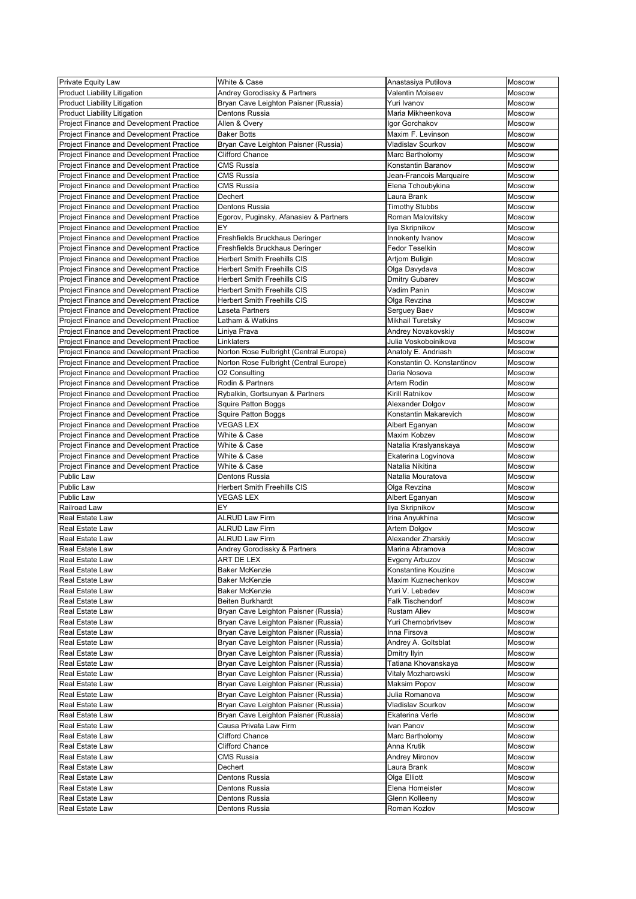| Private Equity Law                                                                   | White & Case                           | Anastasiya Putilova                               | <b>Moscow</b>           |
|--------------------------------------------------------------------------------------|----------------------------------------|---------------------------------------------------|-------------------------|
| <b>Product Liability Litigation</b>                                                  | Andrey Gorodissky & Partners           | Valentin Moiseev                                  | Moscow                  |
| <b>Product Liability Litigation</b>                                                  | Bryan Cave Leighton Paisner (Russia)   | Yuri Ivanov                                       | <b>Moscow</b>           |
| <b>Product Liability Litigation</b>                                                  | Dentons Russia                         | Maria Mikheenkova                                 | Moscow                  |
| Project Finance and Development Practice                                             | Allen & Overy                          | Igor Gorchakov                                    | <b>Moscow</b>           |
| Project Finance and Development Practice                                             | <b>Baker Botts</b>                     | Maxim F. Levinson                                 | Moscow                  |
| Project Finance and Development Practice                                             | Bryan Cave Leighton Paisner (Russia)   | <b>Vladislav Sourkov</b>                          | <b>Moscow</b>           |
| Project Finance and Development Practice                                             | <b>Clifford Chance</b>                 | Marc Bartholomy                                   | Moscow                  |
| Project Finance and Development Practice                                             | <b>CMS Russia</b>                      | Konstantin Baranov                                | <b>Moscow</b>           |
| Project Finance and Development Practice                                             | <b>CMS Russia</b>                      | Jean-Francois Marquaire                           | Moscow                  |
| Project Finance and Development Practice                                             | <b>CMS Russia</b>                      | Elena Tchoubykina                                 | Moscow                  |
| Project Finance and Development Practice                                             | Dechert                                | Laura Brank                                       | Moscow                  |
| Project Finance and Development Practice                                             | <b>Dentons Russia</b>                  | <b>Timothy Stubbs</b>                             | Moscow                  |
| Project Finance and Development Practice                                             | Egorov, Puginsky, Afanasiev & Partners | Roman Malovitsky                                  | Moscow                  |
| Project Finance and Development Practice                                             | EY                                     | Ilya Skripnikov                                   | Moscow                  |
| Project Finance and Development Practice                                             | Freshfields Bruckhaus Deringer         | Innokenty Ivanov                                  | Moscow                  |
| Project Finance and Development Practice                                             | Freshfields Bruckhaus Deringer         | <b>Fedor Teselkin</b>                             | Moscow                  |
| Project Finance and Development Practice                                             | <b>Herbert Smith Freehills CIS</b>     | <b>Artjom Buligin</b>                             | Moscow                  |
| Project Finance and Development Practice                                             | <b>Herbert Smith Freehills CIS</b>     | Olga Davydava                                     | <b>Moscow</b>           |
| Project Finance and Development Practice                                             | <b>Herbert Smith Freehills CIS</b>     | <b>Dmitry Gubarev</b>                             | Moscow                  |
| Project Finance and Development Practice                                             | <b>Herbert Smith Freehills CIS</b>     | Vadim Panin                                       | Moscow                  |
| Project Finance and Development Practice                                             | <b>Herbert Smith Freehills CIS</b>     | Olga Revzina                                      | <b>Moscow</b>           |
| Project Finance and Development Practice                                             | Laseta Partners                        | Serguey Baev                                      | Moscow                  |
| Project Finance and Development Practice                                             | Latham & Watkins                       | Mikhail Turetsky                                  | <b>Moscow</b>           |
| Project Finance and Development Practice                                             | Liniya Prava<br>Linklaters             | Andrey Novakovskiy<br>Julia Voskoboinikova        | Moscow<br><b>Moscow</b> |
| Project Finance and Development Practice                                             |                                        |                                                   |                         |
| Project Finance and Development Practice                                             | Norton Rose Fulbright (Central Europe) | Anatoly E. Andriash<br>Konstantin O. Konstantinov | Moscow<br><b>Moscow</b> |
| Project Finance and Development Practice                                             | Norton Rose Fulbright (Central Europe) | Daria Nosova                                      |                         |
| Project Finance and Development Practice                                             | O2 Consulting<br>Rodin & Partners      | Artem Rodin                                       | Moscow<br>Moscow        |
| Project Finance and Development Practice<br>Project Finance and Development Practice | Rybalkin, Gortsunyan & Partners        | Kirill Ratnikov                                   | Moscow                  |
| Project Finance and Development Practice                                             | Squire Patton Boggs                    | Alexander Dolgov                                  | Moscow                  |
| Project Finance and Development Practice                                             | <b>Squire Patton Boggs</b>             | Konstantin Makarevich                             | <b>Moscow</b>           |
| Project Finance and Development Practice                                             | <b>VEGAS LEX</b>                       | Albert Eganyan                                    | Moscow                  |
| Project Finance and Development Practice                                             | White & Case                           | Maxim Kobzev                                      | <b>Moscow</b>           |
| Project Finance and Development Practice                                             | White & Case                           | Natalia Kraslyanskaya                             | Moscow                  |
| Project Finance and Development Practice                                             | White & Case                           | Ekaterina Logvinova                               | Moscow                  |
| Project Finance and Development Practice                                             | White & Case                           | Natalia Nikitina                                  | Moscow                  |
| <b>Public Law</b>                                                                    | Dentons Russia                         | Natalia Mouratova                                 | Moscow                  |
| <b>Public Law</b>                                                                    | <b>Herbert Smith Freehills CIS</b>     | Olga Revzina                                      | Moscow                  |
| Public Law                                                                           | <b>VEGAS LEX</b>                       | Albert Eganyan                                    | <b>Moscow</b>           |
| Railroad Law                                                                         | EY                                     | Ilya Skripnikov                                   | Moscow                  |
| <b>Real Estate Law</b>                                                               | <b>ALRUD Law Firm</b>                  | Irina Anyukhina                                   | Moscow                  |
| Real Estate Law                                                                      | <b>ALRUD Law Firm</b>                  | Artem Dolgov                                      | <b>Moscow</b>           |
| <b>Real Estate Law</b>                                                               | <b>ALRUD Law Firm</b>                  | Alexander Zharskiy                                | Moscow                  |
| Real Estate Law                                                                      | Andrey Gorodissky & Partners           | Marina Abramova                                   | <b>Moscow</b>           |
| <b>Real Estate Law</b>                                                               | <b>ART DE LEX</b>                      | Evgeny Arbuzov                                    | Moscow                  |
| <b>Real Estate Law</b>                                                               | <b>Baker McKenzie</b>                  | Konstantine Kouzine                               | Moscow                  |
| Real Estate Law                                                                      | <b>Baker McKenzie</b>                  | Maxim Kuznechenkov                                | Moscow                  |
| <b>Real Estate Law</b>                                                               | <b>Baker McKenzie</b>                  | Yuri V. Lebedev                                   | Moscow                  |
| Real Estate Law                                                                      | <b>Beiten Burkhardt</b>                | <b>Falk Tischendorf</b>                           | Moscow                  |
| <b>Real Estate Law</b>                                                               | Bryan Cave Leighton Paisner (Russia)   | <b>Rustam Aliev</b>                               | <b>Moscow</b>           |
| <b>Real Estate Law</b>                                                               | Bryan Cave Leighton Paisner (Russia)   | Yuri Chernobrivtsev                               | Moscow                  |
| Real Estate Law                                                                      | Bryan Cave Leighton Paisner (Russia)   | Inna Firsova                                      | <b>Moscow</b>           |
| <b>Real Estate Law</b>                                                               | Bryan Cave Leighton Paisner (Russia)   | Andrey A. Goltsblat                               | Moscow                  |
| <b>Real Estate Law</b>                                                               | Bryan Cave Leighton Paisner (Russia)   | Dmitry Ilyin                                      | <b>Moscow</b>           |
| Real Estate Law                                                                      | Bryan Cave Leighton Paisner (Russia)   | Tatiana Khovanskaya                               | Moscow                  |
| <b>Real Estate Law</b>                                                               | Bryan Cave Leighton Paisner (Russia)   | Vitaly Mozharowski                                | <b>Moscow</b>           |
| Real Estate Law                                                                      | Bryan Cave Leighton Paisner (Russia)   | Maksim Popov                                      | Moscow                  |
| <b>Real Estate Law</b>                                                               | Bryan Cave Leighton Paisner (Russia)   | Julia Romanova                                    | Moscow                  |
| <b>Real Estate Law</b>                                                               | Bryan Cave Leighton Paisner (Russia)   | Vladislav Sourkov                                 | Moscow                  |
| Real Estate Law                                                                      | Bryan Cave Leighton Paisner (Russia)   | Ekaterina Verle                                   | Moscow                  |
| Real Estate Law                                                                      | Causa Privata Law Firm                 | Ivan Panov                                        | Moscow                  |
| <b>Real Estate Law</b>                                                               | <b>Clifford Chance</b>                 | Marc Bartholomy                                   | <b>Moscow</b>           |
| <b>Real Estate Law</b>                                                               | <b>Clifford Chance</b>                 | Anna Krutik                                       | <b>Moscow</b>           |
| <b>Real Estate Law</b>                                                               | <b>CMS Russia</b>                      | <b>Andrey Mironov</b>                             | <b>Moscow</b>           |
| <b>Real Estate Law</b>                                                               | Dechert                                | Laura Brank                                       | <b>Moscow</b>           |
| <b>Real Estate Law</b>                                                               | Dentons Russia                         | Olga Elliott                                      | <b>Moscow</b>           |
| Real Estate Law                                                                      | Dentons Russia                         | Elena Homeister                                   | Moscow                  |
| Real Estate Law                                                                      | Dentons Russia                         | Glenn Kolleeny                                    | Moscow                  |
| Real Estate Law                                                                      | Dentons Russia                         | Roman Kozlov                                      | <b>Moscow</b>           |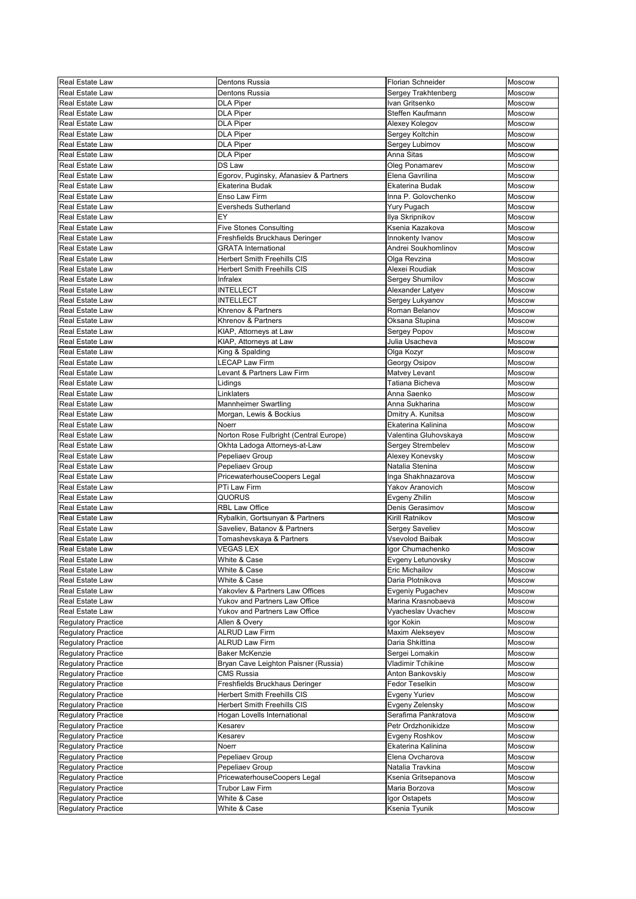| <b>Real Estate Law</b>     | <b>Dentons Russia</b>                  | Florian Schneider        | Moscow        |
|----------------------------|----------------------------------------|--------------------------|---------------|
| <b>Real Estate Law</b>     | Dentons Russia                         | Sergey Trakhtenberg      | Moscow        |
| <b>Real Estate Law</b>     | <b>DLA Piper</b>                       | Ivan Gritsenko           | Moscow        |
| <b>Real Estate Law</b>     | <b>DLA Piper</b>                       | Steffen Kaufmann         | <b>Moscow</b> |
| <b>Real Estate Law</b>     | <b>DLA Piper</b>                       | Alexey Kolegov           | Moscow        |
| <b>Real Estate Law</b>     | <b>DLA Piper</b>                       | Sergey Koltchin          | Moscow        |
| <b>Real Estate Law</b>     | <b>DLA Piper</b>                       | Sergey Lubimov           | Moscow        |
| <b>Real Estate Law</b>     |                                        | Anna Sitas               | Moscow        |
|                            | <b>DLA Piper</b><br><b>DS Law</b>      |                          |               |
| <b>Real Estate Law</b>     |                                        | Oleg Ponamarev           | <b>Moscow</b> |
| <b>Real Estate Law</b>     | Egorov, Puginsky, Afanasiev & Partners | Elena Gavrilina          | <b>Moscow</b> |
| <b>Real Estate Law</b>     | Ekaterina Budak                        | Ekaterina Budak          | Moscow        |
| <b>Real Estate Law</b>     | Enso Law Firm                          | Inna P. Golovchenko      | Moscow        |
| <b>Real Estate Law</b>     | <b>Eversheds Sutherland</b>            | <b>Yury Pugach</b>       | Moscow        |
| <b>Real Estate Law</b>     | EY                                     | Ilya Skripnikov          | Moscow        |
| <b>Real Estate Law</b>     | <b>Five Stones Consulting</b>          | Ksenia Kazakova          | Moscow        |
| Real Estate Law            | Freshfields Bruckhaus Deringer         | Innokenty Ivanov         | Moscow        |
| <b>Real Estate Law</b>     | <b>GRATA</b> International             | Andrei Soukhomlinov      | Moscow        |
| <b>Real Estate Law</b>     | <b>Herbert Smith Freehills CIS</b>     | Olga Revzina             | Moscow        |
| Real Estate Law            | <b>Herbert Smith Freehills CIS</b>     | Alexei Roudiak           | Moscow        |
| <b>Real Estate Law</b>     | Infralex                               | Sergey Shumilov          | Moscow        |
| <b>Real Estate Law</b>     | <b>INTELLECT</b>                       | Alexander Latyev         | Moscow        |
| <b>Real Estate Law</b>     | <b>INTELLECT</b>                       | Sergey Lukyanov          | Moscow        |
| <b>Real Estate Law</b>     | Khrenov & Partners                     | Roman Belanov            | Moscow        |
| <b>Real Estate Law</b>     | Khrenov & Partners                     | Oksana Stupina           | Moscow        |
| <b>Real Estate Law</b>     | KIAP, Attorneys at Law                 | <b>Sergey Popov</b>      | Moscow        |
| <b>Real Estate Law</b>     | KIAP, Attorneys at Law                 | Julia Usacheva           | Moscow        |
| <b>Real Estate Law</b>     | King & Spalding                        | Olga Kozyr               | Moscow        |
| <b>Real Estate Law</b>     | <b>LECAP Law Firm</b>                  | Georgy Osipov            | Moscow        |
| <b>Real Estate Law</b>     | Levant & Partners Law Firm             | Matvey Levant            | <b>Moscow</b> |
| <b>Real Estate Law</b>     | Lidings                                | Tatiana Bicheva          | <b>Moscow</b> |
| <b>Real Estate Law</b>     | Linklaters                             | Anna Saenko              | Moscow        |
| <b>Real Estate Law</b>     | <b>Mannheimer Swartling</b>            | Anna Sukharina           | Moscow        |
| <b>Real Estate Law</b>     | Morgan, Lewis & Bockius                | Dmitry A. Kunitsa        | <b>Moscow</b> |
| <b>Real Estate Law</b>     | <b>Noerr</b>                           | Ekaterina Kalinina       | Moscow        |
| <b>Real Estate Law</b>     | Norton Rose Fulbright (Central Europe) | Valentina Gluhovskaya    | Moscow        |
| <b>Real Estate Law</b>     | Okhta Ladoga Attorneys-at-Law          | Sergey Strembelev        | Moscow        |
| <b>Real Estate Law</b>     | Pepeliaev Group                        | Alexey Konevsky          | Moscow        |
| <b>Real Estate Law</b>     | Pepeliaev Group                        | Natalia Stenina          | <b>Moscow</b> |
| <b>Real Estate Law</b>     | PricewaterhouseCoopers Legal           | Inga Shakhnazarova       | Moscow        |
| <b>Real Estate Law</b>     | PTi Law Firm                           | <b>Yakov Aranovich</b>   | <b>Moscow</b> |
| <b>Real Estate Law</b>     | <b>QUORUS</b>                          | Evgeny Zhilin            | Moscow        |
| <b>Real Estate Law</b>     | <b>RBL Law Office</b>                  | Denis Gerasimov          | Moscow        |
| <b>Real Estate Law</b>     | Rybalkin, Gortsunyan & Partners        | Kirill Ratnikov          | Moscow        |
|                            |                                        |                          |               |
| <b>Real Estate Law</b>     | Saveliev, Batanov & Partners           | Sergey Saveliev          | <b>Moscow</b> |
| <b>Real Estate Law</b>     | Tomashevskaya & Partners               | <b>Vsevolod Baibak</b>   | Moscow        |
| <b>Real Estate Law</b>     | <b>VEGAS LEX</b>                       | Igor Chumachenko         | Moscow        |
| <b>Real Estate Law</b>     | White & Case                           | Evgeny Letunovsky        | <b>Moscow</b> |
| <b>Real Estate Law</b>     | White & Case                           | <b>Eric Michailov</b>    | Moscow        |
| <b>Real Estate Law</b>     | White & Case                           | Daria Plotnikova         | Moscow        |
| <b>Real Estate Law</b>     | Yakovlev & Partners Law Offices        | Evgeniy Pugachev         | Moscow        |
| <b>Real Estate Law</b>     | <b>Yukov and Partners Law Office</b>   | Marina Krasnobaeva       | Moscow        |
| <b>Real Estate Law</b>     | Yukov and Partners Law Office          | Vyacheslav Uvachev       | Moscow        |
| <b>Regulatory Practice</b> | Allen & Overy                          | Igor Kokin               | <b>Moscow</b> |
| <b>Regulatory Practice</b> | <b>ALRUD Law Firm</b>                  | Maxim Alekseyev          | <b>Moscow</b> |
| <b>Regulatory Practice</b> | <b>ALRUD Law Firm</b>                  | Daria Shkittina          | Moscow        |
| <b>Regulatory Practice</b> | <b>Baker McKenzie</b>                  | Sergei Lomakin           | Moscow        |
| <b>Regulatory Practice</b> | Bryan Cave Leighton Paisner (Russia)   | <b>Vladimir Tchikine</b> | Moscow        |
| <b>Regulatory Practice</b> | <b>CMS Russia</b>                      | Anton Bankovskiy         | Moscow        |
| <b>Regulatory Practice</b> | Freshfields Bruckhaus Deringer         | <b>Fedor Teselkin</b>    | Moscow        |
| <b>Regulatory Practice</b> | <b>Herbert Smith Freehills CIS</b>     | <b>Evgeny Yuriev</b>     | Moscow        |
| <b>Regulatory Practice</b> | <b>Herbert Smith Freehills CIS</b>     | Evgeny Zelensky          | Moscow        |
| <b>Regulatory Practice</b> | Hogan Lovells International            | Serafima Pankratova      | Moscow        |
| Regulatory Practice        | Kesarev                                | Petr Ordzhonikidze       | Moscow        |
| <b>Regulatory Practice</b> | Kesarev                                | Evgeny Roshkov           | <b>Moscow</b> |
| <b>Regulatory Practice</b> | Noerr                                  | Ekaterina Kalinina       | <b>Moscow</b> |
| <b>Regulatory Practice</b> | Pepeliaev Group                        | Elena Ovcharova          | <b>Moscow</b> |
| <b>Regulatory Practice</b> | Pepeliaev Group                        | Natalia Travkina         | Moscow        |
| <b>Regulatory Practice</b> | PricewaterhouseCoopers Legal           | Ksenia Gritsepanova      | Moscow        |
| <b>Regulatory Practice</b> | <b>Trubor Law Firm</b>                 | Maria Borzova            | Moscow        |
| <b>Regulatory Practice</b> | White & Case                           | Igor Ostapets            | Moscow        |
| <b>Regulatory Practice</b> | White & Case                           | Ksenia Tyunik            | Moscow        |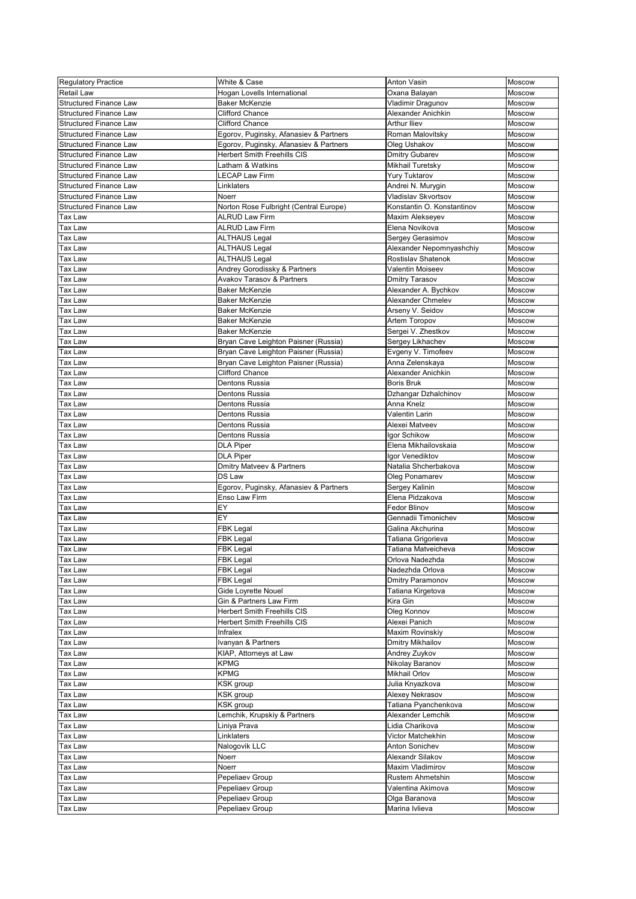| <b>Regulatory Practice</b>    | White & Case                           | <b>Anton Vasin</b>         | Moscow        |
|-------------------------------|----------------------------------------|----------------------------|---------------|
| <b>Retail Law</b>             | Hogan Lovells International            | Oxana Balayan              | Moscow        |
| <b>Structured Finance Law</b> | <b>Baker McKenzie</b>                  | Vladimir Dragunov          | Moscow        |
| <b>Structured Finance Law</b> | <b>Clifford Chance</b>                 | Alexander Anichkin         | Moscow        |
| <b>Structured Finance Law</b> | <b>Clifford Chance</b>                 | <b>Arthur Iliev</b>        | <b>Moscow</b> |
| <b>Structured Finance Law</b> | Egorov, Puginsky, Afanasiev & Partners | Roman Malovitsky           | <b>Moscow</b> |
| <b>Structured Finance Law</b> | Egorov, Puginsky, Afanasiev & Partners | Oleg Ushakov               | Moscow        |
| <b>Structured Finance Law</b> | <b>Herbert Smith Freehills CIS</b>     | <b>Dmitry Gubarev</b>      | Moscow        |
| <b>Structured Finance Law</b> | Latham & Watkins                       |                            | <b>Moscow</b> |
|                               |                                        | Mikhail Turetsky           |               |
| <b>Structured Finance Law</b> | <b>LECAP Law Firm</b>                  | <b>Yury Tuktarov</b>       | Moscow        |
| <b>Structured Finance Law</b> | Linklaters                             | Andrei N. Murygin          | Moscow        |
| <b>Structured Finance Law</b> | Noerr                                  | <b>Vladislav Skvortsov</b> | Moscow        |
| <b>Structured Finance Law</b> | Norton Rose Fulbright (Central Europe) | Konstantin O. Konstantinov | Moscow        |
| Tax Law                       | <b>ALRUD Law Firm</b>                  | Maxim Alekseyev            | Moscow        |
| Tax Law                       | <b>ALRUD Law Firm</b>                  | Elena Novikova             | Moscow        |
| Tax Law                       | <b>ALTHAUS Legal</b>                   | Sergey Gerasimov           | Moscow        |
| Tax Law                       | <b>ALTHAUS Legal</b>                   | Alexander Nepomnyashchiy   | Moscow        |
| Tax Law                       | <b>ALTHAUS Legal</b>                   | <b>Rostislav Shatenok</b>  | Moscow        |
| Tax Law                       | Andrey Gorodissky & Partners           | Valentin Moiseev           | Moscow        |
| Tax Law                       | <b>Avakov Tarasov &amp; Partners</b>   | <b>Dmitry Tarasov</b>      | Moscow        |
| Tax Law                       | <b>Baker McKenzie</b>                  | Alexander A. Bychkov       | <b>Moscow</b> |
| Tax Law                       | <b>Baker McKenzie</b>                  | <b>Alexander Chmelev</b>   | Moscow        |
| Tax Law                       | <b>Baker McKenzie</b>                  | Arseny V. Seidov           | Moscow        |
| Tax Law                       | <b>Baker McKenzie</b>                  | Artem Toropov              | Moscow        |
| Tax Law                       | <b>Baker McKenzie</b>                  | Sergei V. Zhestkov         | Moscow        |
| Гах Law                       | Bryan Cave Leighton Paisner (Russia)   | Sergey Likhachev           | Moscow        |
| Tax Law                       | Bryan Cave Leighton Paisner (Russia)   | Evgeny V. Timofeev         | Moscow        |
| Tax Law                       | Bryan Cave Leighton Paisner (Russia)   | Anna Zelenskaya            | Moscow        |
| Tax Law                       | <b>Clifford Chance</b>                 | Alexander Anichkin         | Moscow        |
| Tax Law                       | <b>Dentons Russia</b>                  | <b>Boris Bruk</b>          | Moscow        |
|                               |                                        |                            | Moscow        |
| Tax Law                       | Dentons Russia                         | Dzhangar Dzhalchinov       |               |
| <b>Tax Law</b>                | <b>Dentons Russia</b>                  | Anna Knelz                 | Moscow        |
| Tax Law                       | Dentons Russia                         | <b>Valentin Larin</b>      | Moscow        |
| Tax Law                       | <b>Dentons Russia</b>                  | Alexei Matveev             | Moscow        |
| Tax Law                       | Dentons Russia                         | Igor Schikow               | Moscow        |
| Tax Law                       | <b>DLA Piper</b>                       | Elena Mikhailovskaia       | Moscow        |
| Tax Law                       | <b>DLA Piper</b>                       | Igor Venediktov            | <b>Moscow</b> |
| Tax Law                       | <b>Dmitry Matveev &amp; Partners</b>   | Natalia Shcherbakova       | Moscow        |
| Tax Law                       | DS Law                                 | Oleg Ponamarev             | Moscow        |
| Tax Law                       | Egorov, Puginsky, Afanasiev & Partners | Sergey Kalinin             | Moscow        |
| Tax Law                       | Enso Law Firm                          | Elena Pidzakova            | Moscow        |
| Tax Law                       | EY                                     | <b>Fedor Blinov</b>        | Moscow        |
| Tax Law                       | EY                                     | Gennadii Timonichev        | Moscow        |
| Tax Law                       | <b>FBK Legal</b>                       | Galina Akchurina           | Moscow        |
| Tax Law                       | <b>FBK Legal</b>                       | Tatiana Grigorieva         | Moscow        |
| Tax Law                       | <b>FBK Legal</b>                       | Tatiana Matveicheva        | Moscow        |
| Tax Law                       | <b>FBK Legal</b>                       | Orlova Nadezhda            | <b>Moscow</b> |
| Tax Law                       | <b>FBK Legal</b>                       | Nadezhda Orlova            | Moscow        |
| Tax Law                       | <b>FBK Legal</b>                       | Dmitry Paramonov           | Moscow        |
| Tax Law                       | Gide Loyrette Nouel                    | Tatiana Kirgetova          | Moscow        |
| Tax Law                       | Gin & Partners Law Firm                | Kira Gin                   | Moscow        |
| Tax Law                       | <b>Herbert Smith Freehills CIS</b>     | Oleg Konnov                | <b>Moscow</b> |
| Tax Law                       | <b>Herbert Smith Freehills CIS</b>     | Alexei Panich              | Moscow        |
| Tax Law                       | Infralex                               | Maxim Rovinskiy            | Moscow        |
| Tax Law                       | Ivanyan & Partners                     | <b>Dmitry Mikhailov</b>    | Moscow        |
| Tax Law                       | KIAP, Attorneys at Law                 | Andrey Zuykov              | Moscow        |
| Tax Law                       | <b>KPMG</b>                            | Nikolay Baranov            | Moscow        |
| Tax Law                       | <b>KPMG</b>                            | <b>Mikhail Orlov</b>       | Moscow        |
| Tax Law                       | KSK group                              | Julia Knyazkova            | Moscow        |
| Tax Law                       | KSK group                              | Alexey Nekrasov            | Moscow        |
| Tax Law                       | <b>KSK</b> group                       | Tatiana Pyanchenkova       | Moscow        |
| Tax Law                       | Lemchik, Krupskiy & Partners           | Alexander Lemchik          | Moscow        |
|                               |                                        |                            |               |
| Tax Law                       | Liniya Prava                           | Lidia Charikova            | Moscow        |
| Tax Law                       | Linklaters                             | Victor Matchekhin          | Moscow        |
| Tax Law                       | Nalogovik LLC                          | Anton Sonichev             | <b>Moscow</b> |
| Tax Law                       | Noerr                                  | Alexandr Silakov           | Moscow        |
| Tax Law                       | Noerr                                  | Maxim Vladimirov           | Moscow        |
| Tax Law                       | Pepeliaev Group                        | <b>Rustem Ahmetshin</b>    | Moscow        |
| Tax Law                       | Pepeliaev Group                        | Valentina Akimova          | Moscow        |
| Tax Law                       | Pepeliaev Group                        | Olga Baranova              | Moscow        |
| Tax Law                       | Pepeliaev Group                        | Marina Ivlieva             | Moscow        |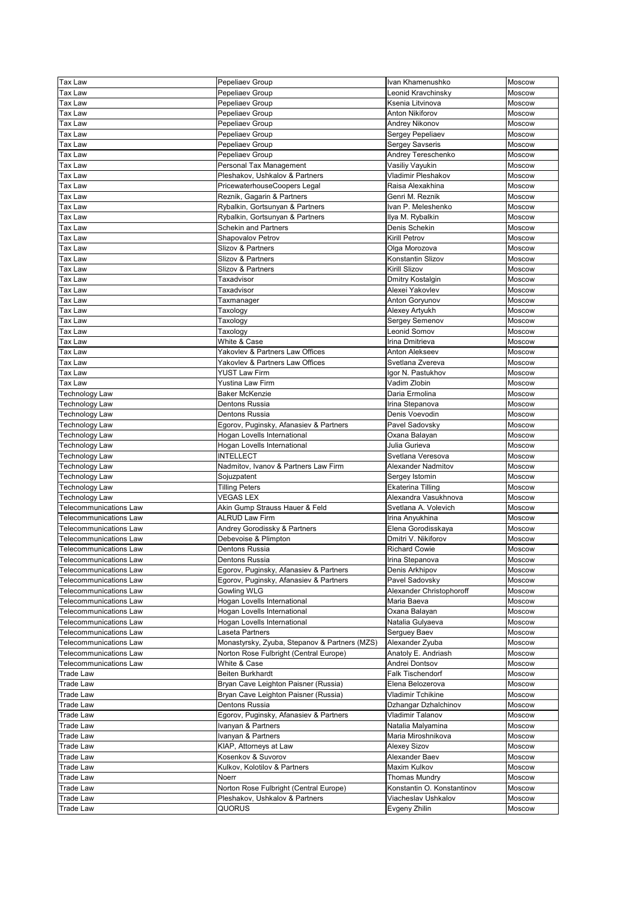| <b>Tax Law</b>                | Pepeliaev Group                               | Ivan Khamenushko           | Moscow        |
|-------------------------------|-----------------------------------------------|----------------------------|---------------|
| <b>Tax Law</b>                | Pepeliaev Group                               | Leonid Kravchinsky         | Moscow        |
|                               |                                               |                            |               |
| <b>Tax Law</b>                | Pepeliaev Group                               | Ksenia Litvinova           | Moscow        |
| <b>Tax Law</b>                | Pepeliaev Group                               | <b>Anton Nikiforov</b>     | Moscow        |
| <b>Tax Law</b>                | Pepeliaev Group                               | <b>Andrey Nikonov</b>      | Moscow        |
| <b>Tax Law</b>                | Pepeliaev Group                               | Sergey Pepeliaev           | Moscow        |
| <b>Tax Law</b>                | Pepeliaev Group                               | <b>Sergey Savseris</b>     | Moscow        |
| <b>Tax Law</b>                | Pepeliaev Group                               | <b>Andrey Tereschenko</b>  | Moscow        |
| <b>Tax Law</b>                | Personal Tax Management                       | Vasiliy Vayukin            | Moscow        |
| <b>Tax Law</b>                | Pleshakov, Ushkalov & Partners                | <b>Vladimir Pleshakov</b>  | Moscow        |
|                               |                                               |                            |               |
| <b>Tax Law</b>                | PricewaterhouseCoopers Legal                  | Raisa Alexakhina           | Moscow        |
| <b>Tax Law</b>                | Reznik, Gagarin & Partners                    | Genri M. Reznik            | Moscow        |
| <b>Tax Law</b>                | Rybalkin, Gortsunyan & Partners               | Ivan P. Meleshenko         | Moscow        |
| <b>Tax Law</b>                | Rybalkin, Gortsunyan & Partners               | Ilya M. Rybalkin           | Moscow        |
| <b>Tax Law</b>                | <b>Schekin and Partners</b>                   | Denis Schekin              | Moscow        |
| <b>Tax Law</b>                | Shapovalov Petrov                             | <b>Kirill Petrov</b>       | Moscow        |
| <b>Tax Law</b>                | Slizov & Partners                             | Olga Morozova              | Moscow        |
| <b>Tax Law</b>                | Slizov & Partners                             | Konstantin Slizov          | Moscow        |
| <b>Tax Law</b>                | Slizov & Partners                             | <b>Kirill Slizov</b>       | Moscow        |
|                               |                                               |                            |               |
| <b>Tax Law</b>                | Taxadvisor                                    | <b>Dmitry Kostalgin</b>    | <b>Moscow</b> |
| <b>Tax Law</b>                | Taxadvisor                                    | Alexei Yakovlev            | Moscow        |
| <b>Tax Law</b>                | Taxmanager                                    | Anton Goryunov             | Moscow        |
| <b>Tax Law</b>                | Taxology                                      | Alexey Artyukh             | Moscow        |
| Tax Law                       | Taxology                                      | Sergey Semenov             | Moscow        |
| <b>Tax Law</b>                | Taxology                                      | Leonid Somov               | Moscow        |
| <b>Tax Law</b>                | White & Case                                  | Irina Dmitrieva            | Moscow        |
| <b>Tax Law</b>                | Yakovlev & Partners Law Offices               | <b>Anton Alekseev</b>      | Moscow        |
|                               | Yakovlev & Partners Law Offices               | Svetlana Zvereva           |               |
| <b>Tax Law</b>                |                                               |                            | Moscow        |
| <b>Tax Law</b>                | <b>YUST Law Firm</b>                          | Igor N. Pastukhov          | Moscow        |
| <b>Tax Law</b>                | <b>Yustina Law Firm</b>                       | Vadim Zlobin               | Moscow        |
| <b>Technology Law</b>         | <b>Baker McKenzie</b>                         | Daria Ermolina             | Moscow        |
| <b>Technology Law</b>         | Dentons Russia                                | Irina Stepanova            | Moscow        |
| <b>Technology Law</b>         | Dentons Russia                                | Denis Voevodin             | Moscow        |
| <b>Technology Law</b>         | Egorov, Puginsky, Afanasiev & Partners        | Pavel Sadovsky             | <b>Moscow</b> |
| <b>Technology Law</b>         | Hogan Lovells International                   | Oxana Balayan              | Moscow        |
| Fechnology Law                | Hogan Lovells International                   | Julia Gurieva              | Moscow        |
| <b>Technology Law</b>         | <b>INTELLECT</b>                              | Svetlana Veresova          | Moscow        |
| Technology Law                | Nadmitov, Ivanov & Partners Law Firm          | <b>Alexander Nadmitov</b>  | <b>Moscow</b> |
| <b>Fechnology Law</b>         | Sojuzpatent                                   |                            | Moscow        |
|                               |                                               | Sergey Istomin             |               |
| <b>Technology Law</b>         | <b>Tilling Peters</b>                         | <b>Ekaterina Tilling</b>   | <b>Moscow</b> |
| <b>Technology Law</b>         | <b>VEGAS LEX</b>                              | Alexandra Vasukhnova       | Moscow        |
| <b>Telecommunications Law</b> | Akin Gump Strauss Hauer & Feld                | Svetlana A. Volevich       | Moscow        |
| <b>Felecommunications Law</b> | <b>ALRUD Law Firm</b>                         | Irina Anyukhina            | Moscow        |
| <b>Felecommunications Law</b> | Andrey Gorodissky & Partners                  | Elena Gorodisskaya         | <b>Moscow</b> |
| <b>Telecommunications Law</b> | Debevoise & Plimpton                          | Dmitri V. Nikiforov        | Moscow        |
| <b>Felecommunications Law</b> | Dentons Russia                                | <b>Richard Cowie</b>       | Moscow        |
| <b>Felecommunications Law</b> | <b>Dentons Russia</b>                         | Irina Stepanova            | <b>Moscow</b> |
| <b>Felecommunications Law</b> | Egorov, Puginsky, Afanasiev & Partners        | Denis Arkhipov             | Moscow        |
|                               |                                               |                            |               |
| <b>Felecommunications Law</b> | Egorov, Puginsky, Afanasiev & Partners        | Pavel Sadovsky             | Moscow        |
| <b>Telecommunications Law</b> | <b>Gowling WLG</b>                            | Alexander Christophoroff   | Moscow        |
| <b>Felecommunications Law</b> | Hogan Lovells International                   | Maria Baeva                | Moscow        |
| Felecommunications Law        | Hogan Lovells International                   | Oxana Balayan              | Moscow        |
| <b>Felecommunications Law</b> | Hogan Lovells International                   | Natalia Gulyaeva           | Moscow        |
| <b>Telecommunications Law</b> | Laseta Partners                               | Serguey Baev               | <b>Moscow</b> |
| <b>Telecommunications Law</b> | Monastyrsky, Zyuba, Stepanov & Partners (MZS) | Alexander Zyuba            | <b>Moscow</b> |
| <b>Felecommunications Law</b> | Norton Rose Fulbright (Central Europe)        | Anatoly E. Andriash        | Moscow        |
| Felecommunications Law        | White & Case                                  | Andrei Dontsov             | Moscow        |
| <b>Trade Law</b>              | <b>Beiten Burkhardt</b>                       | <b>Falk Tischendorf</b>    | Moscow        |
|                               |                                               |                            |               |
| <b>Trade Law</b>              | Bryan Cave Leighton Paisner (Russia)          | Elena Belozerova           | Moscow        |
| <b>Trade Law</b>              | Bryan Cave Leighton Paisner (Russia)          | <b>Vladimir Tchikine</b>   | Moscow        |
| <b>Trade Law</b>              | Dentons Russia                                | Dzhangar Dzhalchinov       | Moscow        |
| <b>Trade Law</b>              | Egorov, Puginsky, Afanasiev & Partners        | <b>Vladimir Talanov</b>    | Moscow        |
| Trade Law                     | Ivanyan & Partners                            | Natalia Malyamina          | Moscow        |
| Trade Law                     | Ivanyan & Partners                            | Maria Miroshnikova         | <b>Moscow</b> |
| <b>Trade Law</b>              | KIAP, Attorneys at Law                        | <b>Alexey Sizov</b>        | <b>Moscow</b> |
| <b>Trade Law</b>              | Kosenkov & Suvorov                            | Alexander Baev             | <b>Moscow</b> |
| <b>Trade Law</b>              | Kulkov, Kolotilov & Partners                  | <b>Maxim Kulkov</b>        | <b>Moscow</b> |
| <b>Trade Law</b>              | <b>Noerr</b>                                  | <b>Thomas Mundry</b>       | Moscow        |
| <b>Trade Law</b>              | Norton Rose Fulbright (Central Europe)        | Konstantin O. Konstantinov | <b>Moscow</b> |
| <b>Trade Law</b>              | Pleshakov, Ushkalov & Partners                | Viacheslav Ushkalov        |               |
|                               |                                               |                            | <b>Moscow</b> |
| <b>Trade Law</b>              | <b>QUORUS</b>                                 | Evgeny Zhilin              | Moscow        |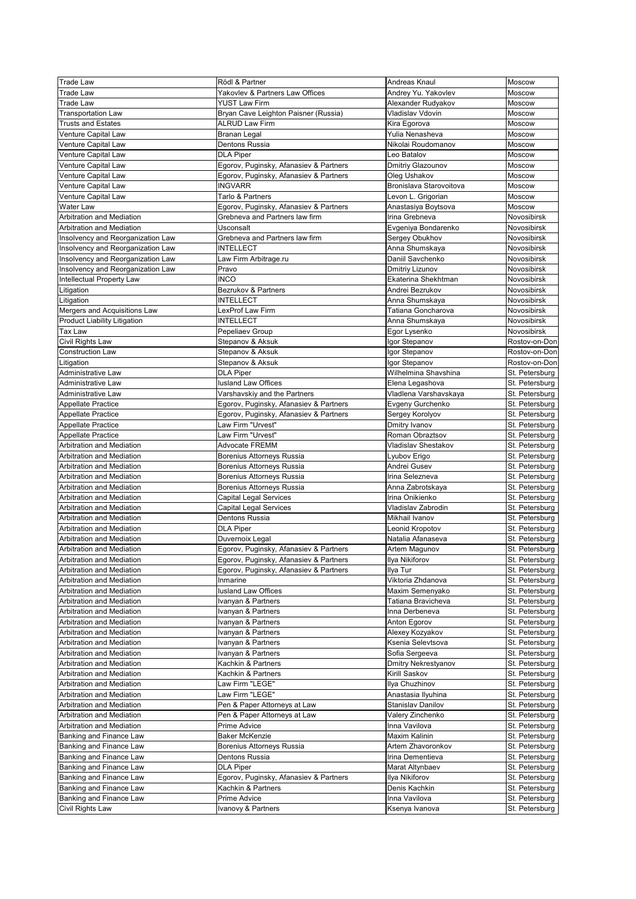| <b>Trade Law</b>                            | Rödl & Partner                         | Andreas Knaul              | <b>Moscow</b>  |
|---------------------------------------------|----------------------------------------|----------------------------|----------------|
| <b>Trade Law</b>                            | Yakovlev & Partners Law Offices        | Andrey Yu. Yakovlev        | Moscow         |
| <b>Trade Law</b>                            | <b>YUST Law Firm</b>                   | Alexander Rudyakov         | Moscow         |
| <b>Transportation Law</b>                   | Bryan Cave Leighton Paisner (Russia)   | Vladislav Vdovin           | Moscow         |
| <b>Trusts and Estates</b>                   | <b>ALRUD Law Firm</b>                  | Kira Egorova               | <b>Moscow</b>  |
|                                             |                                        | Yulia Nenasheva            | Moscow         |
| Venture Capital Law                         | <b>Branan Legal</b>                    |                            |                |
| Venture Capital Law                         | Dentons Russia                         | Nikolai Roudomanov         | Moscow         |
| Venture Capital Law                         | <b>DLA Piper</b>                       | Leo Batalov                | Moscow         |
| Venture Capital Law                         | Egorov, Puginsky, Afanasiev & Partners | Dmitriy Glazounov          | <b>Moscow</b>  |
| Venture Capital Law                         | Egorov, Puginsky, Afanasiev & Partners | Oleg Ushakov               | Moscow         |
| Venture Capital Law                         | <b>INGVARR</b>                         | Bronislava Starovoitova    | Moscow         |
| Venture Capital Law                         | Tarlo & Partners                       | Levon L. Grigorian         | <b>Moscow</b>  |
| <b>Water Law</b>                            | Egorov, Puginsky, Afanasiev & Partners | Anastasiya Boytsova        | Moscow         |
| <b>Arbitration and Mediation</b>            | Grebneva and Partners law firm         | Irina Grebneva             | Novosibirsk    |
| <b>Arbitration and Mediation</b>            | <b>Usconsalt</b>                       | Evgeniya Bondarenko        | Novosibirsk    |
| Insolvency and Reorganization Law           | Grebneva and Partners law firm         | Sergey Obukhov             | Novosibirsk    |
| Insolvency and Reorganization Law           | <b>INTELLECT</b>                       | Anna Shumskaya             | Novosibirsk    |
| Insolvency and Reorganization Law           | Law Firm Arbitrage.ru                  | Daniil Savchenko           | Novosibirsk    |
| Insolvency and Reorganization Law           | Pravo                                  | Dmitriy Lizunov            | Novosibirsk    |
| Intellectual Property Law                   | <b>INCO</b>                            | Ekaterina Shekhtman        | Novosibirsk    |
| Litigation                                  | Bezrukov & Partners                    | Andrei Bezrukov            | Novosibirsk    |
| Litigation                                  | <b>INTELLECT</b>                       | Anna Shumskaya             | Novosibirsk    |
| Mergers and Acquisitions Law                | LexProf Law Firm                       | Tatiana Goncharova         | Novosibirsk    |
| Product Liability Litigation                | <b>INTELLECT</b>                       | Anna Shumskaya             | Novosibirsk    |
| Tax Law                                     | Pepeliaev Group                        | Egor Lysenko               | Novosibirsk    |
|                                             | Stepanov & Aksuk                       | Igor Stepanov              | Rostov-on-Don  |
| Civil Rights Law<br><b>Construction Law</b> | Stepanov & Aksuk                       | Igor Stepanov              | Rostov-on-Don  |
|                                             |                                        |                            |                |
| Litigation                                  | Stepanov & Aksuk                       | Igor Stepanov              | Rostov-on-Don  |
| Administrative Law                          | <b>DLA Piper</b>                       | Wilhelmina Shavshina       | St. Petersburg |
| Administrative Law                          | <b>lusland Law Offices</b>             | Elena Legashova            | St. Petersburg |
| Administrative Law                          | Varshavskiy and the Partners           | Vladlena Varshavskaya      | St. Petersburg |
| Appellate Practice                          | Egorov, Puginsky, Afanasiev & Partners | Evgeny Gurchenko           | St. Petersburg |
| Appellate Practice                          | Egorov, Puginsky, Afanasiev & Partners | Sergey Korolyov            | St. Petersburg |
| Appellate Practice                          | Law Firm "Urvest"                      | Dmitry Ivanov              | St. Petersburg |
| Appellate Practice                          | Law Firm "Urvest"                      | Roman Obraztsov            | St. Petersburg |
| <b>Arbitration and Mediation</b>            | Advocate FREMM                         | <b>Vladislav Shestakov</b> | St. Petersburg |
| <b>Arbitration and Mediation</b>            | Borenius Attorneys Russia              | Lyubov Erigo               | St. Petersburg |
| <b>Arbitration and Mediation</b>            | Borenius Attorneys Russia              | Andrei Gusev               | St. Petersburg |
| <b>Arbitration and Mediation</b>            | Borenius Attorneys Russia              | Irina Selezneva            | St. Petersburg |
| <b>Arbitration and Mediation</b>            | Borenius Attorneys Russia              | Anna Zabrotskaya           | St. Petersburg |
| <b>Arbitration and Mediation</b>            | <b>Capital Legal Services</b>          | Irina Onikienko            | St. Petersburg |
| <b>Arbitration and Mediation</b>            | <b>Capital Legal Services</b>          | Vladislav Zabrodin         | St. Petersburg |
| <b>Arbitration and Mediation</b>            | Dentons Russia                         | Mikhail Ivanov             | St. Petersburg |
| <b>Arbitration and Mediation</b>            | <b>DLA Piper</b>                       | Leonid Kropotov            | St. Petersburg |
| <b>Arbitration and Mediation</b>            | Duvernoix Legal                        | Natalia Afanaseva          | St. Petersburg |
| <b>Arbitration and Mediation</b>            |                                        |                            |                |
|                                             | Egorov, Puginsky, Afanasiev & Partners | Artem Magunov              | St. Petersburg |
| <b>Arbitration and Mediation</b>            | Egorov, Puginsky, Afanasiev & Partners | Ilya Nikiforov             | St. Petersburg |
| <b>Arbitration and Mediation</b>            | Egorov, Puginsky, Afanasiev & Partners | Ilya Tur                   | St. Petersburg |
| <b>Arbitration and Mediation</b>            | Inmarine                               | Viktoria Zhdanova          | St. Petersburg |
| <b>Arbitration and Mediation</b>            | lusland Law Offices                    | Maxim Semenyako            | St. Petersburg |
| <b>Arbitration and Mediation</b>            | Ivanyan & Partners                     | Tatiana Bravicheva         | St. Petersburg |
| <b>Arbitration and Mediation</b>            | Ivanyan & Partners                     | Inna Derbeneva             | St. Petersburg |
| <b>Arbitration and Mediation</b>            | Ivanyan & Partners                     | Anton Egorov               | St. Petersburg |
| <b>Arbitration and Mediation</b>            | Ivanyan & Partners                     | Alexey Kozyakov            | St. Petersburg |
| <b>Arbitration and Mediation</b>            | Ivanyan & Partners                     | Ksenia Selevtsova          | St. Petersburg |
| <b>Arbitration and Mediation</b>            | Ivanyan & Partners                     | Sofia Sergeeva             | St. Petersburg |
| <b>Arbitration and Mediation</b>            | Kachkin & Partners                     | <b>Dmitry Nekrestyanov</b> | St. Petersburg |
| <b>Arbitration and Mediation</b>            | Kachkin & Partners                     | <b>Kirill Saskov</b>       | St. Petersburg |
| <b>Arbitration and Mediation</b>            | Law Firm "LEGE"                        | Ilya Chuzhinov             | St. Petersburg |
| <b>Arbitration and Mediation</b>            | Law Firm "LEGE"                        | Anastasia Ilyuhina         | St. Petersburg |
| <b>Arbitration and Mediation</b>            | Pen & Paper Attorneys at Law           | <b>Stanislav Danilov</b>   | St. Petersburg |
| Arbitration and Mediation                   | Pen & Paper Attorneys at Law           | Valery Zinchenko           | St. Petersburg |
| Arbitration and Mediation                   | Prime Advice                           | Inna Vavilova              | St. Petersburg |
| Banking and Finance Law                     | <b>Baker McKenzie</b>                  | <b>Maxim Kalinin</b>       | St. Petersburg |
| Banking and Finance Law                     | Borenius Attorneys Russia              | Artem Zhavoronkov          | St. Petersburg |
| Banking and Finance Law                     | Dentons Russia                         | Irina Dementieva           | St. Petersburg |
| Banking and Finance Law                     | <b>DLA Piper</b>                       | Marat Altynbaev            | St. Petersburg |
|                                             |                                        |                            |                |
| Banking and Finance Law                     | Egorov, Puginsky, Afanasiev & Partners | Ilya Nikiforov             | St. Petersburg |
| Banking and Finance Law                     | Kachkin & Partners                     | Denis Kachkin              | St. Petersburg |
| Banking and Finance Law                     | Prime Advice                           | Inna Vavilova              | St. Petersburg |
| Civil Rights Law                            | Ivanovy & Partners                     | Ksenya Ivanova             | St. Petersburg |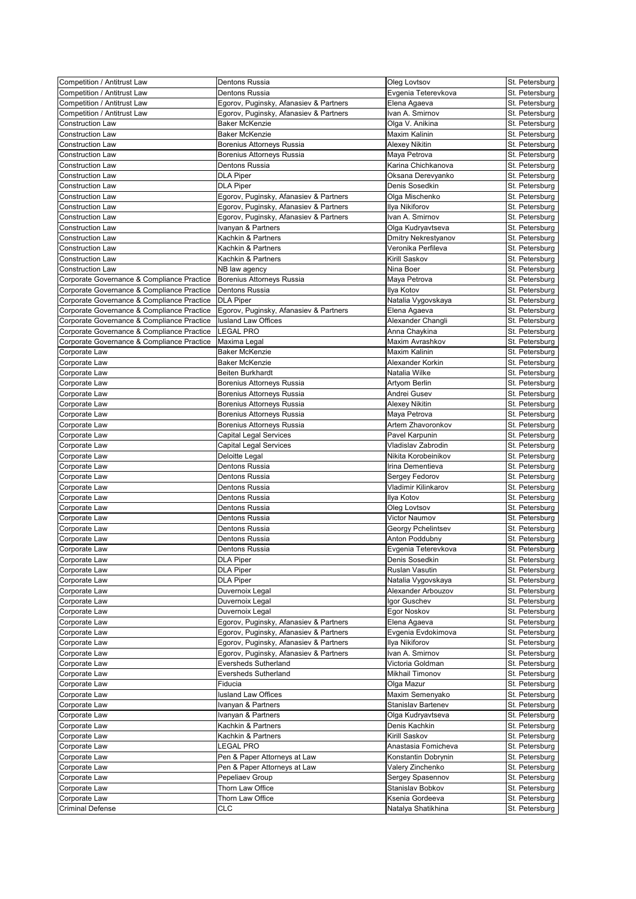| <b>Competition / Antitrust Law</b>         | Dentons Russia                         | Oleg Lovtsov           | St. Petersburg |
|--------------------------------------------|----------------------------------------|------------------------|----------------|
| <b>Competition / Antitrust Law</b>         | <b>Dentons Russia</b>                  | Evgenia Teterevkova    | St. Petersburg |
| <b>Competition / Antitrust Law</b>         | Egorov, Puginsky, Afanasiev & Partners | Elena Agaeva           | St. Petersburg |
| Competition / Antitrust Law                | Egorov, Puginsky, Afanasiev & Partners | Ivan A. Smirnov        | St. Petersburg |
| <b>Construction Law</b>                    | <b>Baker McKenzie</b>                  | Olga V. Anikina        | St. Petersburg |
|                                            |                                        |                        |                |
| <b>Construction Law</b>                    | <b>Baker McKenzie</b>                  | <b>Maxim Kalinin</b>   | St. Petersburg |
| <b>Construction Law</b>                    | Borenius Attorneys Russia              | <b>Alexey Nikitin</b>  | St. Petersburg |
| <b>Construction Law</b>                    | Borenius Attorneys Russia              | Maya Petrova           | St. Petersburg |
| <b>Construction Law</b>                    | Dentons Russia                         | Karina Chichkanova     | St. Petersburg |
| <b>Construction Law</b>                    | <b>DLA Piper</b>                       | Oksana Derevyanko      | St. Petersburg |
| <b>Construction Law</b>                    | <b>DLA Piper</b>                       | Denis Sosedkin         | St. Petersburg |
| <b>Construction Law</b>                    | Egorov, Puginsky, Afanasiev & Partners | Olga Mischenko         | St. Petersburg |
| <b>Construction Law</b>                    | Egorov, Puginsky, Afanasiev & Partners | Ilya Nikiforov         | St. Petersburg |
| <b>Construction Law</b>                    | Egorov, Puginsky, Afanasiev & Partners | Ivan A. Smirnov        | St. Petersburg |
| <b>Construction Law</b>                    | Ivanyan & Partners                     | Olga Kudryavtseva      | St. Petersburg |
| <b>Construction Law</b>                    | Kachkin & Partners                     | Dmitry Nekrestyanov    | St. Petersburg |
| <b>Construction Law</b>                    | Kachkin & Partners                     | Veronika Perfileva     | St. Petersburg |
|                                            |                                        |                        |                |
| <b>Construction Law</b>                    | Kachkin & Partners                     | Kirill Saskov          | St. Petersburg |
| <b>Construction Law</b>                    | NB law agency                          | Nina Boer              | St. Petersburg |
| Corporate Governance & Compliance Practice | Borenius Attorneys Russia              | Maya Petrova           | St. Petersburg |
| Corporate Governance & Compliance Practice | Dentons Russia                         | Ilya Kotov             | St. Petersburg |
| Corporate Governance & Compliance Practice | <b>DLA Piper</b>                       | Natalia Vygovskaya     | St. Petersburg |
| Corporate Governance & Compliance Practice | Egorov, Puginsky, Afanasiev & Partners | Elena Agaeva           | St. Petersburg |
| Corporate Governance & Compliance Practice | lusland Law Offices                    | Alexander Changli      | St. Petersburg |
| Corporate Governance & Compliance Practice | <b>LEGAL PRO</b>                       | Anna Chaykina          | St. Petersburg |
| Corporate Governance & Compliance Practice | Maxima Legal                           | Maxim Avrashkov        | St. Petersburg |
| Corporate Law                              | <b>Baker McKenzie</b>                  | <b>Maxim Kalinin</b>   | St. Petersburg |
|                                            |                                        |                        |                |
| Corporate Law                              | <b>Baker McKenzie</b>                  | Alexander Korkin       | St. Petersburg |
| Corporate Law                              | Beiten Burkhardt                       | Natalia Wilke          | St. Petersburg |
| Corporate Law                              | Borenius Attorneys Russia              | Artyom Berlin          | St. Petersburg |
| Corporate Law                              | <b>Borenius Attorneys Russia</b>       | Andrei Gusev           | St. Petersburg |
| Corporate Law                              | Borenius Attorneys Russia              | <b>Alexey Nikitin</b>  | St. Petersburg |
| Corporate Law                              | Borenius Attorneys Russia              | Maya Petrova           | St. Petersburg |
| Corporate Law                              | Borenius Attorneys Russia              | Artem Zhavoronkov      | St. Petersburg |
| Corporate Law                              | <b>Capital Legal Services</b>          | Pavel Karpunin         | St. Petersburg |
| Corporate Law                              | <b>Capital Legal Services</b>          | Vladislav Zabrodin     | St. Petersburg |
| Corporate Law                              | Deloitte Legal                         | Nikita Korobeinikov    |                |
|                                            |                                        |                        | St. Petersburg |
| Corporate Law                              | Dentons Russia                         | Irina Dementieva       | St. Petersburg |
| Corporate Law                              | Dentons Russia                         | Sergey Fedorov         | St. Petersburg |
| Corporate Law                              | Dentons Russia                         | Vladimir Kilinkarov    | St. Petersburg |
| Corporate Law                              | Dentons Russia                         | Ilya Kotov             | St. Petersburg |
| Corporate Law                              | Dentons Russia                         | Oleg Lovtsov           | St. Petersburg |
| Corporate Law                              | Dentons Russia                         | Victor Naumov          | St. Petersburg |
| Corporate Law                              | Dentons Russia                         | Georgy Pchelintsev     | St. Petersburg |
| Corporate Law                              | Dentons Russia                         | <b>Anton Poddubny</b>  | St. Petersburg |
| Corporate Law                              | Dentons Russia                         | Evgenia Teterevkova    | St. Petersburg |
| Corporate Law                              | <b>DLA Piper</b>                       | Denis Sosedkin         | St. Petersburg |
|                                            |                                        | Ruslan Vasutin         |                |
| Corporate Law                              | <b>DLA Piper</b>                       |                        | St. Petersburg |
| Corporate Law                              | <b>DLA Piper</b>                       | Natalia Vygovskaya     | St. Petersburg |
| Corporate Law                              | Duvernoix Legal                        | Alexander Arbouzov     | St. Petersburg |
| Corporate Law                              | Duvernoix Legal                        | Igor Guschev           | St. Petersburg |
| Corporate Law                              | Duvernoix Legal                        | Egor Noskov            | St. Petersburg |
| Corporate Law                              | Egorov, Puginsky, Afanasiev & Partners | Elena Agaeva           | St. Petersburg |
| Corporate Law                              | Egorov, Puginsky, Afanasiev & Partners | Evgenia Evdokimova     | St. Petersburg |
| Corporate Law                              | Egorov, Puginsky, Afanasiev & Partners | Ilya Nikiforov         | St. Petersburg |
| Corporate Law                              | Egorov, Puginsky, Afanasiev & Partners | Ivan A. Smirnov        | St. Petersburg |
| Corporate Law                              | <b>Eversheds Sutherland</b>            | Victoria Goldman       | St. Petersburg |
| Corporate Law                              | <b>Eversheds Sutherland</b>            | <b>Mikhail Timonov</b> | St. Petersburg |
| Corporate Law                              | Fiducia                                | Olga Mazur             | St. Petersburg |
|                                            |                                        |                        |                |
| Corporate Law                              | <b>lusland Law Offices</b>             | Maxim Semenyako        | St. Petersburg |
| Corporate Law                              | Ivanyan & Partners                     | Stanislav Bartenev     | St. Petersburg |
| Corporate Law                              | Ivanyan & Partners                     | Olga Kudryavtseva      | St. Petersburg |
| Corporate Law                              | Kachkin & Partners                     | Denis Kachkin          | St. Petersburg |
| Corporate Law                              | Kachkin & Partners                     | Kirill Saskov          | St. Petersburg |
| Corporate Law                              | <b>LEGAL PRO</b>                       | Anastasia Fomicheva    | St. Petersburg |
| Corporate Law                              | Pen & Paper Attorneys at Law           | Konstantin Dobrynin    | St. Petersburg |
| Corporate Law                              | Pen & Paper Attorneys at Law           | Valery Zinchenko       | St. Petersburg |
| Corporate Law                              | Pepeliaev Group                        | Sergey Spasennov       | St. Petersburg |
| Corporate Law                              | Thorn Law Office                       | Stanislav Bobkov       | St. Petersburg |
| Corporate Law                              | Thorn Law Office                       | Ksenia Gordeeva        | St. Petersburg |
|                                            |                                        |                        |                |
| <b>Criminal Defense</b>                    | <b>CLC</b>                             | Natalya Shatikhina     | St. Petersburg |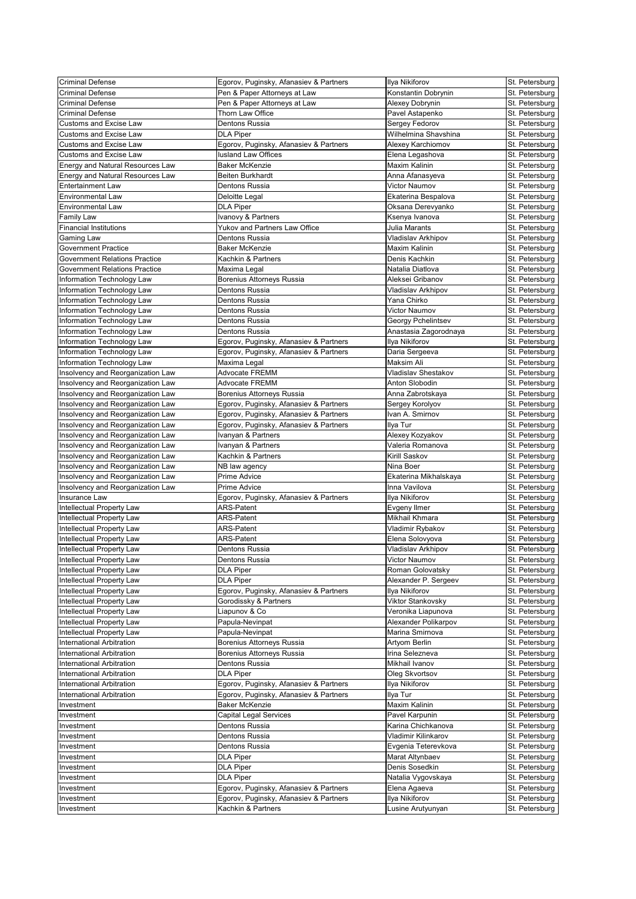| <b>Criminal Defense</b>                 | Egorov, Puginsky, Afanasiev & Partners | Ilya Nikiforov             | St. Petersburg |
|-----------------------------------------|----------------------------------------|----------------------------|----------------|
| <b>Criminal Defense</b>                 | Pen & Paper Attorneys at Law           | Konstantin Dobrynin        | St. Petersburg |
| <b>Criminal Defense</b>                 | Pen & Paper Attorneys at Law           | Alexey Dobrynin            | St. Petersburg |
| <b>Criminal Defense</b>                 | <b>Thorn Law Office</b>                | Pavel Astapenko            | St. Petersburg |
| <b>Customs and Excise Law</b>           | Dentons Russia                         | Sergey Fedorov             | St. Petersburg |
| <b>Customs and Excise Law</b>           | <b>DLA Piper</b>                       | Wilhelmina Shavshina       | St. Petersburg |
| <b>Customs and Excise Law</b>           | Egorov, Puginsky, Afanasiev & Partners | Alexey Karchiomov          | St. Petersburg |
| <b>Customs and Excise Law</b>           | lusland Law Offices                    |                            |                |
|                                         |                                        | Elena Legashova            | St. Petersburg |
| <b>Energy and Natural Resources Law</b> | <b>Baker McKenzie</b>                  | <b>Maxim Kalinin</b>       | St. Petersburg |
| <b>Energy and Natural Resources Law</b> | <b>Beiten Burkhardt</b>                | Anna Afanasyeva            | St. Petersburg |
| <b>Entertainment Law</b>                | Dentons Russia                         | <b>Victor Naumov</b>       | St. Petersburg |
| <b>Environmental Law</b>                | Deloitte Legal                         | Ekaterina Bespalova        | St. Petersburg |
| <b>Environmental Law</b>                | <b>DLA Piper</b>                       | Oksana Derevyanko          | St. Petersburg |
| <b>Family Law</b>                       | Ivanovy & Partners                     | Ksenya Ivanova             | St. Petersburg |
| <b>Financial Institutions</b>           | Yukov and Partners Law Office          | Julia Marants              | St. Petersburg |
| <b>Gaming Law</b>                       | Dentons Russia                         | Vladislav Arkhipov         | St. Petersburg |
| <b>Government Practice</b>              | <b>Baker McKenzie</b>                  | <b>Maxim Kalinin</b>       | St. Petersburg |
| <b>Government Relations Practice</b>    | Kachkin & Partners                     | Denis Kachkin              | St. Petersburg |
| <b>Government Relations Practice</b>    | Maxima Legal                           | Natalia Diatlova           | St. Petersburg |
| Information Technology Law              | Borenius Attorneys Russia              | Aleksei Gribanov           | St. Petersburg |
| Information Technology Law              | Dentons Russia                         | Vladislav Arkhipov         | St. Petersburg |
| Information Technology Law              | Dentons Russia                         | Yana Chirko                | St. Petersburg |
| Information Technology Law              | Dentons Russia                         | Victor Naumov              | St. Petersburg |
| Information Technology Law              | <b>Dentons Russia</b>                  | Georgy Pchelintsev         | St. Petersburg |
|                                         |                                        |                            |                |
| Information Technology Law              | Dentons Russia                         | Anastasia Zagorodnaya      | St. Petersburg |
| Information Technology Law              | Egorov, Puginsky, Afanasiev & Partners | Ilya Nikiforov             | St. Petersburg |
| Information Technology Law              | Egorov, Puginsky, Afanasiev & Partners | Daria Sergeeva             | St. Petersburg |
| Information Technology Law              | Maxima Legal                           | <b>Maksim Ali</b>          | St. Petersburg |
| Insolvency and Reorganization Law       | <b>Advocate FREMM</b>                  | <b>Vladislav Shestakov</b> | St. Petersburg |
| Insolvency and Reorganization Law       | <b>Advocate FREMM</b>                  | Anton Slobodin             | St. Petersburg |
| Insolvency and Reorganization Law       | Borenius Attorneys Russia              | Anna Zabrotskaya           | St. Petersburg |
| Insolvency and Reorganization Law       | Egorov, Puginsky, Afanasiev & Partners | Sergey Korolyov            | St. Petersburg |
| Insolvency and Reorganization Law       | Egorov, Puginsky, Afanasiev & Partners | Ivan A. Smirnov            | St. Petersburg |
| Insolvency and Reorganization Law       | Egorov, Puginsky, Afanasiev & Partners | Ilya Tur                   | St. Petersburg |
| Insolvency and Reorganization Law       | Ivanyan & Partners                     | Alexey Kozyakov            | St. Petersburg |
| Insolvency and Reorganization Law       | Ivanyan & Partners                     | Valeria Romanova           | St. Petersburg |
| Insolvency and Reorganization Law       | Kachkin & Partners                     | Kirill Saskov              | St. Petersburg |
| Insolvency and Reorganization Law       | NB law agency                          | Nina Boer                  | St. Petersburg |
| Insolvency and Reorganization Law       | Prime Advice                           | Ekaterina Mikhalskaya      | St. Petersburg |
|                                         |                                        |                            |                |
| Insolvency and Reorganization Law       | Prime Advice                           | Inna Vavilova              | St. Petersburg |
| Insurance Law                           | Egorov, Puginsky, Afanasiev & Partners | Ilya Nikiforov             | St. Petersburg |
| Intellectual Property Law               | <b>ARS-Patent</b>                      | <b>Evgeny Ilmer</b>        | St. Petersburg |
| Intellectual Property Law               | <b>ARS-Patent</b>                      | Mikhail Khmara             | St. Petersburg |
| Intellectual Property Law               | <b>ARS-Patent</b>                      | Vladimir Rybakov           | St. Petersburg |
| Intellectual Property Law               | <b>ARS-Patent</b>                      | Elena Solovyova            | St. Petersburg |
| Intellectual Property Law               | Dentons Russia                         | Vladislav Arkhipov         | St. Petersburg |
| Intellectual Property Law               | Dentons Russia                         | Victor Naumov              | St. Petersburg |
| Intellectual Property Law               | <b>DLA Piper</b>                       | Roman Golovatsky           | St. Petersburg |
| Intellectual Property Law               | <b>DLA Piper</b>                       | Alexander P. Sergeev       | St. Petersburg |
| Intellectual Property Law               | Egorov, Puginsky, Afanasiev & Partners | Ilya Nikiforov             | St. Petersburg |
| Intellectual Property Law               | Gorodissky & Partners                  | Viktor Stankovsky          | St. Petersburg |
| Intellectual Property Law               | Liapunov & Co                          | Veronika Liapunova         | St. Petersburg |
| Intellectual Property Law               | Papula-Nevinpat                        | Alexander Polikarpov       | St. Petersburg |
| Intellectual Property Law               | Papula-Nevinpat                        | Marina Smirnova            | St. Petersburg |
| International Arbitration               | Borenius Attorneys Russia              | Artyom Berlin              | St. Petersburg |
| International Arbitration               | Borenius Attorneys Russia              | Irina Selezneva            | St. Petersburg |
| International Arbitration               | Dentons Russia                         | Mikhail Ivanov             |                |
|                                         |                                        |                            | St. Petersburg |
| International Arbitration               | <b>DLA Piper</b>                       | Oleg Skvortsov             | St. Petersburg |
| International Arbitration               | Egorov, Puginsky, Afanasiev & Partners | Ilya Nikiforov             | St. Petersburg |
| International Arbitration               | Egorov, Puginsky, Afanasiev & Partners | Ilya Tur                   | St. Petersburg |
| Investment                              | <b>Baker McKenzie</b>                  | <b>Maxim Kalinin</b>       | St. Petersburg |
| Investment                              | <b>Capital Legal Services</b>          | Pavel Karpunin             | St. Petersburg |
| Investment                              | Dentons Russia                         | Karina Chichkanova         | St. Petersburg |
| Investment                              | Dentons Russia                         | Vladimir Kilinkarov        | St. Petersburg |
| Investment                              | Dentons Russia                         | Evgenia Teterevkova        | St. Petersburg |
| Investment                              | <b>DLA Piper</b>                       | Marat Altynbaev            | St. Petersburg |
| Investment                              | <b>DLA Piper</b>                       | Denis Sosedkin             | St. Petersburg |
| Investment                              | <b>DLA Piper</b>                       | Natalia Vygovskaya         | St. Petersburg |
| Investment                              | Egorov, Puginsky, Afanasiev & Partners | Elena Agaeva               | St. Petersburg |
| Investment                              | Egorov, Puginsky, Afanasiev & Partners | Ilya Nikiforov             | St. Petersburg |
| Investment                              | Kachkin & Partners                     | Lusine Arutyunyan          | St. Petersburg |
|                                         |                                        |                            |                |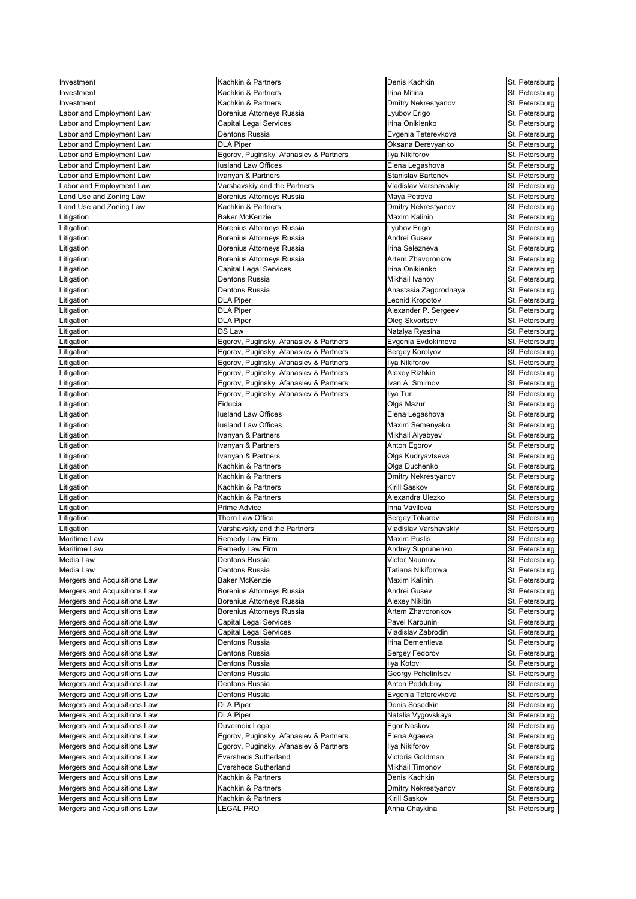| Investment                   | Kachkin & Partners                     | Denis Kachkin              | St. Petersburg |
|------------------------------|----------------------------------------|----------------------------|----------------|
| Investment                   | Kachkin & Partners                     | Irina Mitina               | St. Petersburg |
| Investment                   | Kachkin & Partners                     | <b>Dmitry Nekrestyanov</b> | St. Petersburg |
| abor and Employment Law      | <b>Borenius Attorneys Russia</b>       | Lyubov Erigo               | St. Petersburg |
| abor and Employment Law      | <b>Capital Legal Services</b>          | Irina Onikienko            | St. Petersburg |
| abor and Employment Law      | Dentons Russia                         | Evgenia Teterevkova        | St. Petersburg |
| abor and Employment Law      | <b>DLA Piper</b>                       | Oksana Derevyanko          | St. Petersburg |
| abor and Employment Law      | Egorov, Puginsky, Afanasiev & Partners | Ilya Nikiforov             | St. Petersburg |
| abor and Employment Law      | <b>lusland Law Offices</b>             | Elena Legashova            | St. Petersburg |
| abor and Employment Law      | Ivanyan & Partners                     | <b>Stanislav Bartenev</b>  | St. Petersburg |
| abor and Employment Law      | Varshavskiy and the Partners           | Vladislav Varshavskiy      | St. Petersburg |
| and Use and Zoning Law       | Borenius Attorneys Russia              | Maya Petrova               | St. Petersburg |
| and Use and Zoning Law       | Kachkin & Partners                     | <b>Dmitry Nekrestyanov</b> | St. Petersburg |
| Litigation                   | <b>Baker McKenzie</b>                  | <b>Maxim Kalinin</b>       | St. Petersburg |
| Litigation                   | Borenius Attorneys Russia              | Lyubov Erigo               | St. Petersburg |
| Litigation                   | Borenius Attorneys Russia              | Andrei Gusev               | St. Petersburg |
| Litigation                   | <b>Borenius Attorneys Russia</b>       | Irina Selezneva            | St. Petersburg |
| Litigation                   | Borenius Attorneys Russia              | Artem Zhavoronkov          | St. Petersburg |
| Litigation                   | <b>Capital Legal Services</b>          | Irina Onikienko            | St. Petersburg |
| Litigation                   | Dentons Russia                         | Mikhail Ivanov             | St. Petersburg |
| Litigation                   | Dentons Russia                         | Anastasia Zagorodnaya      | St. Petersburg |
| Litigation                   | <b>DLA Piper</b>                       | Leonid Kropotov            | St. Petersburg |
| Litigation                   | <b>DLA Piper</b>                       | Alexander P. Sergeev       | St. Petersburg |
| Litigation                   | <b>DLA Piper</b>                       | Oleg Skvortsov             | St. Petersburg |
| Litigation                   | <b>DS Law</b>                          | Natalya Ryasina            | St. Petersburg |
| Litigation                   | Egorov, Puginsky, Afanasiev & Partners | Evgenia Evdokimova         | St. Petersburg |
| Litigation                   | Egorov, Puginsky, Afanasiev & Partners | Sergey Korolyov            | St. Petersburg |
| Litigation                   | Egorov, Puginsky, Afanasiev & Partners | Ilya Nikiforov             | St. Petersburg |
| Litigation                   | Egorov, Puginsky, Afanasiev & Partners | Alexey Rizhkin             | St. Petersburg |
| Litigation                   | Egorov, Puginsky, Afanasiev & Partners | Ivan A. Smirnov            | St. Petersburg |
| Litigation                   | Egorov, Puginsky, Afanasiev & Partners | Ilya Tur                   | St. Petersburg |
| Litigation                   | Fiducia                                | Olga Mazur                 | St. Petersburg |
| Litigation                   | <b>lusland Law Offices</b>             | Elena Legashova            | St. Petersburg |
| Litigation                   | lusland Law Offices                    | Maxim Semenyako            | St. Petersburg |
| Litigation                   | Ivanyan & Partners                     | Mikhail Alyabyev           | St. Petersburg |
| Litigation                   | Ivanyan & Partners                     | Anton Egorov               | St. Petersburg |
| Litigation                   | Ivanyan & Partners                     | Olga Kudryavtseva          | St. Petersburg |
| Litigation                   | Kachkin & Partners                     | Olga Duchenko              | St. Petersburg |
| Litigation                   | Kachkin & Partners                     | <b>Dmitry Nekrestyanov</b> | St. Petersburg |
| Litigation                   | Kachkin & Partners                     | <b>Kirill Saskov</b>       | St. Petersburg |
| Litigation                   | Kachkin & Partners                     | Alexandra Ulezko           | St. Petersburg |
| Litigation                   | Prime Advice                           | Inna Vavilova              | St. Petersburg |
| Litigation                   | <b>Thorn Law Office</b>                | Sergey Tokarev             | St. Petersburg |
| Litigation                   | Varshavskiy and the Partners           | Vladislav Varshavskiy      | St. Petersburg |
| <b>Maritime Law</b>          | Remedy Law Firm                        | <b>Maxim Puslis</b>        | St. Petersburg |
| <b>Maritime Law</b>          | Remedy Law Firm                        | Andrey Suprunenko          | St. Petersburg |
| Media Law                    | Dentons Russia                         | Victor Naumov              | St. Petersburg |
| Media Law                    | Dentons Russia                         | Tatiana Nikiforova         | St. Petersburg |
| Mergers and Acquisitions Law | <b>Baker McKenzie</b>                  | <b>Maxim Kalinin</b>       | St. Petersburg |
| Mergers and Acquisitions Law | Borenius Attorneys Russia              | Andrei Gusev               | St. Petersburg |
| Mergers and Acquisitions Law | Borenius Attorneys Russia              | <b>Alexey Nikitin</b>      | St. Petersburg |
| Mergers and Acquisitions Law | Borenius Attorneys Russia              | Artem Zhavoronkov          | St. Petersburg |
| Mergers and Acquisitions Law | <b>Capital Legal Services</b>          | Pavel Karpunin             | St. Petersburg |
| Mergers and Acquisitions Law | <b>Capital Legal Services</b>          | Vladislav Zabrodin         | St. Petersburg |
| Mergers and Acquisitions Law | Dentons Russia                         | Irina Dementieva           | St. Petersburg |
| Mergers and Acquisitions Law | Dentons Russia                         | Sergey Fedorov             | St. Petersburg |
| Mergers and Acquisitions Law | Dentons Russia                         | Ilya Kotov                 | St. Petersburg |
| Mergers and Acquisitions Law | Dentons Russia                         | Georgy Pchelintsev         | St. Petersburg |
| Mergers and Acquisitions Law | Dentons Russia                         | <b>Anton Poddubny</b>      | St. Petersburg |
| Mergers and Acquisitions Law | Dentons Russia                         | Evgenia Teterevkova        | St. Petersburg |
| Mergers and Acquisitions Law | <b>DLA Piper</b>                       | Denis Sosedkin             | St. Petersburg |
| Mergers and Acquisitions Law | <b>DLA Piper</b>                       | Natalia Vygovskaya         | St. Petersburg |
| Mergers and Acquisitions Law | Duvernoix Legal                        | Egor Noskov                | St. Petersburg |
| Mergers and Acquisitions Law | Egorov, Puginsky, Afanasiev & Partners | Elena Agaeva               | St. Petersburg |
| Mergers and Acquisitions Law | Egorov, Puginsky, Afanasiev & Partners | Ilya Nikiforov             | St. Petersburg |
| Mergers and Acquisitions Law | <b>Eversheds Sutherland</b>            | Victoria Goldman           | St. Petersburg |
| Mergers and Acquisitions Law | <b>Eversheds Sutherland</b>            | <b>Mikhail Timonov</b>     | St. Petersburg |
| Mergers and Acquisitions Law | Kachkin & Partners                     | Denis Kachkin              | St. Petersburg |
| Mergers and Acquisitions Law | Kachkin & Partners                     | <b>Dmitry Nekrestyanov</b> | St. Petersburg |
| Mergers and Acquisitions Law | Kachkin & Partners                     | Kirill Saskov              | St. Petersburg |
| Mergers and Acquisitions Law | <b>LEGAL PRO</b>                       | Anna Chaykina              | St. Petersburg |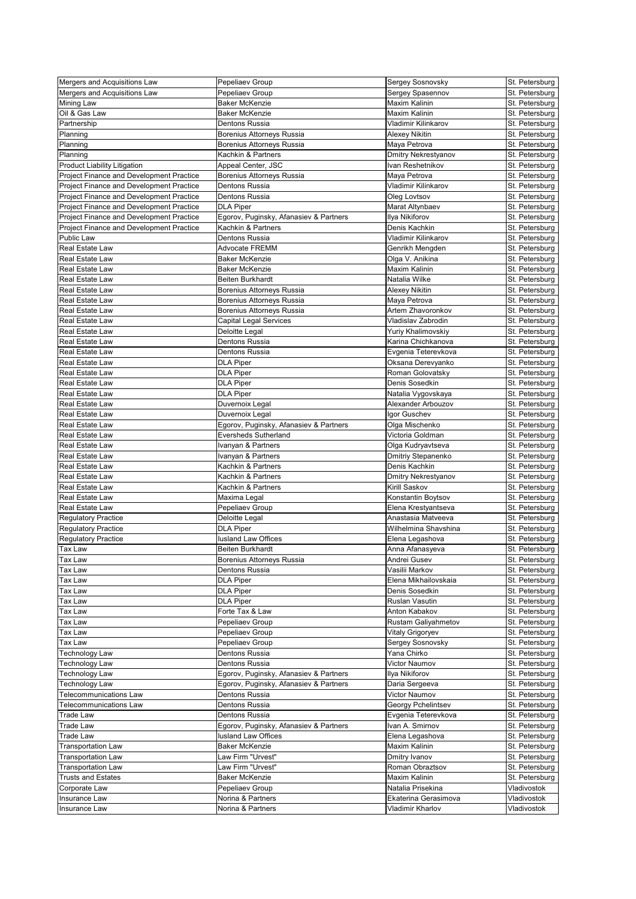| Mergers and Acquisitions Law             | Pepeliaev Group                                 | Sergey Sosnovsky           | St. Petersburg |
|------------------------------------------|-------------------------------------------------|----------------------------|----------------|
| Mergers and Acquisitions Law             | Pepeliaev Group                                 | Sergey Spasennov           | St. Petersburg |
| <b>Mining Law</b>                        | <b>Baker McKenzie</b>                           | <b>Maxim Kalinin</b>       | St. Petersburg |
| Oil & Gas Law                            | <b>Baker McKenzie</b>                           | <b>Maxim Kalinin</b>       | St. Petersburg |
| Partnership                              | <b>Dentons Russia</b>                           | Vladimir Kilinkarov        | St. Petersburg |
| Planning                                 | Borenius Attorneys Russia                       | <b>Alexey Nikitin</b>      | St. Petersburg |
|                                          |                                                 |                            |                |
| Planning                                 | Borenius Attorneys Russia<br>Kachkin & Partners | Maya Petrova               | St. Petersburg |
| Planning                                 |                                                 | <b>Dmitry Nekrestyanov</b> | St. Petersburg |
| <b>Product Liability Litigation</b>      | Appeal Center, JSC                              | Ivan Reshetnikov           | St. Petersburg |
| Project Finance and Development Practice | Borenius Attorneys Russia                       | Maya Petrova               | St. Petersburg |
| Project Finance and Development Practice | <b>Dentons Russia</b>                           | Vladimir Kilinkarov        | St. Petersburg |
| Project Finance and Development Practice | Dentons Russia                                  | Oleg Lovtsov               | St. Petersburg |
| Project Finance and Development Practice | <b>DLA Piper</b>                                | Marat Altynbaev            | St. Petersburg |
| Project Finance and Development Practice | Egorov, Puginsky, Afanasiev & Partners          | Ilya Nikiforov             | St. Petersburg |
| Project Finance and Development Practice | Kachkin & Partners                              | Denis Kachkin              | St. Petersburg |
| Public Law                               | Dentons Russia                                  | Vladimir Kilinkarov        | St. Petersburg |
| <b>Real Estate Law</b>                   | <b>Advocate FREMM</b>                           | Genrikh Mengden            | St. Petersburg |
| Real Estate Law                          | <b>Baker McKenzie</b>                           | Olga V. Anikina            | St. Petersburg |
| <b>Real Estate Law</b>                   | <b>Baker McKenzie</b>                           | <b>Maxim Kalinin</b>       | St. Petersburg |
| Real Estate Law                          | <b>Beiten Burkhardt</b>                         | Natalia Wilke              | St. Petersburg |
| Real Estate Law                          | Borenius Attorneys Russia                       | <b>Alexey Nikitin</b>      | St. Petersburg |
| <b>Real Estate Law</b>                   | <b>Borenius Attorneys Russia</b>                | Maya Petrova               | St. Petersburg |
| Real Estate Law                          | Borenius Attorneys Russia                       | Artem Zhavoronkov          | St. Petersburg |
| <b>Real Estate Law</b>                   | <b>Capital Legal Services</b>                   | Vladislav Zabrodin         | St. Petersburg |
| <b>Real Estate Law</b>                   |                                                 |                            |                |
|                                          | <b>Deloitte Legal</b>                           | Yuriy Khalimovskiy         | St. Petersburg |
| <b>Real Estate Law</b>                   | Dentons Russia                                  | Karina Chichkanova         | St. Petersburg |
| <b>Real Estate Law</b>                   | Dentons Russia                                  | Evgenia Teterevkova        | St. Petersburg |
| <b>Real Estate Law</b>                   | <b>DLA Piper</b>                                | Oksana Derevyanko          | St. Petersburg |
| <b>Real Estate Law</b>                   | <b>DLA Piper</b>                                | Roman Golovatsky           | St. Petersburg |
| <b>Real Estate Law</b>                   | <b>DLA Piper</b>                                | Denis Sosedkin             | St. Petersburg |
| <b>Real Estate Law</b>                   | <b>DLA Piper</b>                                | Natalia Vygovskaya         | St. Petersburg |
| <b>Real Estate Law</b>                   | Duvernoix Legal                                 | Alexander Arbouzov         | St. Petersburg |
| <b>Real Estate Law</b>                   | Duvernoix Legal                                 | Igor Guschev               | St. Petersburg |
| <b>Real Estate Law</b>                   | Egorov, Puginsky, Afanasiev & Partners          | Olga Mischenko             | St. Petersburg |
| <b>Real Estate Law</b>                   | <b>Eversheds Sutherland</b>                     | Victoria Goldman           | St. Petersburg |
| Real Estate Law                          | Ivanyan & Partners                              | Olga Kudryavtseva          | St. Petersburg |
| <b>Real Estate Law</b>                   | Ivanyan & Partners                              | Dmitriy Stepanenko         | St. Petersburg |
| Real Estate Law                          | Kachkin & Partners                              | Denis Kachkin              | St. Petersburg |
| Real Estate Law                          | Kachkin & Partners                              | <b>Dmitry Nekrestyanov</b> | St. Petersburg |
| <b>Real Estate Law</b>                   | Kachkin & Partners                              | Kirill Saskov              | St. Petersburg |
| Real Estate Law                          |                                                 |                            |                |
|                                          | Maxima Legal                                    | Konstantin Boytsov         | St. Petersburg |
| Real Estate Law                          | Pepeliaev Group                                 | Elena Krestyantseva        | St. Petersburg |
| <b>Regulatory Practice</b>               | Deloitte Legal                                  | Anastasia Matveeva         | St. Petersburg |
| <b>Regulatory Practice</b>               | <b>DLA Piper</b>                                | Wilhelmina Shavshina       | St. Petersburg |
| <b>Regulatory Practice</b>               | <b>lusland Law Offices</b>                      | Elena Legashova            | St. Petersburg |
| <b>Tax Law</b>                           | Beiten Burkhardt                                | Anna Afanasyeva            | St. Petersburg |
| Tax Law                                  | Borenius Attorneys Russia                       | Andrei Gusev               | St. Petersburg |
| <b>Tax Law</b>                           | Dentons Russia                                  | Vasilii Markov             | St. Petersburg |
| <b>Tax Law</b>                           | <b>DLA Piper</b>                                | Elena Mikhailovskaia       | St. Petersburg |
| <b>Tax Law</b>                           | <b>DLA Piper</b>                                | Denis Sosedkin             | St. Petersburg |
| <b>Tax Law</b>                           | <b>DLA Piper</b>                                | <b>Ruslan Vasutin</b>      | St. Petersburg |
| <b>Tax Law</b>                           | Forte Tax & Law                                 | Anton Kabakov              | St. Petersburg |
| <b>Tax Law</b>                           | Pepeliaev Group                                 | Rustam Galiyahmetov        | St. Petersburg |
| <b>Tax Law</b>                           | Pepeliaev Group                                 | Vitaly Grigoryev           | St. Petersburg |
| <b>Tax Law</b>                           | Pepeliaev Group                                 | Sergey Sosnovsky           | St. Petersburg |
| <b>Technology Law</b>                    | Dentons Russia                                  | Yana Chirko                | St. Petersburg |
| Technology Law                           | Dentons Russia                                  | Victor Naumov              | St. Petersburg |
| <b>Technology Law</b>                    | Egorov, Puginsky, Afanasiev & Partners          | Ilya Nikiforov             | St. Petersburg |
| <b>Technology Law</b>                    | Egorov, Puginsky, Afanasiev & Partners          | Daria Sergeeva             | St. Petersburg |
|                                          |                                                 |                            |                |
| <b>Felecommunications Law</b>            | Dentons Russia                                  | Victor Naumov              | St. Petersburg |
| <b>Telecommunications Law</b>            | Dentons Russia                                  | Georgy Pchelintsev         | St. Petersburg |
| <b>Trade Law</b>                         | Dentons Russia                                  | Evgenia Teterevkova        | St. Petersburg |
| <b>Trade Law</b>                         | Egorov, Puginsky, Afanasiev & Partners          | Ivan A. Smirnov            | St. Petersburg |
| <b>Trade Law</b>                         | lusland Law Offices                             | Elena Legashova            | St. Petersburg |
| <b>Transportation Law</b>                | <b>Baker McKenzie</b>                           | Maxim Kalinin              | St. Petersburg |
| <b>Transportation Law</b>                | Law Firm "Urvest"                               | <b>Dmitry Ivanov</b>       | St. Petersburg |
| <b>Transportation Law</b>                | Law Firm "Urvest"                               | Roman Obraztsov            | St. Petersburg |
| <b>Trusts and Estates</b>                | <b>Baker McKenzie</b>                           | Maxim Kalinin              | St. Petersburg |
| Corporate Law                            | Pepeliaev Group                                 | Natalia Prisekina          | Vladivostok    |
| Insurance Law                            | Norina & Partners                               | Ekaterina Gerasimova       | Vladivostok    |
| Insurance Law                            | Norina & Partners                               | Vladimir Kharlov           | Vladivostok    |